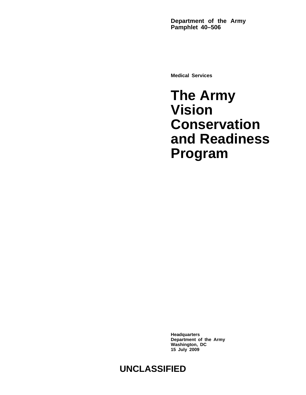**Department of the Army Pamphlet 40–506**

**Medical Services**

# **The Army Vision Conservation and Readiness Program**

**Headquarters Department of the Army Washington, DC 15 July 2009**

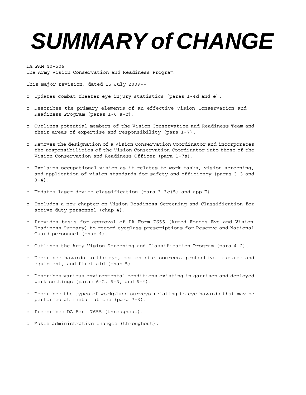# *SUMMARY of CHANGE*

DA PAM 40–506 The Army Vision Conservation and Readiness Program

This major revision, dated 15 July 2009--

- o Updates combat theater eye injury statistics (paras 1-4*d* and *e*).
- o Describes the primary elements of an effective Vision Conservation and Readiness Program (paras 1-6 *a-c*).
- o Outlines potential members of the Vision Conservation and Readiness Team and their areas of expertise and responsibility (para 1-7).
- o Removes the designation of a Vision Conservation Coordinator and incorporates the responsibilities of the Vision Conservation Coordinator into those of the Vision Conservation and Readiness Officer (para 1-7*a*).
- o Explains occupational vision as it relates to work tasks, vision screening, and application of vision standards for safety and efficiency (paras 3-3 and  $3-4)$ .
- o Updates laser device classification (para 3-3*c*(5) and app E).
- o Includes a new chapter on Vision Readiness Screening and Classification for active duty personnel (chap 4).
- o Provides basis for approval of DA Form 7655 (Armed Forces Eye and Vision Readiness Summary) to record eyeglass prescriptions for Reserve and National Guard personnel (chap 4).
- o Outlines the Army Vision Screening and Classification Program (para 4-2).
- o Describes hazards to the eye, common risk sources, protective measures and equipment, and first aid (chap 5).
- o Describes various environmental conditions existing in garrison and deployed work settings (paras 6-2, 6-3, and 6-4).
- o Describes the types of workplace surveys relating to eye hazards that may be performed at installations (para 7-3).
- o Prescribes DA Form 7655 (throughout).
- o Makes administrative changes (throughout).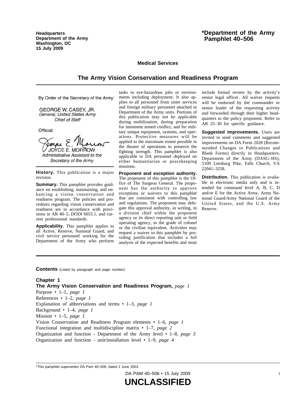**Headquarters Department of the Army Washington, DC 15 July 2009**

# **\*Department of the Army Pamphlet 40–506**

#### **Medical Services**

# **The Army Vision Conservation and Readiness Program**

By Order of the Secretary of the Army:

GEORGE W. CASEY, JR. General, United States Army **Chief of Staff** 

Official:

Joyce E. JOYCE E. MORROW Administrative Assistant to the Secretary of the Army

**History.** This publication is a major revision.

**Summary.** This pamphlet provides guidance on establishing, maintaining, and enhancing a vision conservation and readiness program. The policies and procedures regarding vision conservation and readiness are in accordance with provisions in AR 40–5, DODI 6055.1, and current professional standards.

**Applicability.** This pamphlet applies to all Active, Reserve, National Guard, and civil service personnel working for the Department of the Army who perform

tasks in eye-hazardous jobs or environments including deployment. It also applies to all personnel from sister services and foreign military personnel attached to Department of the Army units. Portions of this publication may not be applicable during mobilization, during preparation for imminent armed conflict, and for military unique equipment, systems, and operations. Protective measures will be applied to the maximum extent possible in the theater of operations to preserve the fighting strength. This pamphlet is also applicable to DA personnel deployed on either humanitarian or peacekeeping missions.

**Proponent and exception authority.** The proponent of this pamphlet is the Office of The Surgeon General. The proponent has the authority to approve exceptions or waivers to this pamphlet that are consistent with controlling law and regulations. The proponent may delegate this approval authority, in writing, to a division chief within the proponent agency or its direct reporting unit or field operating agency, in the grade of colonel or the civilian equivalent. Activities may request a waiver to this pamphlet by providing justification that includes a full analysis of the expected benefits and must

include formal review by the activity's senior legal officer. All waiver requests will be endorsed by the commander or senior leader of the requesting activity and forwarded through their higher headquarters to the policy proponent. Refer to AR 25–30 for specific guidance.

**Suggested improvements.** Users are invited to send comments and suggested improvements on DA Form 2028 (Recommended Changes to Publications and Blank Forms) directly to Headquarters, Department of the Army (DASG-HS), 5109 Leesburg Pike, Falls Church, VA 22041–3258.

**Distribution.** This publication is available in electronic media only and is intended for command level A, B, C, D and/or E for the Active Army, Army National Guard/Army National Guard of the United States, and the U.S. Army Reserve.

**Contents** (Listed by paragraph and page number)

# **Chapter 1**

# **The Army Vision Conservation and Readiness Program,** *page 1* Purpose • 1–1, *page 1* References • 1–2, *page 1* Explanation of abbreviations and terms • 1–3, *page 1* Background • 1–4, *page 1*

Mission • 1–5, *page 1*

Vision Conservation and Readiness Program elements • 1–6, *page 1*

Functional integration and multidiscipline matrix • 1–7, *page 2*

Organization and function - Department of the Army level • 1–8, *page 3*

Organization and function - unit/installation level • 1–9, *page 4*

DA PAM 40-506 • 15 July 2009 **i** 

<sup>\*</sup>This pamphlet supersedes DA Pam 40–506, dated 2 June 2003.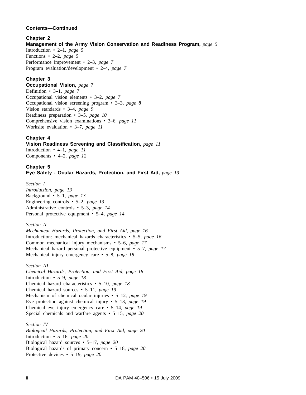# **Contents—Continued**

# **Chapter 2**

**Management of the Army Vision Conservation and Readiness Program,** *page 5* Introduction • 2–1, *page 5* Functions • 2–2, *page 5* Performance improvement • 2–3, *page 7* Program evaluation/development • 2–4, *page 7*

# **Chapter 3**

**Occupational Vision,** *page 7* Definition • 3–1, *page 7* Occupational vision elements • 3–2, *page 7* Occupational vision screening program • 3–3, *page 8* Vision standards • 3–4, *page 9* Readiness preparation • 3–5, *page 10* Comprehensive vision examinations • 3–6, *page 11* Worksite evaluation • 3–7, *page 11*

#### **Chapter 4**

# **Vision Readiness Screening and Classification,** *page 11*

Introduction • 4–1, *page 11* Components • 4–2, *page 12*

# **Chapter 5 Eye Safety - Ocular Hazards, Protection, and First Aid,** *page 13*

*Section I Introduction, page 13* Background • 5–1, *page 13* Engineering controls • 5–2, *page 13* Administrative controls • 5–3, *page 14* Personal protective equipment • 5–4, *page 14*

*Section II Mechanical Hazards, Protection, and First Aid, page 16* Introduction: mechanical hazards characteristics • 5–5, *page 16* Common mechanical injury mechanisms • 5–6, *page 17* Mechanical hazard personal protective equipment • 5–7, *page 17* Mechanical injury emergency care • 5–8, *page 18*

*Section III Chemical Hazards, Protection, and First Aid, page 18* Introduction • 5–9, *page 18* Chemical hazard characteristics • 5–10, *page 18* Chemical hazard sources • 5–11, *page 19* Mechanism of chemical ocular injuries • 5–12, *page 19* Eye protection against chemical injury • 5–13, *page 19* Chemical eye injury emergency care • 5–14, *page 19* Special chemicals and warfare agents • 5–15, *page 20*

*Section IV Biological Hazards, Protection, and First Aid, page 20* Introduction • 5–16, *page 20* Biological hazard sources • 5–17, *page 20* Biological hazards of primary concern • 5–18, *page 20* Protective devices • 5–19, *page 20*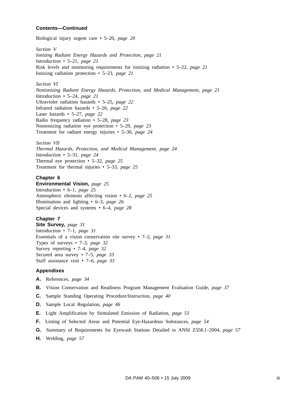#### **Contents—Continued**

Biological injury urgent care • 5–20, *page 20*

*Section V Ionizing Radiant Energy Hazards and Protection, page 21* Introduction • 5–21, *page 21* Risk levels and monitoring requirements for ionizing radiation • 5–22, *page 21* Ionizing radiation protection • 5–23, *page 21*

#### *Section VI*

*Nonionizing Radiant Energy Hazards, Protection, and Medical Management, page 21* Introduction • 5–24, *page 21* Ultraviolet radiation hazards • 5–25, *page 22* Infrared radiation hazards • 5–26, *page 22* Laser hazards • 5–27, *page 22* Radio frequency radiation • 5–28, *page 23* Nonionizing radiation eye protection • 5–29, *page 23* Treatment for radiant energy injuries • 5–30, *page 24*

*Section VII*

*Thermal Hazards, Protection, and Medical Management, page 24* Introduction • 5–31, *page 24* Thermal eye protection • 5–32, *page 25* Treatment for thermal injuries • 5–33, *page 25*

# **Chapter 6**

**Environmental Vision,** *page 25* Introduction • 6–1, *page 25* Atmospheric elements affecting vision • 6–2, *page 25* Illumination and lighting • 6–3, *page 26* Special devices and systems • 6–4, *page 28*

#### **Chapter 7**

**Site Survey,** *page 31* Introduction • 7–1, *page 31* Essentials of a vision conservation site survey • 7–2, *page 31* Types of surveys • 7–3, *page 32* Survey reporting • 7–4, *page 32* Secured area survey • 7–5, *page 33* Staff assistance visit • 7–6, *page 33*

#### **Appendixes**

- **A.** References, *page 34*
- **B.** Vision Conservation and Readiness Program Management Evaluation Guide, *page 37*
- **C.** Sample Standing Operating Procedure/Instruction, *page 40*
- **D.** Sample Local Regulation, *page 46*
- **E.** Light Amplification by Stimulated Emission of Radiation, *page 51*
- **F.** Listing of Selected Areas and Potential Eye-Hazardous Substances, *page 54*
- **G.** Summary of Requirements for Eyewash Stations Detailed in ANSI Z358.1–2004, *page 57*
- **H.** Welding, *page 57*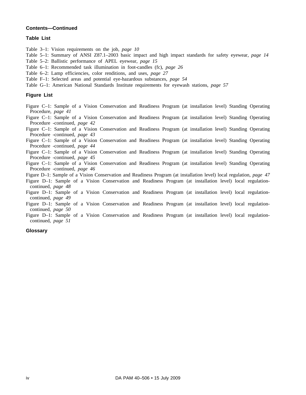#### **Contents—Continued**

# **Table List**

Table 3–1: Vision requirements on the job, *page 10*

- Table 5–1: Summary of ANSI Z87.1–2003 basic impact and high impact standards for safety eyewear, *page 14*
- Table 5–2: Ballistic performance of APEL eyewear, *page 15*
- Table 6–1: Recommended task illumination in foot-candles (fc), *page 26*
- Table 6–2: Lamp efficiencies, color renditions, and uses, *page 27*
- Table F–1: Selected areas and potential eye-hazardous substances, *page 54*
- Table G–1: American National Standards Institute requirements for eyewash stations, *page 57*

#### **Figure List**

- Figure C–1: Sample of a Vision Conservation and Readiness Program (at installation level) Standing Operating Procedure, *page 41*
- Figure C–1: Sample of a Vision Conservation and Readiness Program (at installation level) Standing Operating Procedure -continued, *page 42*
- Figure C–1: Sample of a Vision Conservation and Readiness Program (at installation level) Standing Operating Procedure -continued, *page 43*
- Figure C–1: Sample of a Vision Conservation and Readiness Program (at installation level) Standing Operating Procedure -continued, *page 44*
- Figure C–1: Sample of a Vision Conservation and Readiness Program (at installation level) Standing Operating Procedure -continued, *page 45*
- Figure C–1: Sample of a Vision Conservation and Readiness Program (at installation level) Standing Operating Procedure -continued, *page 46*
- Figure D–1: Sample of a Vision Conservation and Readiness Program (at installation level) local regulation, *page 47*
- Figure D–1: Sample of a Vision Conservation and Readiness Program (at installation level) local regulationcontinued, *page 48*
- Figure D–1: Sample of a Vision Conservation and Readiness Program (at installation level) local regulationcontinued, *page 49*
- Figure D–1: Sample of a Vision Conservation and Readiness Program (at installation level) local regulationcontinued, *page 50*
- Figure D–1: Sample of a Vision Conservation and Readiness Program (at installation level) local regulationcontinued, *page 51*

#### **Glossary**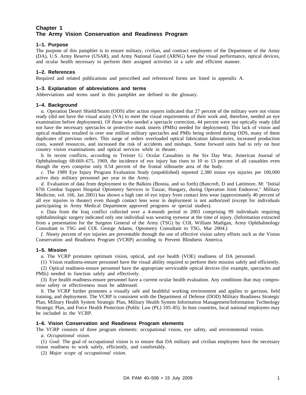# **Chapter 1 The Army Vision Conservation and Readiness Program**

#### **1–1. Purpose**

The purpose of this pamphlet is to ensure military, civilian, and contract employees of the Department of the Army (DA), U.S. Army Reserve (USAR), and Army National Guard (ARNG) have the visual performance, optical devices, and ocular health necessary to perform their assigned activities in a safe and efficient manner.

#### **1–2. References**

Required and related publications and prescribed and referenced forms are listed in appendix A.

#### **1–3. Explanation of abbreviations and terms**

Abbreviations and terms used in this pamphlet are defined in the glossary.

#### **1–4. Background**

*a.* Operation Desert Shield/Storm (ODS) after action reports indicated that 27 percent of the military were not vision ready (did not have the visual acuity (VA) to meet the visual requirements of their work and, therefore, needed an eye examination before deployment). Of those who needed a spectacle correction, 44 percent were not optically ready (did not have the necessary spectacles or protective mask inserts (PMIs) needed for deployment). This lack of vision and optical readiness resulted in over one million military spectacles and PMIs being ordered during ODS, many of them duplicates of previous orders. This surge of orders overloaded optical fabrication laboratories, increased production costs, wasted resources, and increased the risk of accidents and mishaps. Some forward units had to rely on host country vision examinations and optical services while in theater.

*b.* In recent conflicts, according to Treister G: Ocular Casualties in the Six Day War, American Journal of Ophthalmology 68:669–675, 1969, the incidence of eye injury has risen to 10 to 13 percent of all casualties even though the eyes comprise only 0.54 percent of the frontal silhouette area of the body.

*c.* The 1989 Eye Injury Program Evaluation Study (unpublished) reported 2,380 minor eye injuries per 100,000 active duty military personnel per year in the Army.

*d.* Evaluation of data from deployment to the Balkins (Bosnia, and so forth) (Bancroft, D and Lattimore, M: "Initial 67th Combat Support Hospital Optometry Services in Taszar, Hungary, during Operation Joint Endeavor," Military Medicine, vol. 166, Jan 2001) has shown a high rate of eye injury from contact lens wear (approximately 40 percent of all eye injuries in theater) even though contact lens wear in deployment is not authorized (except for individuals participating in Army Medical Department approved programs or special studies).

*e.* Data from the Iraq conflict collected over a 4-month period in 2003 comprising 99 individuals requiring ophthalmologic surgery indicated only one individual was wearing eyewear at the time of injury. (Information extracted from a presentation for the Surgeon General of the Army (TSG) by COL William Madigan, Army Ophthalmology Consultant to TSG and COL George Adams, Optometry Consultant to TSG, Mar 2004.)

*f.* Ninety percent of eye injuries are preventable through the use of effective vision safety efforts such as the Vision Conservation and Readiness Program (VCRP) according to Prevent Blindness America.

#### **1–5. Mission**

*a.* The VCRP promotes optimum vision, optical, and eye health (VOE) readiness of DA personnel.

(1) Vision readiness-ensure personnel have the visual ability required to perform their mission safely and efficiently.

(2) Optical readiness-ensure personnel have the appropriate serviceable optical devices (for example, spectacles and PMIs) needed to function safely and effectively.

(3) Eye health readiness-ensure personnel have a current ocular health evaluation. Any conditions that may compromise safety or effectiveness must be addressed.

*b.* The VCRP further promotes a visually safe and healthful working environment and applies to garrison, field training, and deployment. The VCRP is consistent with the Department of Defense (DOD) Military Readiness Strategic Plan, Military Health System Strategic Plan, Military Health System Information Management/Information Technology Strategic Plan, and Force Health Protection (Public Law (PL) 105–85). In host countries, local national employees may be included in the VCRP.

#### **1–6. Vision Conservation and Readiness Program elements**

The VCRP consists of three program elements: occupational vision, eye safety, and environmental vision.

*a. Occupational vision.*

(1) *Goal.* The goal of occupational vision is to ensure that DA military and civilian employees have the necessary vision readiness to work safely, efficiently, and comfortably.

(2) *Major scope of occupational vision.*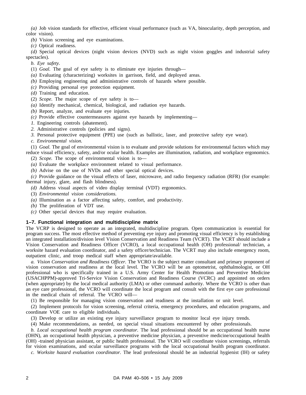*(a)* Job vision standards for effective, efficient visual performance (such as VA, binocularity, depth perception, and color vision).

- *(b)* Vision screening and eye examinations.
- *(c)* Optical readiness.

*(d)* Special optical devices (night vision devices (NVD) such as night vision goggles and industrial safety spectacles).

- *b. Eye safety.*
- (1) *Goal.* The goal of eye safety is to eliminate eye injuries through—
- *(a)* Evaluating (characterizing) worksites in garrison, field, and deployed areas.
- *(b)* Employing engineering and administrative controls of hazards where possible.
- *(c)* Providing personal eye protection equipment.
- *(d)* Training and education.
- (2) *Scope*. The major scope of eye safety is to—
- *(a)* Identify mechanical, chemical, biological, and radiation eye hazards.
- *(b)* Report, analyze, and evaluate eye injuries.
- *(c)* Provide effective countermeasures against eye hazards by implementing—
- *1.* Engineering controls (abatement).
- *2.* Administrative controls (policies and signs).
- *3.* Personal protective equipment (PPE) use (such as ballistic, laser, and protective safety eye wear).

*c. Environmental vision.*

(1) *Goal.* The goal of environmental vision is to evaluate and provide solutions for environmental factors which may reduce visual efficiency, safety, and/or ocular health. Examples are illumination, radiation, and workplace ergonomics.

(2) *Scope.* The scope of environmental vision is to—

*(a)* Evaluate the workplace environment related to visual performance.

*(b)* Advise on the use of NVDs and other special optical devices.

*(c)* Provide guidance on the visual effects of laser, microwave, and radio frequency radiation (RFR) (for example: thermal injury, glare, and flash blindness).

- *(d)* Address visual aspects of video display terminal (VDT) ergonomics.
- (3) *Environmental vision considerations.*
- *(a)* Illumination as a factor affecting safety, comfort, and productivity.
- *(b)* The proliferation of VDT use.
- *(c)* Other special devices that may require evaluation.

#### **1–7. Functional integration and multidiscipline matrix**

The VCRP is designed to operate as an integrated, multidiscipline program. Open communication is essential for program success. The most effective method of preventing eye injury and promoting visual efficiency is by establishing an integrated installation/division level Vision Conservation and Readiness Team (VCRT). The VCRT should include a Vision Conservation and Readiness Officer (VCRO), a local occupational health (OH) professional/ technician, a worksite hazard evaluation coordinator, and a safety officer/technician. The VCRT may also include emergency room, outpatient clinic, and troop medical staff when appropriate/available.

*a. Vision Conservation and Readiness Officer.* The VCRO is the subject matter consultant and primary proponent of vision conservation and readiness at the local level. The VCRO will be an optometrist, ophthalmologist, or OH professional who is specifically trained in a U.S. Army Center for Health Promotion and Preventive Medicine (USACHPPM)-approved Tri-Service Vision Conservation and Readiness Course (VCRC) and appointed on orders (when appropriate) by the local medical authority (LMA) or other command authority. Where the VCRO is other than an eye care professional, the VCRO will coordinate the local program and consult with the first eye care professional in the medical chain of referral. The VCRO will—

(1) Be responsible for managing vision conservation and readiness at the installation or unit level.

(2) Implement protocols for vision screening, referral criteria, emergency procedures, and education programs, and coordinate VOE care to eligible individuals.

(3) Develop or utilize an existing eye injury surveillance program to monitor local eye injury trends.

(4) Make recommendations, as needed, on special visual situations encountered by other professionals.

*b. Local occupational health program coordinator.* The lead professional should be an occupational health nurse (OHN), an occupational health physician, a preventive medicine physician, a preventive medicine/occupational health (OH) -trained physician assistant, or public health professional. The VCRO will coordinate vision screenings, referrals for vision examinations, and ocular surveillance programs with the local occupational health program coordinator.

*c. Worksite hazard evaluation coordinator.* The lead professional should be an industrial hygienist (IH) or safety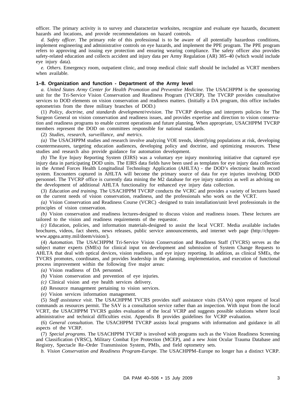officer. The primary activity is to survey and characterize worksites, recognize and evaluate eye hazards, document hazards and locations, and provide recommendations on hazard controls.

*d. Safety officer.* The primary role of this professional is to be aware of all potentially hazardous conditions, implement engineering and administrative controls on eye hazards, and implement the PPE program. The PPE program refers to approving and issuing eye protection and ensuring wearing compliance. The safety officer also provides safety-related education and collects accident and injury data per Army Regulation (AR) 385–40 (which would include eye injury data).

*e. Others.* Emergency room, outpatient clinic, and troop medical clinic staff should be included as VCRT members when available.

#### **1–8. Organization and function - Department of the Army level**

*a. United States Army Center for Health Promotion and Preventive Medicine.* The USACHPPM is the sponsoring unit for the Tri-Service Vision Conservation and Readiness Program (TVCRP). The TVCRP provides consultative services to DOD elements on vision conservation and readiness matters. (Initially a DA program, this office includes optometrists from the three military branches of DOD.)

(1) *Policy, doctrine, and standards development/revision*. The TVCRP develops and interprets policies for The Surgeon General on vision conservation and readiness issues, and provides expertise and direction to vision conservation and readiness programs to enable current operations and future planning. When appropriate, USACHPPM TVCRP members represent the DOD on committees responsible for national standards.

(2) *Studies, research, surveillance, and metrics*.

*(a)* The USACHPPM studies and research involve analyzing VOE trends, identifying populations at risk, developing countermeasures, targeting education audiences, developing policy and doctrine, and optimizing resources. These studies and research also provide guidance for automation development.

(b) The Eye Injury Reporting System (EIRS) was a voluntary eye injury monitoring initiative that captured eye injury data in participating DOD units. The EIRS data fields have been used as templates for eye injury data collection in the Armed Forces Health Longitudinal Technology Application (AHLTA) - the DOD's electronic health record system. Encounters captured in AHLTA will become the primary source of data for eye injuries involving DOD personnel. The TVCRP office is currently data mining the M2 database for eye injury statistics as well as advising on the development of additional AHLTA functionality for enhanced eye injury data collection.

(3) *Education and training.* The USACHPPM TVCRP conducts the VCRC and provides a variety of lectures based on the current needs of vision conservation, readiness, and the professionals who work on the VCRT.

*(a)* Vision Conservation and Readiness Course (VCRC) -designed to train installation/unit level professionals in the principles of vision conservation.

*(b)* Vision conservation and readiness lectures-designed to discuss vision and readiness issues. These lectures are tailored to the vision and readiness requirements of the requestor.

*(c)* Education, policies, and information materials-designed to assist the local VCRT. Media available includes brochures, videos, fact sheets, news releases, public service announcements, and internet web page (http://chppmwww.apgea.army.mil/doem/vision/).

(4) *Automation.* The USACHPPM Tri-Service Vision Conservation and Readiness Staff (TVCRS) serves as the subject matter experts (SMEs) for clinical input on development and submission of System Change Requests to AHLTA that deal with optical devices, vision readiness, and eye injury reporting. In addition, as clinical SMEs, the TVCRS promotes, coordinates, and provides leadership in the planning, implementation, and execution of functional process improvement within the following five major areas:

*(a)* Vision readiness of DA personnel.

*(b)* Vision conservation and prevention of eye injuries.

*(c)* Clinical vision and eye health services delivery.

*(d)* Resource management pertaining to vision services.

*(e)* Vision services information management.

(5) *Staff assistance visit.* The USACHPPM TVCRS provides staff assistance visits (SAVs) upon request of local commands as resources permit. The SAV is a consultation service rather than an inspection. With input from the local VCRT, the USACHPPM TVCRS guides evaluation of the local VCRP and suggests possible solutions where local administrative and technical difficulties exist. Appendix B provides guidelines for VCRP evaluation.

(6) *General consultation.* The USACHPPM TVCRP assists local programs with information and guidance in all aspects of the VCRP.

(7) *Special programs.* The USACHPPM TVCRP is involved with programs such as the Vision Readiness Screening and Classification (VRSC), Military Combat Eye Protection (MCEP), and a new Joint Ocular Trauma Database and Registry, Spectacle Re–Order Transmission System, PMIs, and field optometry sets.

*b. Vision Conservation and Readiness Program-Europe.* The USACHPPM–Europe no longer has a distinct VCRP.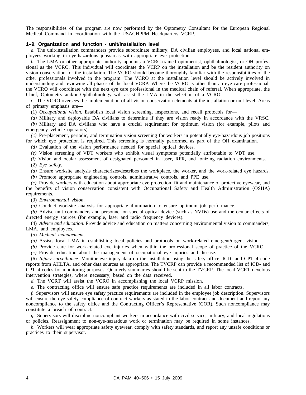The responsibilities of the program are now performed by the Optometry Consultant for the European Regional Medical Command in coordination with the USACHPPM–Headquarters VCRP.

#### **1–9. Organization and function - unit/installation level**

*a.* The unit/installation commanders provide subordinate military, DA civilian employees, and local national employees working in eye-hazardous jobs/areas with appropriate eye protection.

*b.* The LMA or other appropriate authority appoints a VCRC-trained optometrist, ophthalmologist, or OH professional as the VCRO. This individual will coordinate the VCRP on the installation and be the resident authority on vision conservation for the installation. The VCRO should become thoroughly familiar with the responsibilities of the other professionals involved in the program. The VCRO at the installation level should be actively involved in understanding and reviewing all phases of the local VCRP. Where the VCRO is other than an eye care professional, the VCRO will coordinate with the next eye care professional in the medical chain of referral. When appropriate, the Chief, Optometry and/or Ophthalmology will assist the LMA in the selection of a VCRO.

*c.* The VCRO oversees the implementation of all vision conservation elements at the installation or unit level. Areas of primary emphasis are—

(1) *Occupational vision*. Establish local vision screening, inspections, and recall protocols for—

*(a)* Military and deployable DA civilians to determine if they are vision ready in accordance with the VRSC.

*(b)* Military and DA civilians who have a crucial requirement for optimum vision (for example, pilots and emergency vehicle operators).

*(c)* Pre-placement, periodic, and termination vision screening for workers in potentially eye-hazardous job positions for which eye protection is required. This screening is normally performed as part of the OH examination.

*(d)* Evaluation of the vision performance needed for special optical devices.

*(e)* Vision screening of VDT workers who exhibit visual symptoms potentially attributable to VDT use.

*(f)* Vision and ocular assessment of designated personnel in laser, RFR, and ionizing radiation environments.

(2) *Eye safety*.

*(a)* Ensure worksite analysis characterizes/describes the workplace, the worker, and the work-related eye hazards.

*(b)* Promote appropriate engineering controls, administrative controls, and PPE use.

*(c)* Provide workers with education about appropriate eye protection, fit and maintenance of protective eyewear, and the benefits of vision conservation consistent with Occupational Safety and Health Administration (OSHA) requirements.

(3) *Environmental vision*.

*(a)* Conduct worksite analysis for appropriate illumination to ensure optimum job performance.

*(b)* Advise unit commanders and personnel on special optical device (such as NVDs) use and the ocular effects of directed energy sources (for example, laser and radio frequency devices).

(4) *Advice and education*. Provide advice and education on matters concerning environmental vision to commanders, LMA, and employees.

(5) *Medical management*.

*(a)* Assists local LMA in establishing local policies and protocols on work-related emergent/urgent vision.

*(b)* Provide care for work-related eye injuries when within the professional scope of practice of the VCRO.

*(c)* Provide education about the management of occupational eye injuries and disease.

(6) *Injury surveillance*. Monitor eye injury data on the installation using the safety office, ICD- and CPT–4 code reports from AHLTA, and other data sources as appropriate. The TVCRP can provide a recommended list of ICD- and CPT–4 codes for monitoring purposes. Quarterly summaries should be sent to the TVCRP. The local VCRT develops intervention strategies, where necessary, based on the data received.

*d.* The VCRT will assist the VCRO in accomplishing the local VCRP mission.

*e.* The contracting office will ensure safe practice requirements are included in all labor contracts.

*f.* Supervisors will ensure eye safety practice requirements are included in the employee job description. Supervisors will ensure the eye safety compliance of contract workers as stated in the labor contract and document and report any noncompliance to the safety office and the Contracting Officer's Representative (COR). Such noncompliance may constitute a breach of contract.

*g.* Supervisors will discipline noncompliant workers in accordance with civil service, military, and local regulations or policies. Reassignment to non-eye-hazardous work or termination may be required in some instances.

*h.* Workers will wear appropriate safety eyewear, comply with safety standards, and report any unsafe conditions or practices to their supervisor.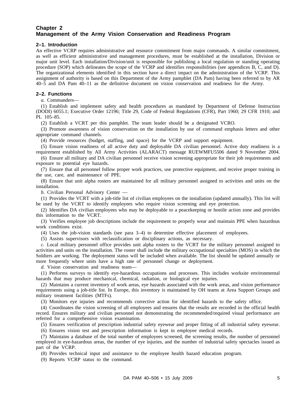# **Chapter 2 Management of the Army Vision Conservation and Readiness Program**

#### **2–1. Introduction**

An effective VCRP requires administrative and resource commitment from major commands. A similar commitment, as well as efficient administrative and management procedures, must be established at the installation, Division or major unit level. Each installation/Division/unit is responsible for publishing a local regulation or standing operating procedure (SOP) which delineates the scope of the VCRP and identifies responsibilities (see appendices B, C, and D). The organizational elements identified in this section have a direct impact on the administration of the VCRP. This assignment of authority is based on this Department of the Army pamphlet (DA Pam) having been referred to by AR 40–5 and DA Pam 40–11 as the definitive document on vision conservation and readiness for the Army.

#### **2–2. Functions**

*a.* Commanders—

(1) Establish and implement safety and health procedures as mandated by Department of Defense Instruction (DODI) 6055.1; Executive Order 12196; Title 29, Code of Federal Regulations (CFR), Part 1960; 29 CFR 1910; and PL 105–85.

(2) Establish a VCRT per this pamphlet. The team leader should be a designated VCRO.

(3) Promote awareness of vision conservation on the installation by use of command emphasis letters and other appropriate command channels.

(4) Provide resources (budget, staffing, and space) for the VCRP and support equipment.

(5) Ensure vision readiness of all active duty and deployable DA civilian personnel. Active duty readiness is a requirement established by All Army Activities (ALARACT) message RUEWMFU5506 dated 9 November 2004.

(6) Ensure all military and DA civilian personnel receive vision screening appropriate for their job requirements and exposure to potential eye hazards.

(7) Ensure that all personnel follow proper work practices, use protective equipment, and receive proper training in the use, care, and maintenance of PPE.

(8) Ensure that unit alpha rosters are maintained for all military personnel assigned to activities and units on the installation.

*b.* Civilian Personal Advisory Center —

(1) Provides the VCRT with a job-title list of civilian employees on the installation (updated annually). This list will be used by the VCRT to identify employees who require vision screening and eye protection.

(2) Identifies DA civilian employees who may be deployable to a peacekeeping or hostile action zone and provides this information to the VCRT.

(3) Verifies employee job descriptions include the requirement to properly wear and maintain PPE when hazardous work conditions exist.

(4) Uses the job-vision standards (see para 3–4) to determine effective placement of employees.

(5) Assists supervisors with reclassification or disciplinary actions, as necessary.

*c.* Local military personnel office provides unit alpha rosters to the VCRT for the military personnel assigned to activities and units on the installation. The roster shall include the military occupational specialties (MOS) in which the Soldiers are working. The deployment status will be included when available. The list should be updated annually or more frequently where units have a high rate of personnel change or deployment.

*d.* Vision conservation and readiness team—

(1) Performs surveys to identify eye-hazardous occupations and processes. This includes worksite environmental hazards that may produce mechanical, chemical, radiation, or biological eye injuries.

(2) Maintains a current inventory of work areas, eye hazards associated with the work areas, and vision performance requirements using a job-title list. In Europe, this inventory is maintained by OH teams at Area Support Groups and military treatment facilities (MTFs).

(3) Monitors eye injuries and recommends corrective action for identified hazards to the safety office.

(4) Coordinates the vision screening of all employees and ensures that the results are recorded in the official health record. Ensures military and civilian personnel not demonstrating the recommended/required visual performance are referred for a comprehensive vision examination.

(5) Ensures verification of prescription industrial safety eyewear and proper fitting of all industrial safety eyewear.

(6) Ensures vision test and prescription information is kept in employee medical records.

(7) Maintains a database of the total number of employees screened, the screening results, the number of personnel employed in eye-hazardous areas, the number of eye injuries, and the number of industrial safety spectacles issued as part of the VCRP.

(8) Provides technical input and assistance to the employee health hazard education program.

(9) Reports VCRP status to the command.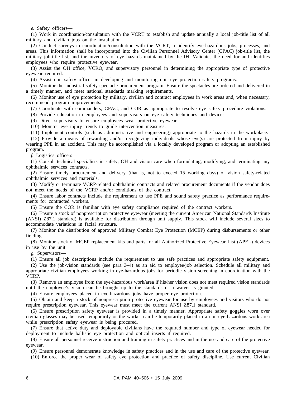*e.* Safety officers—

(1) Work in coordination/consultation with the VCRT to establish and update annually a local job-title list of all military and civilian jobs on the installation.

(2) Conduct surveys in coordination/consultation with the VCRT, to identify eye-hazardous jobs, processes, and areas. This information shall be incorporated into the Civilian Personnel Advisory Center (CPAC) job-title list, the military job-title list, and the inventory of eye hazards maintained by the IH. Validates the need for and identifies employees who require protective eyewear.

(3) Assist the OH office, VCRO, and supervisory personnel in determining the appropriate type of protective eyewear required.

(4) Assist unit safety officer in developing and monitoring unit eye protection safety programs.

(5) Monitor the industrial safety spectacle procurement program. Ensure the spectacles are ordered and delivered in a timely manner, and meet national standards marking requirements.

(6) Monitor use of eye protection by military, civilian and contract employees in work areas and, when necessary, recommend program improvements.

(7) Coordinate with commanders, CPAC, and COR as appropriate to resolve eye safety procedure violations.

(8) Provide education to employees and supervisors on eye safety techniques and devices.

(9) Direct supervisors to ensure employees wear protective eyewear.

(10) Monitor eye injury trends to guide intervention measures.

(11) Implement controls (such as administrative and engineering) appropriate to the hazards in the workplace.

(12) Provide a means of rewarding and/or recognizing individuals whose eye(s) are protected from injury by wearing PPE in an accident. This may be accomplished via a locally developed program or adopting an established program.

*f.* Logistics officers—

(1) Consult technical specialists in safety, OH and vision care when formulating, modifying, and terminating any ophthalmic services contracts.

(2) Ensure timely procurement and delivery (that is, not to exceed 15 working days) of vision safety-related ophthalmic services and materials.

(3) Modify or terminate VCRP-related ophthalmic contracts and related procurement documents if the vendor does not meet the needs of the VCRP and/or conditions of the contract.

(4) Ensure labor contracts include the requirement to use PPE and sound safety practice as performance requirements for contracted workers.

(5) Ensure the COR is familiar with eye safety compliance required of the contract workers.

(6) Ensure a stock of nonprescription protective eyewear (meeting the current American National Standards Institute (ANSI) Z87.1 standard) is available for distribution through unit supply. This stock will include several sizes to accommodate variations in facial structure.

(7) Monitor the distribution of approved Military Combat Eye Protection (MCEP) during disbursements or other fielding.

(8) Monitor stock of MCEP replacement kits and parts for all Authorized Protective Eyewear List (APEL) devices in use by the unit.

*g.* Supervisors—

(1) Ensure all job descriptions include the requirement to use safe practices and appropriate safety equipment.

(2) Use the job-vision standards (see para 3–4) as an aid to employee/job selection. Schedule all military and appropriate civilian employees working in eye-hazardous jobs for periodic vision screening in coordination with the VCRP.

(3) Remove an employee from the eye-hazardous work/area if his/her vision does not meet required vision standards until the employee's vision can be brought up to the standards or a waiver is granted.

(4) Ensure employees placed in eye-hazardous jobs have proper eye protection.

(5) Obtain and keep a stock of nonprescription protective eyewear for use by employees and visitors who do not require prescription eyewear. This eyewear must meet the current ANSI Z87.1 standard.

(6) Ensure prescription safety eyewear is provided in a timely manner. Appropriate safety goggles worn over civilian glasses may be used temporarily or the worker can be temporarily placed in a non-eye-hazardous work area while prescription safety eyewear is being procured.

(7) Ensure that active duty and deployable civilians have the required number and type of eyewear needed for deployment to include ballistic eye protection and optical inserts if required.

(8) Ensure all personnel receive instruction and training in safety practices and in the use and care of the protective eyewear.

(9) Ensure personnel demonstrate knowledge in safety practices and in the use and care of the protective eyewear.

(10) Enforce the proper wear of safety eye protection and practice of safety discipline. Use current Civilian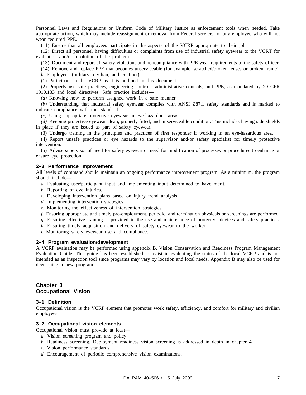Personnel Laws and Regulations or Uniform Code of Military Justice as enforcement tools when needed. Take appropriate action, which may include reassignment or removal from Federal service, for any employee who will not wear required PPE.

(11) Ensure that all employees participate in the aspects of the VCRP appropriate to their job.

(12) Direct all personnel having difficulties or complaints from use of industrial safety eyewear to the VCRT for evaluation and/or resolution of the problem.

(13) Document and report all safety violations and noncompliance with PPE wear requirements to the safety officer.

(14) Remove and replace PPE that becomes unserviceable (for example, scratched/broken lenses or broken frame).

*h.* Employees (military, civilian, and contract)—

(1) Participate in the VCRP as it is outlined in this document.

(2) Properly use safe practices, engineering controls, administrative controls, and PPE, as mandated by 29 CFR 1910.133 and local directives. Safe practice includes—

*(a)* Knowing how to perform assigned work in a safe manner.

*(b)* Understanding that industrial safety eyewear complies with ANSI Z87.1 safety standards and is marked to indicate compliance with this standard.

*(c)* Using appropriate protective eyewear in eye-hazardous areas.

*(d)* Keeping protective eyewear clean, properly fitted, and in serviceable condition. This includes having side shields in place if they are issued as part of safety eyewear.

(3) Undergo training in the principles and practices of first responder if working in an eye-hazardous area.

(4) Report unsafe practices or eye hazards to the supervisor and/or safety specialist for timely protective intervention.

(5) Advise supervisor of need for safety eyewear or need for modification of processes or procedures to enhance or ensure eye protection.

#### **2–3. Performance improvement**

All levels of command should maintain an ongoing performance improvement program. As a minimum, the program should include—

- *a.* Evaluating user/participant input and implementing input determined to have merit.
- *b.* Reporting of eye injuries.
- *c.* Developing intervention plans based on injury trend analysis.
- *d.* Implementing intervention strategies.
- *e.* Monitoring the effectiveness of intervention strategies.
- *f.* Ensuring appropriate and timely pre-employment, periodic, and termination physicals or screenings are performed.
- *g.* Ensuring effective training is provided in the use and maintenance of protective devices and safety practices.
- *h.* Ensuring timely acquisition and delivery of safety eyewear to the worker.
- *i.* Monitoring safety eyewear use and compliance.

#### **2–4. Program evaluation/development**

A VCRP evaluation may be performed using appendix B, Vision Conservation and Readiness Program Management Evaluation Guide. This guide has been established to assist in evaluating the status of the local VCRP and is not intended as an inspection tool since programs may vary by location and local needs. Appendix B may also be used for developing a new program.

# **Chapter 3 Occupational Vision**

#### **3–1. Definition**

Occupational vision is the VCRP element that promotes work safety, efficiency, and comfort for military and civilian employees.

#### **3–2. Occupational vision elements**

Occupational vision must provide at least—

- *a.* Vision screening program and policy.
- *b.* Readiness screening. Deployment readiness vision screening is addressed in depth in chapter 4.
- *c.* Vision performance standards.
- *d.* Encouragement of periodic comprehensive vision examinations.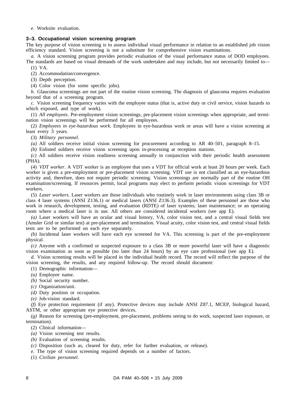*e.* Worksite evaluation.

#### **3–3. Occupational vision screening program**

The key purpose of vision screening is to assess individual visual performance in relation to an established job vision efficiency standard. Vision screening is not a substitute for comprehensive vision examinations.

*a.* A vision screening program provides periodic evaluation of the visual performance status of DOD employees. The standards are based on visual demands of the work undertaken and may include, but not necessarily limited to— (1) VA.

(2) Accommodation/convergence.

(3) Depth perception.

(4) Color vision (for some specific jobs).

*b.* Glaucoma screenings are not part of the routine vision screening. The diagnosis of glaucoma requires evaluation beyond that of a screening program.

*c.* Vision screening frequency varies with the employee status (that is, active duty or civil service, vision hazards to which exposed, and type of work).

(1) *All employees*. Pre-employment vision screenings, pre-placement vision screenings when appropriate, and termination vision screenings will be performed for all employees.

(2) *Employees in eye-hazardous work*. Employees in eye-hazardous work or areas will have a vision screening at least every 3 years.

(3) *Military personnel*.

*(a)* All soldiers receive initial vision screening for procurement according to AR 40–501, paragraph 8–15.

*(b)* Enlisted soldiers receive vision screening upon in-processing at reception stations.

*(c)* All soldiers receive vision readiness screening annually in conjunction with their periodic health assessment (PHA).

(4) *VDT worker*. A VDT worker is an employee that uses a VDT for official work at least 20 hours per week. Each worker is given a pre-employment or pre-placement vision screening. VDT use is not classified as an eye-hazardous activity and, therefore, does not require periodic screening. Vision screenings are normally part of the routine OH examination/screening. If resources permit, local programs may elect to perform periodic vision screenings for VDT workers.

(5) *Laser workers*. Laser workers are those individuals who routinely work in laser environments using class 3B or class 4 laser systems (ANSI Z136.1) or medical lasers (ANSI Z136.3). Examples of these personnel are those who work in research, development, testing, and evaluation (RDTE) of laser systems; laser maintenance; or an operating room where a medical laser is in use. All others are considered incidental workers (see app E).

*(a)* Laser workers will have an ocular and visual history, VA, color vision test, and a central visual fields test (Amsler Grid or similar test) at pre-placement and termination. Visual acuity, color vision test, and central visual fields tests are to be performed on each eye separately.

*(b)* Incidental laser workers will have each eye screened for VA. This screening is part of the pre-employment physical.

*(c)* Anyone with a confirmed or suspected exposure to a class 3B or more powerful laser will have a diagnostic vision examination as soon as possible (no later than 24 hours) by an eye care professional (see app E).

*d.* Vision screening results will be placed in the individual health record. The record will reflect the purpose of the vision screening, the results, and any required follow-up. The record should document:

(1) Demographic information—

*(a)* Employee name.

*(b)* Social security number.

*(c)* Organization/unit.

*(d)* Duty position or occupation.

*(e)* Job-vision standard.

*(f)* Eye protection requirement (if any). Protective devices may include ANSI Z87.1, MCEP, biological hazard, ASTM, or other appropriate eye protective devices.

*(g)* Reason for screening (pre-employment, pre-placement, problems seeing to do work, suspected laser exposure, or termination).

- (2) Clinical information—
- *(a)* Vision screening test results.
- *(b)* Evaluation of screening results.

*(c)* Disposition (such as, cleared for duty, refer for further evaluation, or release).

*e.* The type of vision screening required depends on a number of factors.

(1) *Civilian personnel*.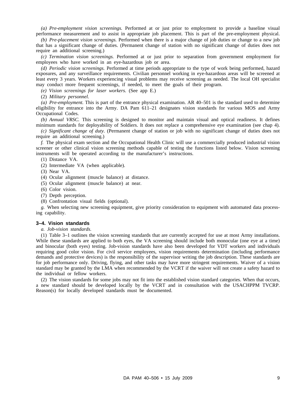*(a) Pre-employment vision screenings.* Performed at or just prior to employment to provide a baseline visual performance measurement and to assist in appropriate job placement. This is part of the pre-employment physical.

*(b) Pre-placement vision screenings.* Performed when there is a major change of job duties or change to a new job that has a significant change of duties. (Permanent change of station with no significant change of duties does not require an additional screening.)

*(c) Termination vision screenings.* Performed at or just prior to separation from government employment for employees who have worked in an eye-hazardous job or area.

*(d) Periodic vision screenings.* Performed at time periods appropriate to the type of work being performed, hazard exposures, and any surveillance requirements. Civilian personnel working in eye-hazardous areas will be screened at least every 3 years. Workers experiencing visual problems may receive screening as needed. The local OH specialist may conduct more frequent screenings, if needed, to meet the goals of their program.

*(e) Vision screenings for laser workers.* (See app E.)

(2) *Military personnel*.

*(a) Pre-employment.* This is part of the entrance physical examination. AR 40–501 is the standard used to determine eligibility for entrance into the Army. DA Pam 611–21 designates vision standards for various MOS and Army Occupational Codes.

*(b) Annual VRSC.* This screening is designed to monitor and maintain visual and optical readiness. It defines minimum standards for deployability of Soldiers. It does not replace a comprehensive eye examination (see chap 4).

*(c) Significant change of duty.* (Permanent change of station or job with no significant change of duties does not require an additional screening.)

*f.* The physical exam section and the Occupational Health Clinic will use a commercially produced industrial vision screener or other clinical vision screening methods capable of testing the functions listed below. Vision screening instruments will be operated according to the manufacturer's instructions.

(1) Distance VA.

(2) Intermediate VA (when applicable).

(3) Near VA.

(4) Ocular alignment (muscle balance) at distance.

(5) Ocular alignment (muscle balance) at near.

(6) Color vision.

(7) Depth perception.

(8) Confrontation visual fields (optional).

*g.* When selecting new screening equipment, give priority consideration to equipment with automated data processing capability.

#### **3–4. Vision standards**

*a. Job-vision standards.*

(1) Table 3–1 outlines the vision screening standards that are currently accepted for use at most Army installations. While these standards are applied to both eyes, the VA screening should include both monocular (one eye at a time) and binocular (both eyes) testing. Job-vision standards have also been developed for VDT workers and individuals requiring good color vision. For civil service employees, vision requirements determination (including performance demands and protective devices) is the responsibility of the supervisor writing the job description. These standards are for job performance only. Driving, flying, and other tasks may have more stringent requirements. Waiver of a vision standard may be granted by the LMA when recommended by the VCRT if the waiver will not create a safety hazard to the individual or fellow workers.

(2) The vision standards for some jobs may not fit into the established vision standard categories. When that occurs, a new standard should be developed locally by the VCRT and in consultation with the USACHPPM TVCRP. Reason(s) for locally developed standards must be documented.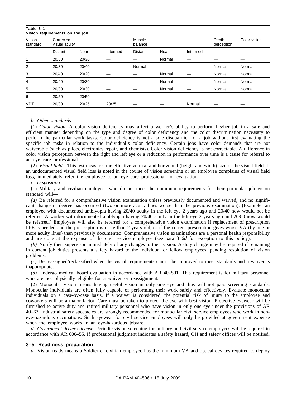#### **Table 3–1**

| Vision requirements on the job |                            |       |          |                   |        |          |                     |              |
|--------------------------------|----------------------------|-------|----------|-------------------|--------|----------|---------------------|--------------|
| Vision<br>standard             | Corrected<br>visual acuity |       |          | Muscle<br>balance |        |          | Depth<br>perception | Color vision |
|                                | <b>Distant</b>             | Near  | Intermed | <b>Distant</b>    | Near   | Intermed |                     |              |
|                                | 20/50                      | 20/30 |          |                   | Normal |          |                     |              |
| 2                              | 20/30                      | 20/40 |          | Normal            |        |          | Normal              | Normal       |
| 3                              | 20/40                      | 20/20 |          |                   | Normal |          | Normal              | Normal       |
| 4                              | 20/40                      | 20/30 |          |                   | Normal |          | Normal              | Normal       |
| 5                              | 20/30                      | 20/30 |          |                   | Normal |          | Normal              | Normal       |
| 6                              | 20/50                      | 20/50 |          |                   |        |          |                     | –            |
| <b>VDT</b>                     | 20/30                      | 20/25 | 20/25    |                   |        | Normal   |                     |              |

#### *b. Other standards.*

(1) *Color vision.* A color vision deficiency may affect a worker's ability to perform his/her job in a safe and efficient manner depending on the type and degree of color deficiency and the color discrimination necessary to perform the particular work tasks. Color deficiency is not a sole disqualifier for a job without first evaluating the specific job tasks in relation to the individual's color deficiency. Certain jobs have color demands that are not waiverable (such as pilots, electronics repair, and chemists). Color vision deficiency is not correctable. A difference in color vision perception between the right and left eye or a reduction in performance over time is a cause for referral to an eye care professional.

(2) *Visual fields*. This test measures the effective vertical and horizontal (height and width) size of the visual field. If an undocumented visual field loss is noted in the course of vision screening or an employee complains of visual field loss, immediately refer the employee to an eye care professional for evaluation.

#### *c. Disposition.*

(1) Military and civilian employees who do not meet the minimum requirements for their particular job vision standard will—

*(a)* Be referred for a comprehensive vision examination unless previously documented and waived, and no significant change in degree has occurred (two or more acuity lines worse than the previous examination). (Example: an employee with documented amblyopia having 20/40 acuity in the left eye 2 years ago and 20/40 now would not be referred. A worker with documented amblyopia having 20/40 acuity in the left eye 2 years ago and 20/80 now would be referred.) Employees will also be referred for a comprehensive vision examination if replacement of prescription PPE is needed and the prescription is more than 2 years old, or if the current prescription gives worse VA (by one or more acuity lines) than previously documented. Comprehensive vision examinations are a personal health responsibility and are done at the expense of the civil service employee (see para 3–6*d* for exception to this policy).

*(b)* Notify their supervisor immediately of any changes to their vision. A duty change may be required if remaining in current job duties presents a safety hazard to the individual or fellow employees, pending resolution of vision problems.

*(c)* Be reassigned/reclassified when the visual requirements cannot be improved to meet standards and a waiver is inappropriate.

*(d)* Undergo medical board evaluation in accordance with AR 40–501. This requirement is for military personnel who are not physically eligible for a waiver or reassignment.

(2) Monocular vision means having useful vision in only one eye and thus will not pass screening standards. Monocular individuals are often fully capable of performing their work safely and effectively. Evaluate monocular individuals on a case-by-case basis. If a waiver is considered, the potential risk of injury to the employee and coworkers will be a major factor. Care must be taken to protect the eye with best vision. Protective eyewear will be furnished to active duty and retired military personnel who have vision in only one eye under the provisions of AR 40–63. Industrial safety spectacles are strongly recommended for monocular civil service employees who work in noneye-hazardous occupations. Such eyewear for civil service employees will only be provided at government expense when the employee works in an eye-hazardous job/area.

*d. Government drivers license.* Periodic vision screening for military and civil service employees will be required in accordance with AR 600–55. If professional judgment indicates a safety hazard, OH and safety offices will be notified.

#### **3–5. Readiness preparation**

*a.* Vision ready means a Soldier or civilian employee has the minimum VA and optical devices required to deploy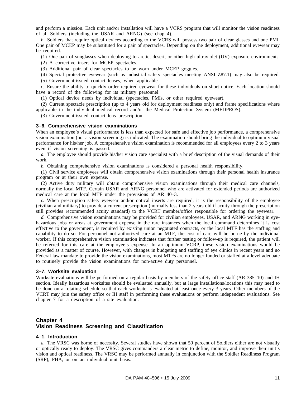and perform a mission. Each unit and/or installation will have a VCRS program that will monitor the vision readiness of all Soldiers (including the USAR and ARNG) (see chap 4).

*b.* Soldiers that require optical devices according to the VCRS will possess two pair of clear glasses and one PMI. One pair of MCEP may be substituted for a pair of spectacles. Depending on the deployment, additional eyewear may be required.

(1) One pair of sunglasses when deploying to arctic, desert, or other high ultraviolet (UV) exposure environments.

(2) A corrective insert for MCEP spectacles.

(3) Additional pair of clear spectacles to be worn under MCEP goggles.

(4) Special protective eyewear (such as industrial safety spectacles meeting ANSI Z87.1) may also be required.

(5) Government-issued contact lenses, when applicable.

*c.* Ensure the ability to quickly order required eyewear for these individuals on short notice. Each location should have a record of the following for its military personnel:

(1) Optical device needs by individual (spectacles, PMIs, or other required eyewear).

(2) Current spectacle prescription (up to 4 years old for deployment readiness only) and frame specifications where applicable in the individual medical record and/or the Medical Protection System (MEDPROS).

(3) Government-issued contact lens prescription.

#### **3–6. Comprehensive vision examinations**

When an employee's visual performance is less than expected for safe and effective job performance, a comprehensive vision examination (not a vision screening) is indicated. The examination should bring the individual to optimum visual performance for his/her job. A comprehensive vision examination is recommended for all employees every 2 to 3 years even if vision screening is passed.

*a.* The employee should provide his/her vision care specialist with a brief description of the visual demands of their work.

*b.* Obtaining comprehensive vision examinations is considered a personal health responsibility.

(1) Civil service employees will obtain comprehensive vision examinations through their personal health insurance program or at their own expense.

(2) Active duty military will obtain comprehensive vision examinations through their medical care channels, normally the local MTF. Certain USAR and ARNG personnel who are activated for extended periods are authorized medical care at the local MTF under the provisions of AR 40–3.

*c.* When prescription safety eyewear and/or optical inserts are required, it is the responsibility of the employee (civilian and military) to provide a current prescription (normally less than 2 years old if acuity through the prescription still provides recommended acuity standard) to the VCRT member/office responsible for ordering the eyewear.

*d.* Comprehensive vision examinations may be provided for civilian employees, USAR, and ARNG working in eyehazardous jobs or areas at government expense in the rare instances when the local command determines it is cost effective to the government, is required by existing union negotiated contracts, or the local MTF has the staffing and capability to do so. For personnel not authorized care at an MTF, the cost of care will be borne by the individual worker. If this comprehensive vision examination indicates that further testing or follow-up is required, the patient will be referred for this care at the employee's expense. In an optimum VCRP, these vision examinations would be provided as a matter of course. However, with changes in budgeting and staffing of eye clinics in recent years and no Federal law mandate to provide the vision examinations, most MTFs are no longer funded or staffed at a level adequate to routinely provide the vision examinations for non-active duty personnel.

#### **3–7. Worksite evaluation**

Worksite evaluations will be performed on a regular basis by members of the safety office staff (AR 385–10) and IH section. Ideally hazardous worksites should be evaluated annually, but at large installations/locations this may need to be done on a rotating schedule so that each worksite is evaluated at least once every 3 years. Other members of the VCRT may join the safety office or IH staff in performing these evaluations or perform independent evaluations. See chapter 7 for a description of a site evaluation.

# **Chapter 4 Vision Readiness Screening and Classification**

#### **4–1. Introduction**

*a.* The VRSC was borne of necessity. Several studies have shown that 50 percent of Soldiers either are not visually or optically ready to deploy. The VRSC gives commanders a clear metric to define, monitor, and improve their unit's vision and optical readiness. The VRSC may be performed annually in conjunction with the Soldier Readiness Program (SRP), PHA, or on an individual unit basis.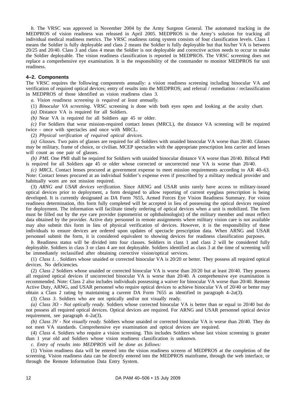*b.* The VRSC was approved in November 2004 by the Army Surgeon General. The automated tracking in the MEDPROS of vision readiness was released in April 2005. MEDPROS is the Army's solution for tracking all individual medical readiness metrics. The VRSC readiness rating system consists of four classification levels. Class 1 means the Soldier is fully deployable and class 2 means the Soldier is fully deployable but that his/her VA is between 20/25 and 20/40. Class 3 and class 4 mean the Soldier is not deployable and corrective action needs to occur to make the Soldier deployable. The vision readiness classification is reported in MEDPROS. The VRSC screening does not replace a comprehensive eye examination. It is the responsibility of the commander to monitor MEDPROS for unit readiness.

#### **4–2. Components**

The VRSC requires the following components annually: a vision readiness screening including binocular VA and verification of required optical devices; entry of results into the MEDPROS; and referral / remediation / reclassification in MEDPROS of those identified as vision readiness class 3.

*a. Vision readiness screening is required at least annually.*

(1) *Binocular VA screening*. VRSC screening is done with both eyes open and looking at the acuity chart.

*(a)* Distance VA is required for all Soldiers.

*(b)* Near VA is required for all Soldiers age 45 or older.

*(c)* For Soldiers that wear mission-required contact lenses (MRCL), the distance VA screening will be required twice - once with spectacles and once with MRCL.

(2) *Physical verification of required optical devices*.

*(a) Glasses.* Two pairs of glasses are required for all Soldiers with unaided binocular VA worse than 20/40. Glasses may be military, frame of choice, or civilian. MCEP spectacles with the appropriate prescription lens carrier and lenses will count as one pair of glasses.

*(b) PMI.* One PMI shall be required for Soldiers with unaided binocular distance VA worse than 20/40. Bifocal PMI is required for all Soldiers age 45 or older whose corrected or uncorrected near VA is worse than 20/40.

*(c) MRCL.* Contact lenses procured at government expense to meet mission requirements according to AR 40–63. Note: Contact lenses procured at an individual Soldier's expense even if prescribed by a military medical provider and habitually worn are not mission required.

(3) *ARNG and USAR devices verification.* Since ARNG and USAR units rarely have access to military-issued optical devices prior to deployment, a form designed to allow reporting of current eyeglass prescription is being developed. It is currently designated as DA Form 7655, Armed Forces Eye Vision Readiness Summary. For vision readiness determination, this form fully completed will be accepted in lieu of possessing the optical devices required for deployment. The information will facilitate timely ordering of optical devices when a unit is mobilized. The form must be filled out by the eye care provider (optometrist or ophthalmologist) of the military member and must reflect data obtained by the provider. Active duty personnel in remote assignments where military vision care is not available may also submit this form in lieu of physical verification of devices. However, it is the responsibility of these individuals to ensure devices are ordered upon updates of spectacle prescription data. When ARNG and USAR personnel submit the form, it is considered equivalent to showing devices for readiness classification purposes.

*b.* Readiness status will be divided into four classes. Soldiers in class 1 and class 2 will be considered fully deployable. Soldiers in class 3 or class 4 are not deployable. Soldiers identified as class 3 at the time of screening will be immediately reclassified after obtaining corrective vision/optical services.

(1) *Class 1.* . Soldiers whose unaided or corrected binocular VA is 20/20 or better. They possess all required optical devices. No deficiencies.

(2) *Class 2* Soldiers whose unaided or corrected binocular VA is worse than 20/20 but at least 20/40. They possess all required optical devices if uncorrected binocular VA is worse than 20/40. A comprehensive eye examination is recommended. Note: Class 2 also includes individuals possessing a waiver for binocular VA worse than 20/40. Remote Active Duty, ARNG, and USAR personnel who require optical devices to achieve binocular VA of 20/40 or better may obtain a Class 2 rating by maintaining a current DA Form 7655 as identified in paragraph 4–2*a*(3).

(3) *Class 3*. Soldiers who are not optically and/or not visually ready.

*(a) Class 3O - Not optically ready.* Soldiers whose corrected binocular VA is better than or equal to 20/40 but do not possess all required optical devices. Optical devices are required. For ARNG and USAR personnel optical device requirement, see paragraph 4–2*a*(3).

*(b) Class 3V - Not visually ready.* Soldiers whose unaided or corrected binocular VA is worse than 20/40. They do not meet VA standards. Comprehensive eye examination and optical devices are required.

(4) *Class 4.* Soldiers who require a vision screening. This includes Soldiers whose last vision screening is greater than 1 year old and Soldiers whose vision readiness classification is unknown.

*c. Entry of results into MEDPROS will be done as follows:*

(1) Vision readiness data will be entered into the vision readiness screens of MEDPROS at the completion of the screening. Vision readiness data can be directly entered into the MEDPROS mainframe, through the web interface, or through the Remote Information Data Entry System.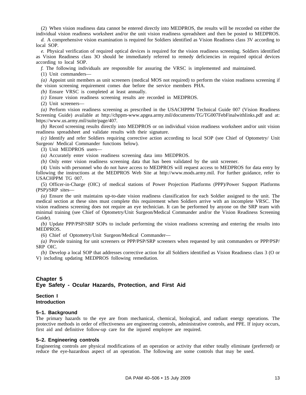(2) When vision readiness data cannot be entered directly into MEDPROS, the results will be recorded on either the individual vision readiness worksheet and/or the unit vision readiness spreadsheet and then be posted to MEDPROS.

*d.* A comprehensive vision examination is required for Soldiers identified as Vision Readiness class 3V according to local SOP.

*e.* Physical verification of required optical devices is required for the vision readiness screening. Soldiers identified as Vision Readiness class 3O should be immediately referred to remedy deficiencies in required optical devices according to local SOP.

*f.* The following individuals are responsible for assuring the VRSC is implemented and maintained.

(1) Unit commanders—

*(a)* Appoint unit members as unit screeners (medical MOS not required) to perform the vision readiness screening if the vision screening requirement comes due before the service members PHA.

*(b)* Ensure VRSC is completed at least annually.

*(c)* Ensure vision readiness screening results are recorded in MEDPROS.

(2) Unit screeners—

*(a)* Perform vision readiness screening as prescribed in the USACHPPM Technical Guide 007 (Vision Readiness Screening Guide) available at http://chppm-www.apgea.army.mil/documents/TG/TG007FebFinalwithlinks.pdf and at: https://www.us.army.mil/suite/page/407.

*(b)* Record screening results directly into MEDPROS or on individual vision readiness worksheet and/or unit vision readiness spreadsheet and validate results with their signature.

*(c)* Identify and refer Soldiers requiring corrective action according to local SOP (see Chief of Optometry/ Unit Surgeon/ Medical Commander functions below).

(3) Unit MEDPROS users—

*(a)* Accurately enter vision readiness screening data into MEDPROS.

*(b)* Only enter vision readiness screening data that has been validated by the unit screener.

(4) Units with personnel who do not have access to MEDPROS will request access to MEDPROS for data entry by following the instructions at the MEDPROS Web Site at http://www.mods.army.mil. For further guidance, refer to USACHPPM TG 007.

(5) Officer-in-Charge (OIC) of medical stations of Power Projection Platforms (PPP)/Power Support Platforms (PSP)/SRP sites—

*(a)* Ensure the unit maintains up-to-date vision readiness classification for each Soldier assigned to the unit. The medical section at these sites must complete this requirement when Soldiers arrive with an incomplete VRSC. The vision readiness screening does not require an eye technician. It can be performed by anyone on the SRP team with minimal training (see Chief of Optometry/Unit Surgeon/Medical Commander and/or the Vision Readiness Screening Guide).

*(b)* Update PPP/PSP/SRP SOPs to include performing the vision readiness screening and entering the results into MEDPROS.

(6) Chief of Optometry/Unit Surgeon/Medical Commander—

*(a)* Provide training for unit screeners or PPP/PSP/SRP screeners when requested by unit commanders or PPP/PSP/ SRP OIC.

*(b)* Develop a local SOP that addresses corrective action for all Soldiers identified as Vision Readiness class 3 (O or V) including updating MEDPROS following remediation.

# **Chapter 5 Eye Safety - Ocular Hazards, Protection, and First Aid**

#### **Section I Introduction**

#### **5–1. Background**

The primary hazards to the eye are from mechanical, chemical, biological, and radiant energy operations. The protective methods in order of effectiveness are engineering controls, administrative controls, and PPE. If injury occurs, first aid and definitive follow-up care for the injured employee are required.

#### **5–2. Engineering controls**

Engineering controls are physical modifications of an operation or activity that either totally eliminate (preferred) or reduce the eye-hazardous aspect of an operation. The following are some controls that may be used.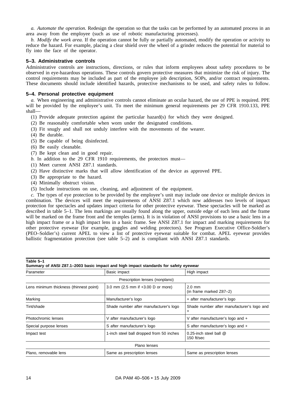*a. Automate the operation.* Redesign the operation so that the tasks can be performed by an automated process in an area away from the employee (such as use of robotic manufacturing processes).

*b. Modify the work area.* If the operation cannot be fully or partially automated, modify the operation or activity to reduce the hazard. For example, placing a clear shield over the wheel of a grinder reduces the potential for material to fly into the face of the operator.

#### **5–3. Administrative controls**

Administrative controls are instructions, directions, or rules that inform employees about safety procedures to be observed in eye-hazardous operations. These controls govern protective measures that minimize the risk of injury. The control requirements may be included as part of the employee job description, SOPs, and/or contract requirements. These documents should include identified hazards, protective mechanisms to be used, and safety rules to follow.

#### **5–4. Personal protective equipment**

*a.* When engineering and administrative controls cannot eliminate an ocular hazard, the use of PPE is required. PPE will be provided by the employee's unit. To meet the minimum general requirements per 29 CFR 1910.133, PPE shall—

- (1) Provide adequate protection against the particular hazard(s) for which they were designed.
- (2) Be reasonably comfortable when worn under the designated conditions.
- (3) Fit snugly and shall not unduly interfere with the movements of the wearer.
- (4) Be durable.
- (5) Be capable of being disinfected.
- (6) Be easily cleanable.
- (7) Be kept clean and in good repair.
- *b.* In addition to the 29 CFR 1910 requirements, the protectors must—
- (1) Meet current ANSI Z87.1 standards.
- (2) Have distinctive marks that will allow identification of the device as approved PPE.
- (3) Be appropriate to the hazard.
- (4) Minimally obstruct vision.
- (5) Include instructions on use, cleaning, and adjustment of the equipment.

*c.* The types of eye protection to be provided by the employee's unit may include one device or multiple devices in combination. The devices will meet the requirements of ANSI Z87.1 which now addresses two levels of impact protection for spectacles and updates impact criteria for other protective eyewear. These spectacles will be marked as described in table 5–1. The lens markings are usually found along the upper, outside edge of each lens and the frame will be marked on the frame front and the temples (arms). It is in violation of ANSI provisions to use a basic lens in a high impact frame or a high impact lens in a basic frame. See ANSI Z87.1 for impact and marking requirements for other protective eyewear (for example, goggles and welding protectors). See Program Executive Office-Soldier's (PEO–Soldier's) current APEL to view a list of protective eyewear suitable for combat. APEL eyewear provides ballistic fragmentation protection (see table 5–2) and is compliant with ANSI Z87.1 standards.

| Table 5-1                               | Summary of ANSI Z87.1-2003 basic impact and high impact standards for safety eyewear |                                                         |  |
|-----------------------------------------|--------------------------------------------------------------------------------------|---------------------------------------------------------|--|
| Parameter                               | Basic impact                                                                         | High impact                                             |  |
|                                         | Prescription lenses (nonplano)                                                       |                                                         |  |
| Lens minimum thickness (thinnest point) | 3.0 mm (2.5 mm if +3.00 D or more)                                                   | $2.0 \text{ mm}$<br>(in frame marked $Z87-2$ )          |  |
| Marking                                 | Manufacturer's logo                                                                  | + after manufacturer's logo                             |  |
| Tint/shade                              | Shade number after manufacturer's logo                                               | Shade number after manufacturer's logo and<br>$\ddot{}$ |  |
| Photochromic lenses                     | V after manufacturer's logo                                                          | V after manufacturer's logo and +                       |  |
| Special purpose lenses                  | S after manufacturer's logo                                                          | S after manufacturer's logo and +                       |  |
| Impact test                             | 1-inch steel ball dropped from 50 inches                                             | $0.25$ -inch steel ball $@$<br>150 ft/sec               |  |
|                                         | Plano lenses                                                                         |                                                         |  |
| Plano, removable lens                   | Same as prescription lenses<br>Same as prescription lenses                           |                                                         |  |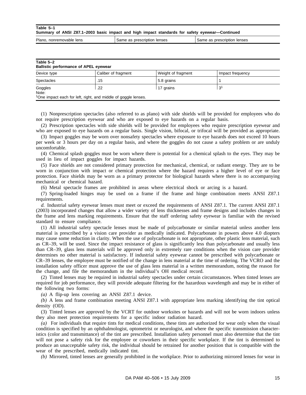| Table 5–1                                                                                      |  |  |
|------------------------------------------------------------------------------------------------|--|--|
| Summary of ANSI Z87.1-2003 basic impact and high impact standards for safety eyewear—Continued |  |  |

| Plano<br>nonremovable lens | Same as prescription lenses | Same as prescription lenses |
|----------------------------|-----------------------------|-----------------------------|
|                            |                             |                             |

| Table 5-2<br><b>Ballistic performance of APEL eyewear</b>                                                                            |                     |                    |                  |  |
|--------------------------------------------------------------------------------------------------------------------------------------|---------------------|--------------------|------------------|--|
| Device type                                                                                                                          | Caliber of fragment | Weight of fragment | Impact frequency |  |
| <b>Spectacles</b>                                                                                                                    | .15                 | 5.8 grains         |                  |  |
| 3 <sup>1</sup><br>.22<br>Goggles<br>17 grains<br>Note:<br><sup>1</sup> One impact each for left, right, and middle of goggle lenses. |                     |                    |                  |  |

(1) Nonprescription spectacles (also referred to as plano) with side shields will be provided for employees who do not require prescription eyewear and who are exposed to eye hazards on a regular basis.

(2) Prescription spectacles with side shields will be provided for employees who require prescription eyewear and who are exposed to eye hazards on a regular basis. Single vision, bifocal, or trifocal will be provided as appropriate.

(3) Impact goggles may be worn over nonsafety spectacles where exposure to eye hazards does not exceed 10 hours per week or 3 hours per day on a regular basis, and where the goggles do not cause a safety problem or are unduly uncomfortable.

(4) Chemical splash goggles must be worn where there is potential for a chemical splash to the eyes. They may be used in lieu of impact goggles for impact hazards.

(5) Face shields are not considered primary protection for mechanical, chemical, or radiant energy. They are to be worn in conjunction with impact or chemical protection where the hazard requires a higher level of eye or face protection. Face shields may be worn as a primary protector for biological hazards where there is no accompanying mechanical or chemical hazard.

(6) Metal spectacle frames are prohibited in areas where electrical shock or arcing is a hazard.

(7) Spring-loaded hinges may be used on a frame if the frame and hinge combination meets ANSI Z87.1 requirements.

*d.* Industrial safety eyewear lenses must meet or exceed the requirements of ANSI Z87.1. The current ANSI Z87.1 (2003) incorporated changes that allow a wider variety of lens thicknesses and frame designs and includes changes in the frame and lens marking requirements. Ensure that the staff ordering safety eyewear is familiar with the revised standard to ensure compliance.

(1) All industrial safety spectacle lenses must be made of polycarbonate or similar material unless another lens material is prescribed by a vision care provider as medically indicated. Polycarbonate in powers above 4.0 diopters may cause some reduction in clarity. When the use of polycarbonate is not appropriate, other plastic lens material, such as CR–39, will be used. Since the impact resistance of glass is significantly less than polycarbonate and usually less than CR–39, glass lens materials will be approved only in extremely rare conditions when the vision care provider determines no other material is satisfactory. If industrial safety eyewear cannot be prescribed with polycarbonate or CR–39 lenses, the employee must be notified of the change in lens material at the time of ordering. The VCRO and the installation safety officer must approve the use of glass lens material in a written memorandum, noting the reason for the change, and file the memorandum in the individual's OH medical record.

(2) Tinted lenses may be required in industrial safety spectacles under certain circumstances. When tinted lenses are required for job performance, they will provide adequate filtering for the hazardous wavelength and may be in either of the following two forms:

*(a)* A flip-up lens covering an ANSI Z87.1 device.

*(b)* A lens and frame combination meeting ANSI Z87.1 with appropriate lens marking identifying the tint optical density (OD).

(3) Tinted lenses are approved by the VCRT for outdoor worksites or hazards and will not be worn indoors unless they also meet protection requirements for a specific indoor radiation hazard.

*(a)* For individuals that require tints for medical conditions, these tints are authorized for wear only when the visual condition is specified by an ophthalmologist, optometrist or neurologist, and where the specific transmission characteristics (color and transmittance) of the tint are prescribed. Installation safety personnel must also determine that the tint will not pose a safety risk for the employee or coworkers in their specific workplace. If the tint is determined to produce an unacceptable safety risk, the individual should be retrained for another position that is compatible with the wear of the prescribed, medically indicated tint.

*(b)* Mirrored, tinted lenses are generally prohibited in the workplace. Prior to authorizing mirrored lenses for wear in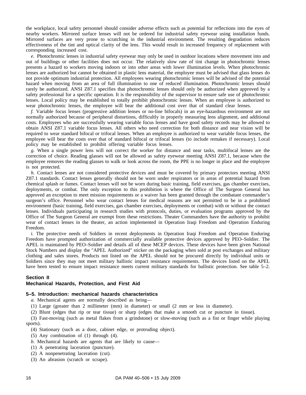the workplace, local safety personnel should consider adverse effects such as potential for reflections into the eyes of nearby workers. Mirrored surface lenses will not be ordered for industrial safety eyewear using installation funds. Mirrored surfaces are very prone to scratching in the industrial environment. The resulting degradation reduces effectiveness of the tint and optical clarity of the lens. This would result in increased frequency of replacement with corresponding increased cost.

*e.* Photochromic lenses in industrial safety eyewear may only be used in outdoor locations where movement into and out of buildings or other facilities does not occur. The relatively slow rate of tint change in photochromic lenses presents a hazard to workers moving indoors or into other areas with lower illumination levels. When photochromic lenses are authorized but cannot be obtained in plastic lens material, the employee must be advised that glass lenses do not provide optimum industrial protection. All employees wearing photochromic lenses will be advised of the potential hazard when moving from an area of full illumination to one of reduced illumination. Photochromic lenses should rarely be authorized. ANSI Z87.1 specifies that photochromic lenses should only be authorized when approved by a safety professional for a specific operation. It is the responsibility of the supervisor to ensure safe use of photochromic lenses. Local policy may be established to totally prohibit photochromic lenses. When an employee is authorized to wear photochromic lenses, the employee will bear the additional cost over that of standard clear lenses.

*f.* Variable focus lenses (progressive addition lenses or no-line bifocals) in an eye-hazardous environment are not normally authorized because of peripheral distortions, difficultly in properly measuring lens alignment, and additional costs. Employees who are successfully wearing variable focus lenses and have good safety records may be allowed to obtain ANSI Z87.1 variable focus lenses. All others who need correction for both distance and near vision will be required to wear standard bifocal or trifocal lenses. When an employee is authorized to wear variable focus lenses, the employee will bear the costs over that of standard bifocal or trifocal lenses (to include remakes if necessary). Local policy may be established to prohibit offering variable focus lenses.

*g.* When a single power lens will not correct the worker for distance and near tasks, multifocal lenses are the correction of choice. Reading glasses will not be allowed as safety eyewear meeting ANSI Z87.1, because when the employee removes the reading glasses to walk or look across the room, the PPE is no longer in place and the employee is not protected.

*h.* Contact lenses are not considered protective devices and must be covered by primary protectors meeting ANSI Z87.1 standards. Contact lenses generally should not be worn under respirators or in areas of potential hazard from chemical splash or fumes. Contact lenses will not be worn during basic training, field exercises, gas chamber exercises, deployments, or combat. The only exception to this prohibition is where the Office of The Surgeon General has approved an exception to meet mission requirements or a waiver has been granted through the combatant commander's surgeon's office. Personnel who wear contact lenses for medical reasons are not permitted to be in a prohibited environment (basic training, field exercises, gas chamber exercises, deployments or combat) with or without the contact lenses. Individuals participating in research studies with protocols, duties, or evaluation programs approved by the Office of The Surgeon General are exempt from these restrictions. Theater Commanders have the authority to prohibit wear of contact lenses in the theater, an action implemented in Operation Iraqi Freedom and Operation Enduring Freedom.

*i.* The protective needs of Soldiers in recent deployments in Operation Iraqi Freedom and Operation Enduring Freedom have prompted authorization of commercially available protective devices approved by PEO–Soldier. The APEL is maintained by PEO–Soldier and details all of these MCEP devices. These devices have been given National Stock Numbers and display the "APEL Authorized" sticker on the packaging when sold at post exchanges and military clothing and sales stores. Products not listed on the APEL should not be procured directly by individual units or Soldiers since they may not meet military ballistic impact resistance requirements. The devices listed on the APEL have been tested to ensure impact resistance meets current military standards for ballistic protection. See table 5–2.

#### **Section II**

#### **Mechanical Hazards, Protection, and First Aid**

#### **5–5. Introduction: mechanical hazards characteristics**

*a.* Mechanical agents are normally described as being—

(1) Large (greater than 2 millimeter (mm) in diameter) or small (2 mm or less in diameter).

(2) Blunt (edges that rip or tear tissue) or sharp (edges that make a smooth cut or puncture in tissue).

(3) Fast-moving (such as metal flakes from a grindstone) or slow-moving (such as a fist or finger while playing sports).

- (4) Stationary (such as a door, cabinet edge, or protruding object).
- (5) Any combination of (1) through (4).
- *b.* Mechanical hazards are agents that are likely to cause—
- (1) A penetrating laceration (puncture).
- (2) A nonpenetrating laceration (cut).
- (3) An abrasion (scratch or scrape).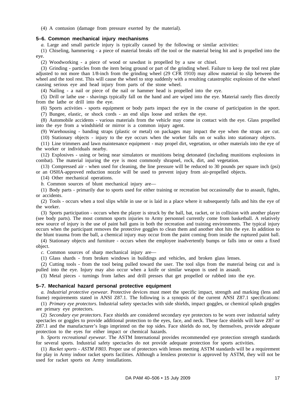(4) A contusion (damage from pressure exerted by the material).

#### **5–6. Common mechanical injury mechanisms**

*a.* Large and small particle injury is typically caused by the following or similar activities:

(1) Chiseling, hammering - a piece of material breaks off the tool or the material being hit and is propelled into the eye.

(2) Woodworking - a piece of wood or sawdust is propelled by a saw or chisel.

(3) Grinding - particles from the item being ground or part of the grinding wheel. Failure to keep the tool rest plate adjusted to not more than 1/8-inch from the grinding wheel (29 CFR 1910) may allow material to slip between the wheel and the tool rest. This will cause the wheel to stop suddenly with a resulting catastrophic explosion of the wheel causing serious eye and head injury from parts of the stone wheel.

(4) Nailing - a nail or piece of the nail or hammer head is propelled into the eye.

(5) Drill or lathe use - shavings typically fall on the hand and are wiped into the eye. Material rarely flies directly from the lathe or drill into the eye.

(6) Sports activities - sports equipment or body parts impact the eye in the course of participation in the sport. (7) Bungee, elastic, or shock cords - an end slips loose and strikes the eye.

(8) Automobile accidents - various materials from the vehicle may come in contact with the eye. Glass propelled into the eye from a windshield or mirror is a common injury agent.

(9) Warehousing - banding straps (plastic or metal) on packages may impact the eye when the straps are cut.

(10) Stationary objects - injury to the eye occurs when the worker falls on or walks into stationary objects. (11) Line trimmers and lawn maintenance equipment - may propel dirt, vegetation, or other materials into the eye of

the worker or individuals nearby. (12) Explosives - using or being near simulators or munitions being detonated (including munitions explosions in

combat). The material injuring the eye is most commonly shrapnel, rock, dirt, and vegetation.

(13) Compressed air - when used for cleaning, the line pressure will be reduced to 30 pounds per square inch (psi) or an OSHA-approved reduction nozzle will be used to prevent injury from air-propelled objects.

(14) Other mechanical operations.

*b.* Common sources of blunt mechanical injury are—

(1) Body parts - primarily due to sports used for either training or recreation but occasionally due to assault, fights, or accidents.

(2) Tools - occurs when a tool slips while in use or is laid in a place where it subsequently falls and hits the eye of the worker.

(3) Sports participation - occurs when the player is struck by the ball, bat, racket, or in collision with another player (see body parts). The most common sports injuries to Army personnel currently come from basketball. A relatively new source of injury is the use of paint ball guns in both the recreation and training environments. The typical injury occurs when the participant removes the protective goggles to clean them and another shot hits the eye. In addition to the blunt trauma from the ball, a chemical injury may occur from the paint coming from inside the ruptured paint ball.

(4) Stationary objects and furniture - occurs when the employee inadvertently bumps or falls into or onto a fixed object.

*c.* Common sources of sharp mechanical injury are—

(1) Glass shards - from broken windows in buildings and vehicles, and broken glass lenses.

(2) Cutting tools - from the tool being pulled toward the user. The tool slips from the material being cut and is pulled into the eye. Injury may also occur when a knife or similar weapon is used in assault.

(3) Metal pieces - turnings from lathes and drill presses that get propelled or rubbed into the eye.

#### **5–7. Mechanical hazard personal protective equipment**

*a. Industrial protective eyewear.* Protective devices must meet the specific impact, strength and marking (lens and frame) requirements stated in ANSI Z87.1. The following is a synopsis of the current ANSI Z87.1 specifications:

(1) *Primary eye protectors*. Industrial safety spectacles with side shields, impact goggles, or chemical splash goggles are primary eye protectors.

(2) *Secondary eye protectors*. Face shields are considered secondary eye protectors to be worn over industrial safety spectacles or goggles to provide additional protection to the eyes, face, and neck. These face shields will have Z87 or Z87.1 and the manufacturer's logo imprinted on the top sides. Face shields do not, by themselves, provide adequate protection to the eyes for either impact or chemical hazards.

*b. Sports recreational eyewear.* The ASTM International provides recommended eye protection strength standards for several sports. Industrial safety spectacles do not provide adequate protection for sports activities.

(1) *Racket sports - ASTM F803*. Proper use of protectors with lenses meeting ASTM standards will be a requirement for play in Army indoor racket sports facilities. Although a lensless protector is approved by ASTM, they will not be used for racket sports on Army installations.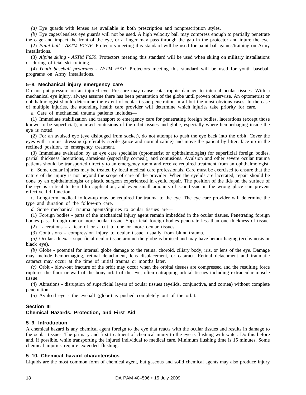*(a)* Eye guards with lenses are available in both prescription and nonprescription styles.

*(b)* Eye cages/lensless eye guards will not be used. A high velocity ball may compress enough to partially penetrate the cage and impact the front of the eye, or a finger may pass through the gap in the protector and injure the eye.

(2) *Paint ball - ASTM F1776*. Protectors meeting this standard will be used for paint ball games/training on Army installations.

(3) *Alpine skiing - ASTM F659*. Protectors meeting this standard will be used when skiing on military installations or during official ski training.

(4) *Youth baseball programs - ASTM F910*. Protectors meeting this standard will be used for youth baseball programs on Army installations.

#### **5–8. Mechanical injury emergency care**

Do not put pressure on an injured eye. Pressure may cause catastrophic damage to internal ocular tissues. With a mechanical eye injury, always assume there has been penetration of the globe until proven otherwise. An optometrist or ophthalmologist should determine the extent of ocular tissue penetration in all but the most obvious cases. In the case of multiple injuries, the attending health care provider will determine which injuries take priority for care.

*a.* Care of mechanical trauma patients includes—

(1) Immediate stabilization and transport to emergency care for penetrating foreign bodies, lacerations (except those known to be superficial), marked contusions of the orbit tissues and globe, especially where hemorrhaging inside the eye is noted.

(2) For an avulsed eye (eye dislodged from socket), do not attempt to push the eye back into the orbit. Cover the eyes with a moist dressing (preferably sterile gauze and normal saline) and move the patient by litter, face up in the reclined position, to emergency treatment.

(3) Immediate evaluation by an eye care specialist (optometrist or ophthalmologist) for superficial foreign bodies, partial thickness lacerations, abrasions (especially corneal), and contusions. Avulsion and other severe ocular trauma patients should be transported directly to an emergency room and receive required treatment from an ophthalmologist.

*b.* Some ocular injuries may be treated by local medical care professionals. Care must be exercised to ensure that the nature of the injury is not beyond the scope of care of the provider. When the eyelids are lacerated, repair should be done by an ophthalmologist or plastic surgeon experienced in eyelid repair. The position of the lids on the surface of the eye is critical to tear film application, and even small amounts of scar tissue in the wrong place can prevent effective lid function.

*c.* Long-term medical follow-up may be required for trauma to the eye. The eye care provider will determine the type and duration of the follow-up care.

*d.* Some mechanical trauma agents/injuries to ocular tissues are—

(1) Foreign bodies - parts of the mechanical injury agent remain imbedded in the ocular tissues. Penetrating foreign bodies pass through one or more ocular tissue. Superficial foreign bodies penetrate less than one thickness of tissue.

(2) Lacerations - a tear of or a cut to one or more ocular tissues.

(3) Contusions - compression injury to ocular tissue, usually from blunt trauma.

*(a)* Ocular adnexa - superficial ocular tissue around the globe is bruised and may have hemorrhaging (ecchymosis or black eye).

*(b)* Globe - potential for internal globe damage to the retina, choroid, ciliary body, iris, or lens of the eye. Damage may include hemorrhaging, retinal detachment, lens displacement, or cataract. Retinal detachment and traumatic cataract may occur at the time of initial trauma or months later.

*(c)* Orbit - blow-out fracture of the orbit may occur when the orbital tissues are compressed and the resulting force ruptures the floor or wall of the bony orbit of the eye, often entrapping orbital tissues including extraocular muscle tissue.

(4) Abrasions - disruption of superficial layers of ocular tissues (eyelids, conjunctiva, and cornea) without complete penetration.

(5) Avulsed eye - the eyeball (globe) is pushed completely out of the orbit.

#### **Section III**

#### **Chemical Hazards, Protection, and First Aid**

#### **5–9. Introduction**

A chemical hazard is any chemical agent foreign to the eye that reacts with the ocular tissues and results in damage to the ocular tissues. The primary and first treatment of chemical injury to the eye is flushing with water. Do this before and, if possible, while transporting the injured individual to medical care. Minimum flushing time is 15 minutes. Some chemical injuries require extended flushing.

#### **5–10. Chemical hazard characteristics**

Liquids are the most common form of chemical agent, but gaseous and solid chemical agents may also produce injury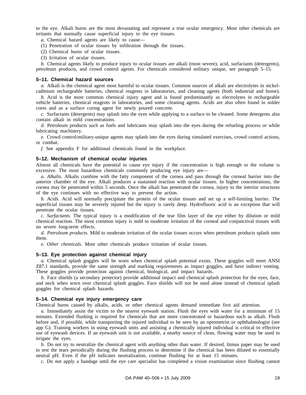to the eye. Alkali burns are the most devastating and represent a true ocular emergency. Most other chemicals are irritants that normally cause superficial injury to the eye tissues.

*a.* Chemical hazard agents are likely to cause—

- (1) Penetration of ocular tissues by infiltration through the tissues.
- (2) Chemical burns of ocular tissues.
- (3) Irritation of ocular tissues.

*b.* Chemical agents likely to produce injury to ocular tissues are alkali (most severe), acid, surfactants (detergents), petroleum products, and crowd control agents. For chemicals considered military unique, see paragraph 5–15.

#### **5–11. Chemical hazard sources**

*a.* Alkali is the chemical agent most harmful to ocular tissues. Common sources of alkali are electrolytes in nickelcadmium rechargeable batteries, chemical reagents in laboratories, and cleaning agents (both industrial and home).

*b.* Acid is the most common chemical injury agent and is found predominantly as electrolytes in rechargeable vehicle batteries, chemical reagents in laboratories, and some cleaning agents. Acids are also often found in solder cores and as a surface curing agent for newly poured concrete.

*c.* Surfactants (detergents) may splash into the eyes while applying to a surface to be cleaned. Some detergents also contain alkali in mild concentrations.

*d.* Petroleum products such as fuels and lubricants may splash into the eyes during the refueling process or while lubricating machinery.

*e.* Crowd control/military-unique agents may splash into the eyes during simulated exercises, crowd control actions, or combat.

*f.* See appendix F for additional chemicals found in the workplace.

#### **5–12. Mechanism of chemical ocular injuries**

Almost all chemicals have the potential to cause eye injury if the concentration is high enough or the volume is excessive. The most hazardous chemicals commonly producing eye injury are—

*a. Alkalis.* Alkalis combine with the fatty component of the cornea and pass through the corneal barrier into the anterior chamber of the eye. Alkali produces a sustained reaction with ocular tissues. In higher concentrations, the cornea may be penetrated within 5 seconds. Once the alkali has penetrated the cornea, injury to the interior structures of the eye continues with no effective way to prevent the action.

*b. Acids.* Acid will normally precipitate the protein of the ocular tissues and set up a self-limiting barrier. The superficial tissues may be severely injured but the injury is rarely deep. Hydrofluoric acid is an exception that will penetrate the ocular tissues.

*c. Surfactants.* The typical injury is a modification of the tear film layer of the eye either by dilution or mild chemical reaction. The most common injury is mild to moderate irritation of the corneal and conjunctival tissues with no severe long-term effects.

*d. Petroleum products.* Mild to moderate irritation of the ocular tissues occurs when petroleum products splash onto them.

*e. Other chemicals.* Most other chemicals produce irritation of ocular tissues.

#### **5–13. Eye protection against chemical injury**

*a.* Chemical splash goggles will be worn when chemical splash potential exists. These goggles will meet ANSI Z87.1 standards, provide the same strength and marking requirements as impact goggles, and have indirect venting. These goggles provide protection against chemical, biological, and impact hazards.

*b.* Face shields (a secondary protector) provide additional impact and chemical splash protection for the eyes, face, and neck when worn over chemical splash goggles. Face shields will not be used alone instead of chemical splash goggles for chemical splash hazards.

#### **5–14. Chemical eye injury emergency care**

Chemical burns caused by alkalis, acids, or other chemical agents demand immediate first aid attention.

*a.* Immediately assist the victim to the nearest eyewash station. Flush the eyes with water for a minimum of 15 minutes. Extended flushing is required for chemicals that are more concentrated or hazardous such as alkali. Flush before and, if possible, while transporting the injured individual to be seen by an optometrist or ophthalmologist (see app G). Training workers in using eyewash units and assisting a chemically injured individual is critical to effective use of eyewash devices. If an eyewash unit is not available, a nearby source of clean, flowing water may be used to irrigate the eyes.

*b.* Do not try to neutralize the chemical agent with anything other than water. If desired, litmus paper may be used to test the tears periodically during the flushing process to determine if the chemical has been diluted to essentially neutral pH. Even if the pH indicates neutralization, continue flushing for at least 15 minutes.

*c.* Do not apply a bandage until the eye care specialist has completed a vision examination since flushing cannot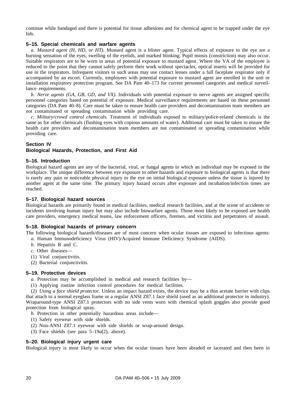continue while bandaged and there is potential for tissue adhesions and for chemical agent to be trapped under the eye lids.

#### **5–15. Special chemicals and warfare agents**

*a. Mustard agent (H, HD, or HT).* Mustard agent is a blister agent. Typical effects of exposure to the eye are a burning sensation of the eyes, swelling of the eyelids, and marked blinking. Pupil miosis (constriction) may also occur. Suitable respirators are to be worn in areas of potential exposure to mustard agent. Where the VA of the employee is reduced to the point that they cannot safely perform their work without spectacles, optical inserts will be provided for use in the respirators. Infrequent visitors to such areas may use contact lenses under a full faceplate respirator only if accompanied by an escort. Currently, employees with potential exposure to mustard agent are enrolled in the unit or installation respiratory protection program. See DA Pam 40–173 for current personnel categories and medical surveillance requirements.

*b. Nerve agents (GA, GB, GD, and VX).* Individuals with potential exposure to nerve agents are assigned specific personnel categories based on potential of exposure. Medical surveillance requirements are based on these personnel categories (DA Pam 40–8). Care must be taken to ensure health care providers and decontamination team members are not contaminated or spreading contamination while providing care.

*c. Military/crowd control chemicals.* Treatment of individuals exposed to military/police-related chemicals is the same as for other chemicals (flushing eyes with copious amounts of water). Additional care must be taken to ensure the health care providers and decontamination team members are not contaminated or spreading contamination while providing care.

#### **Section IV**

#### **Biological Hazards, Protection, and First Aid**

#### **5–16. Introduction**

Biological hazard agents are any of the bacterial, viral, or fungal agents to which an individual may be exposed in the workplace. The unique difference between eye exposure to other hazards and exposure to biological agents is that there is rarely any pain or noticeable physical injury to the eye on initial biological exposure unless the tissue is injured by another agent at the same time. The primary injury hazard occurs after exposure and incubation/infection times are reached.

#### **5–17. Biological hazard sources**

Biological hazards are primarily found in medical facilities, medical research facilities, and at the scene of accidents or incidents involving human injury but may also include biowarfare agents. Those most likely to be exposed are health care providers, emergency medical teams, law enforcement officers, firemen, and victims and perpetrators of assault.

#### **5–18. Biological hazards of primary concern**

The following biological hazards/diseases are of most concern when ocular tissues are exposed to infectious agents: *a.* Human Immunodeficiency Virus (HIV)/Acquired Immune Deficiency Syndrome (AIDS).

- *b.* Hepatitis B and C.
- *c.* Other diseases—
- (1) Viral conjunctivitis.
- (2) Bacterial conjunctivitis.

#### **5–19. Protective devices**

*a.* Protection may be accomplished in medical and research facilities by—

(1) Applying routine infection control procedures for medical facilities.

(2) *Using a face shield protector.* Unless an impact hazard exists, the device may be a thin acetate barrier with clips that attach to a normal eyeglass frame or a regular ANSI Z87.1 face shield (used as an additional protector in industry). Wraparound-type ANSI Z87.1 protectors with no side vents worn with chemical splash goggles also provide good protection from biological spray.

*b.* Protection in other potentially hazardous areas include—

- (1) Safety eyewear with side shields.
- (2) Non-ANSI Z87.1 eyewear with side shields or wrap-around design.
- (3) Face shields (see para  $5-19a(2)$ , above).

# **5–20. Biological injury urgent care**

Biological injury is most likely to occur when the ocular tissues have been abraded or lacerated and then been in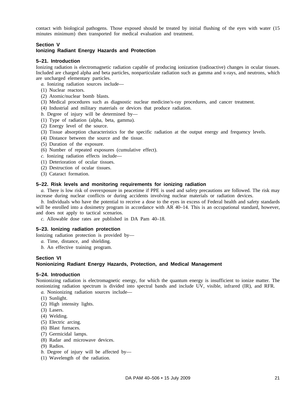contact with biological pathogens. Those exposed should be treated by initial flushing of the eyes with water (15 minutes minimum) then transported for medical evaluation and treatment.

#### **Section V**

#### **Ionizing Radiant Energy Hazards and Protection**

#### **5–21. Introduction**

Ionizing radiation is electromagnetic radiation capable of producing ionization (radioactive) changes in ocular tissues. Included are charged alpha and beta particles, nonparticulate radiation such as gamma and x-rays, and neutrons, which are uncharged elementary particles.

- *a.* Ionizing radiation sources include—
- (1) Nuclear reactors.
- (2) Atomic/nuclear bomb blasts.
- (3) Medical procedures such as diagnostic nuclear medicine/x-ray procedures, and cancer treatment.
- (4) Industrial and military materials or devices that produce radiation.
- *b.* Degree of injury will be determined by—
- (1) Type of radiation (alpha, beta, gamma).
- (2) Energy level of the source.
- (3) Tissue absorption characteristics for the specific radiation at the output energy and frequency levels.
- (4) Distance between the source and the tissue.
- (5) Duration of the exposure.
- (6) Number of repeated exposures (cumulative effect).
- *c.* Ionizing radiation effects include—
- (1) Deterioration of ocular tissues.
- (2) Destruction of ocular tissues.
- (3) Cataract formation.

#### **5–22. Risk levels and monitoring requirements for ionizing radiation**

*a.* There is low risk of overexposure in peacetime if PPE is used and safety precautions are followed. The risk may increase during nuclear conflicts or during accidents involving nuclear materials or radiation devices.

*b.* Individuals who have the potential to receive a dose to the eyes in excess of Federal health and safety standards will be enrolled into a dosimetry program in accordance with AR 40–14. This is an occupational standard, however, and does not apply to tactical scenarios.

*c.* Allowable dose rates are published in DA Pam 40–18.

#### **5–23. Ionizing radiation protection**

Ionizing radiation protection is provided by—

- *a.* Time, distance, and shielding.
- *b.* An effective training program.

#### **Section VI**

#### **Nonionizing Radiant Energy Hazards, Protection, and Medical Management**

#### **5–24. Introduction**

Nonionizing radiation is electromagnetic energy, for which the quantum energy is insufficient to ionize matter. The nonionizing radiation spectrum is divided into spectral bands and include UV, visible, infrared (IR), and RFR.

- *a.* Nonionizing radiation sources include—
- (1) Sunlight.
- (2) High intensity lights.
- (3) Lasers.
- (4) Welding.
- (5) Electric arcing.
- (6) Blast furnaces.
- (7) Germicidal lamps.
- (8) Radar and microwave devices.
- (9) Radios.
- *b.* Degree of injury will be affected by—
- (1) Wavelength of the radiation.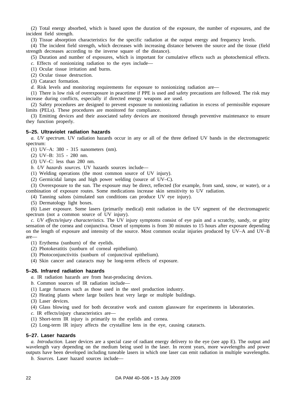(2) Total energy absorbed, which is based upon the duration of the exposure, the number of exposures, and the incident field strength.

(3) Tissue absorption characteristics for the specific radiation at the output energy and frequency levels.

(4) The incident field strength, which decreases with increasing distance between the source and the tissue (field strength decreases according to the inverse square of the distance).

(5) Duration and number of exposures, which is important for cumulative effects such as photochemical effects. *c.* Effects of nonionizing radiation to the eyes include—

(1) Ocular tissue irritation and burns.

(2) Ocular tissue destruction.

(3) Cataract formation.

*d.* Risk levels and monitoring requirements for exposure to nonionizing radiation are—

(1) There is low risk of overexposure in peacetime if PPE is used and safety precautions are followed. The risk may increase during conflicts, especially if directed energy weapons are used.

(2) Safety procedures are designed to prevent exposure to nonionizing radiation in excess of permissible exposure limits (PELs). These procedures are monitored for compliance.

(3) Emitting devices and their associated safety devices are monitored through preventive maintenance to ensure they function properly.

#### **5–25. Ultraviolet radiation hazards**

*a. UV spectrum.* UV radiation hazards occur in any or all of the three defined UV bands in the electromagnetic spectrum:

(1) UV–A: 380 - 315 nanometers (nm).

(2) UV–B: 315 - 280 nm.

(3) UV–C: less than 280 nm.

*b. UV hazards sources.* UV hazards sources include—

(1) Welding operations (the most common source of UV injury).

(2) Germicidal lamps and high power welding (source of UV–C).

(3) Overexposure to the sun. The exposure may be direct, reflected (for example, from sand, snow, or water), or a combination of exposure routes. Some medications increase skin sensitivity to UV radiation.

(4) Tanning salons (simulated sun conditions can produce UV eye injury).

(5) Dermatology light boxes.

(6) Laser exposure. Some lasers (primarily medical) emit radiation in the UV segment of the electromagnetic spectrum (not a common source of UV injury).

*c. UV effects/injury characteristics.* The UV injury symptoms consist of eye pain and a scratchy, sandy, or gritty sensation of the cornea and conjunctiva. Onset of symptoms is from 30 minutes to 15 hours after exposure depending on the length of exposure and intensity of the source. Most common ocular injuries produced by UV–A and UV–B are—

(1) Erythema (sunburn) of the eyelids.

- (2) Photokeratitis (sunburn of corneal epithelium).
- (3) Photoconjunctivitis (sunburn of conjunctival epithelium).
- (4) Skin cancer and cataracts may be long-term effects of exposure.

#### **5–26. Infrared radiation hazards**

*a.* IR radiation hazards are from heat-producing devices.

*b.* Common sources of IR radiation include—

(1) Large furnaces such as those used in the steel production industry.

- (2) Heating plants where large boilers heat very large or multiple buildings.
- (3) Laser devices.

(4) Glass blowing used for both decorative work and custom glassware for experiments in laboratories.

- *c.* IR effects/injury characteristics are—
- (1) Short-term IR injury is primarily to the eyelids and cornea.
- (2) Long-term IR injury affects the crystalline lens in the eye, causing cataracts.

#### **5–27. Laser hazards**

*a. Introduction.* Laser devices are a special case of radiant energy delivery to the eye (see app E). The output and wavelength vary depending on the medium being used in the laser. In recent years, more wavelengths and power outputs have been developed including tuneable lasers in which one laser can emit radiation in multiple wavelengths.

*b. Sources.* Laser hazard sources include—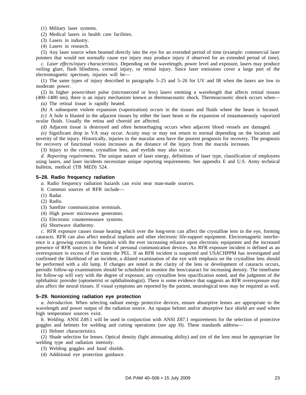(1) Military laser systems.

(2) Medical lasers in health care facilities.

(3) Lasers in industry.

(4) Lasers in research.

(5) Any laser source when beamed directly into the eye for an extended period of time (example: commercial laser pointers that would not normally cause eye injury may produce injury if observed for an extended period of time).

*c. Laser effects/injury characteristics.* Depending on the wavelength, power level and exposure, lasers may produce veiling glare, flash blindness, corneal injury, or retinal injury. Since laser emissions cover a large part of the electromagnetic spectrum, injuries will be—

(1) The same types of injury described in paragraphs 5–25 and 5–26 for UV and IR when the lasers are low to moderate power.

(2) In higher power/short pulse (microsecond or less) lasers emitting a wavelength that affects retinal tissues (400–1400 nm), there is an injury mechanism known as thermoacoustic shock. Thermoacoustic shock occurs when— *(a)* The retinal tissue is rapidly heated.

*(b)* A subsequent violent expansion (vaporization) occurs in the tissues and fluids where the beam is focused.

*(c)* A hole is blasted in the adjacent tissues by either the laser beam or the expansion of instantaneously vaporized ocular fluids. Usually the retina and choroid are affected.

*(d)* Adjacent tissue is destroyed and often hemorrhaging occurs when adjacent blood vessels are damaged.

*(e)* Significant drop in VA may occur. Acuity may or may not return to normal depending on the location and severity of the injury. Historically, injuries to the macular area have the poorest prognosis for recovery. The prognosis for recovery of functional vision increases as the distance of the injury from the macula increases.

(3) Injury to the cornea, crystalline lens, and eyelids may also occur.

*d. Reporting requirements.* The unique nature of laser energy, definitions of laser type, classification of employees using lasers, and laser incidents necessitate unique reporting requirements. See appendix E and U.S. Army technical bulletin, medical (TB MED) 524.

#### **5–28. Radio frequency radiation**

*a.* Radio frequency radiation hazards can exist near man-made sources.

- *b.* Common sources of RFR include—
- (1) Radar.
- (2) Radio.
- (3) Satellite communication terminals.
- (4) High power microwave generators.
- (5) Electronic countermeasure systems.
- (6) Shortwave diathermy.

*c.* RFR exposure causes tissue heating which over the long-term can affect the crystalline lens in the eye, forming cataracts. RFR can also affect medical implants and other electronic life-support equipment. Electromagnetic interference is a growing concern in hospitals with the ever increasing reliance upon electronic equipment and the increased presence of RFR sources in the form of personal communication devices. An RFR exposure incident is defined as an overexposure in excess of five times the PEL. If an RFR incident is suspected and USACHPPM has investigated and confirmed the likelihood of an incident, a dilated examination of the eye with emphasis on the crystalline lens should be performed with a slit lamp. If changes are noted in the clarity of the lens or development of cataracts occurs, periodic follow-up examinations should be scheduled to monitor the lens/cataract for increasing density. The timeframe for follow-up will vary with the degree of exposure, any crystalline lens opacification noted, and the judgment of the ophthalmic provider (optometrist or ophthalmologist). There is some evidence that suggests an RFR overexposure may also affect the neural tissues. If visual symptoms are reported by the patient, neurological tests may be required as well.

#### **5–29. Nonionizing radiation eye protection**

*a. Introduction.* When selecting radiant energy protective devices, ensure absorptive lenses are appropriate to the wavelength and power output of the radiation source. An opaque helmet and/or absorptive face shield are used where high temperature sources exist.

*b. Welding.* ANSI Z49.1 will be used in conjunction with ANSI Z87.1 requirements for the selection of protective goggles and helmets for welding and cutting operations (see app H). These standards address—

(1) Helmet characteristics.

(2) Shade selection for lenses. Optical density (light attenuating ability) and tint of the lens must be appropriate for welding type and radiation intensity.

- (3) Welding goggles and hand shields.
- (4) Additional eye protection guidance.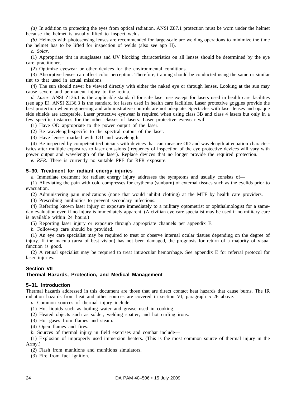*(a)* In addition to protecting the eyes from optical radiation, ANSI Z87.1 protection must be worn under the helmet because the helmet is usually lifted to inspect welds.

*(b)* Helmets with photosensing lenses are recommended for large-scale arc welding operations to minimize the time the helmet has to be lifted for inspection of welds (also see app H).

*c. Solar.*

(1) Appropriate tint in sunglasses and UV blocking characteristics on all lenses should be determined by the eye care practitioner.

(2) Optimize eyewear or other devices for the environmental conditions.

(3) Absorptive lenses can affect color perception. Therefore, training should be conducted using the same or similar tint to that used in actual missions.

(4) The sun should never be viewed directly with either the naked eye or through lenses. Looking at the sun may cause severe and permanent injury to the retina.

*d. Laser.* ANSI Z136.1 is the applicable standard for safe laser use except for lasers used in health care facilities (see app E). ANSI Z136.3 is the standard for lasers used in health care facilities. Laser protective goggles provide the best protection when engineering and administrative controls are not adequate. Spectacles with laser lenses and opaque side shields are acceptable. Laser protective eyewear is required when using class 3B and class 4 lasers but only in a few specific instances for the other classes of lasers. Laser protective eyewear will—

(1) Have OD appropriate to the power output of the laser.

(2) Be wavelength-specific to the spectral output of the laser.

(3) Have lenses marked with OD and wavelength.

(4) Be inspected by competent technicians with devices that can measure OD and wavelength attenuation characteristics after multiple exposures to laser emissions (frequency of inspection of the eye protective devices will vary with power output and wavelength of the laser). Replace devices that no longer provide the required protection.

*e. RFR.* There is currently no suitable PPE for RFR exposure.

#### **5–30. Treatment for radiant energy injuries**

*a.* Immediate treatment for radiant energy injury addresses the symptoms and usually consists of—

(1) Alleviating the pain with cold compresses for erythema (sunburn) of external tissues such as the eyelids prior to evacuation.

(2) Administering pain medications (none that would inhibit clotting) at the MTF by health care providers.

(3) Prescribing antibiotics to prevent secondary infections.

(4) Referring known laser injury or exposure immediately to a military optometrist or ophthalmologist for a sameday evaluation even if no injury is immediately apparent. (A civilian eye care specialist may be used if no military care is available within 24 hours.)

(5) Reporting laser injury or exposure through appropriate channels per appendix E.

*b.* Follow-up care should be provided.

(1) An eye care specialist may be required to treat or observe internal ocular tissues depending on the degree of injury. If the macula (area of best vision) has not been damaged, the prognosis for return of a majority of visual function is good.

(2) A retinal specialist may be required to treat intraocular hemorrhage. See appendix E for referral protocol for laser injuries.

# **Section VII**

# **Thermal Hazards, Protection, and Medical Management**

# **5–31. Introduction**

Thermal hazards addressed in this document are those that are direct contact heat hazards that cause burns. The IR radiation hazards from heat and other sources are covered in section VI, paragraph 5–26 above.

*a.* Common sources of thermal injury include—

- (1) Hot liquids such as boiling water and grease used in cooking.
- (2) Heated objects such as solder, welding spatter, and hot curling irons.
- (3) Hot gases from flames and steam.
- (4) Open flames and fires.
- *b.* Sources of thermal injury in field exercises and combat include—

(1) Explosion of improperly used immersion heaters. (This is the most common source of thermal injury in the Army.)

- (2) Flash from munitions and munitions simulators.
- (3) Fire from fuel ignition.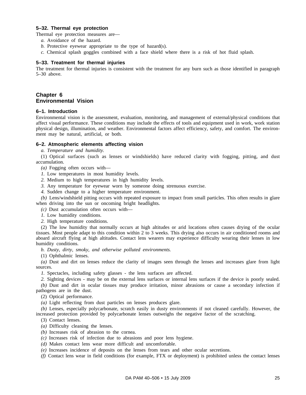#### **5–32. Thermal eye protection**

Thermal eye protection measures are—

- *a.* Avoidance of the hazard.
- *b.* Protective eyewear appropriate to the type of hazard(s).
- *c.* Chemical splash goggles combined with a face shield where there is a risk of hot fluid splash.

#### **5–33. Treatment for thermal injuries**

The treatment for thermal injuries is consistent with the treatment for any burn such as those identified in paragraph 5–30 above.

# **Chapter 6 Environmental Vision**

#### **6–1. Introduction**

Environmental vision is the assessment, evaluation, monitoring, and management of external/physical conditions that affect visual performance. These conditions may include the effects of tools and equipment used in work, work station physical design, illumination, and weather. Environmental factors affect efficiency, safety, and comfort. The environment may be natural, artificial, or both.

#### **6–2. Atmospheric elements affecting vision**

*a. Temperature and humidity.*

(1) Optical surfaces (such as lenses or windshields) have reduced clarity with fogging, pitting, and dust accumulation.

*(a)* Fogging often occurs with—

*1.* Low temperatures in most humidity levels.

*2.* Medium to high temperatures in high humidity levels.

*3.* Any temperature for eyewear worn by someone doing strenuous exercise.

*4.* Sudden change to a higher temperature environment.

*(b)* Lens/windshield pitting occurs with repeated exposure to impact from small particles. This often results in glare when driving into the sun or oncoming bright headlights.

*(c)* Dust accumulation often occurs with—

*1.* Low humidity conditions.

*2.* High temperature conditions.

(2) The low humidity that normally occurs at high altitudes or arid locations often causes drying of the ocular tissues. Most people adapt to this condition within 2 to 3 weeks. This drying also occurs in air conditioned rooms and aboard aircraft flying at high altitudes. Contact lens wearers may experience difficulty wearing their lenses in low humidity conditions.

*b. Dusty, dirty, smoky, and otherwise polluted environments.*

(1) Ophthalmic lenses.

*(a)* Dust and dirt on lenses reduce the clarity of images seen through the lenses and increases glare from light sources.

*1.* Spectacles, including safety glasses - the lens surfaces are affected.

*2.* Sighting devices - may be on the external lens surfaces or internal lens surfaces if the device is poorly sealed.

*(b)* Dust and dirt in ocular tissues may produce irritation, minor abrasions or cause a secondary infection if pathogens are in the dust.

(2) Optical performance.

*(a)* Light reflecting from dust particles on lenses produces glare.

*(b)* Lenses, especially polycarbonate, scratch easily in dusty environments if not cleaned carefully. However, the increased protection provided by polycarbonate lenses outweighs the negative factor of the scratching.

(3) Contact lenses.

*(a)* Difficulty cleaning the lenses.

*(b)* Increases risk of abrasion to the cornea.

- *(c)* Increases risk of infection due to abrasions and poor lens hygiene.
- *(d)* Makes contact lens wear more difficult and uncomfortable.

*(e)* Increases incidence of deposits on the lenses from tears and other ocular secretions.

*(f)* Contact lens wear in field conditions (for example, FTX or deployment) is prohibited unless the contact lenses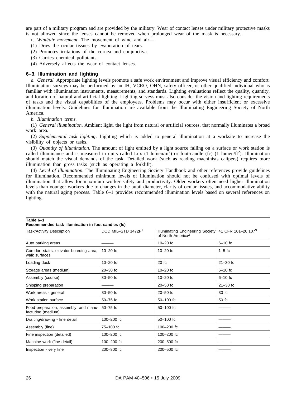are part of a military program and are provided by the military. Wear of contact lenses under military protective masks is not allowed since the lenses cannot be removed when prolonged wear of the mask is necessary.

- *c. Wind/air movement.* The movement of wind and air—
- (1) Dries the ocular tissues by evaporation of tears.
- (2) Promotes irritations of the cornea and conjunctiva.
- (3) Carries chemical pollutants.
- (4) Adversely affects the wear of contact lenses.

#### **6–3. Illumination and lighting**

*a. General.* Appropriate lighting levels promote a safe work environment and improve visual efficiency and comfort. Illumination surveys may be performed by an IH, VCRO, OHN, safety officer, or other qualified individual who is familiar with illumination instruments, measurements, and standards. Lighting evaluations reflect the quality, quantity, and location of natural and artificial lighting. Lighting surveys must also consider the vision and lighting requirements of tasks and the visual capabilities of the employees. Problems may occur with either insufficient or excessive illumination levels. Guidelines for illumination are available from the Illuminating Engineering Society of North America.

*b. Illumination terms.*

(1) *General illumination*. Ambient light, the light from natural or artificial sources, that normally illuminates a broad work area.

(2) *Supplemental task lighting*. Lighting which is added to general illumination at a worksite to increase the visibility of objects or tasks.

(3) *Quantity of illumination*. The amount of light emitted by a light source falling on a surface or work station is called illuminance and is measured in units called Lux (1 lumen/m<sup>2</sup>) or foot-candle (fc) (1 lumen/ft<sup>2</sup>). Illumination should match the visual demands of the task. Detailed work (such as reading machinists calipers) requires more illumination than gross tasks (such as operating a forklift).

(4) *Level of illumination*. The Illuminating Engineering Society Handbook and other references provide guidelines for illumination. Recommended minimum levels of illumination should not be confused with optimal levels of illumination that allow for maximum worker safety and productivity. Older workers often need higher illumination levels than younger workers due to changes in the pupil diameter, clarity of ocular tissues, and accommodative ability with the natural aging process. Table 6–1 provides recommended illumination levels based on several references on lighting.

| Recommended task illumination in foot-candles (fc)          |                                |                                                                          |                    |  |
|-------------------------------------------------------------|--------------------------------|--------------------------------------------------------------------------|--------------------|--|
| Task/Activity Description                                   | DOD MIL-STD 1472F <sup>1</sup> | <b>Illuminating Engineering Society</b><br>of North America <sup>2</sup> | 41 CFR 101-20.1073 |  |
| Auto parking areas                                          |                                | $10 - 20$ fc                                                             | $6-10$ fc          |  |
| Corridor, stairs, elevator boarding area,<br>walk surfaces  | $10 - 20$ fc                   | $10 - 20$ fc                                                             | $1-5$ fc           |  |
| Loading dock                                                | $10 - 20$ fc                   | $20 f$ c                                                                 | $21 - 30$ fc       |  |
| Storage areas (medium)                                      | $20 - 30$ fc                   | $10 - 20$ fc                                                             | $6-10$ fc          |  |
| Assembly (course)                                           | $30 - 50$ fc                   | $10 - 20$ fc                                                             | $6-10$ fc          |  |
| Shipping preparation                                        |                                | $20 - 50$ fc                                                             | $21 - 30$ fc       |  |
| Work areas - general                                        | $30 - 50$ fc                   | $20 - 50$ fc                                                             | 30fc               |  |
| Work station surface                                        | $50 - 75$ fc                   | $50 - 100$ fc                                                            | 50 fc              |  |
| Food preparation, assembly, and manu-<br>facturing (medium) | $50 - 75$ fc                   | $50 - 100$ fc                                                            |                    |  |
| Drafting/drawing - fine detail                              | $100 - 200$ fc                 | $50 - 100$ fc                                                            |                    |  |
| Assembly (fine)                                             | 75-100 fc                      | $100 - 200$ fc                                                           |                    |  |
| Fine inspection (detailed)                                  | 100-200 fc                     | $100 - 200$ fc                                                           |                    |  |
| Machine work (fine detail)                                  | 100-200 fc                     | 200-500 fc                                                               |                    |  |
| Inspection - very fine                                      | 200-300 fc                     | 200-500 fc                                                               |                    |  |

# **Table 6–1**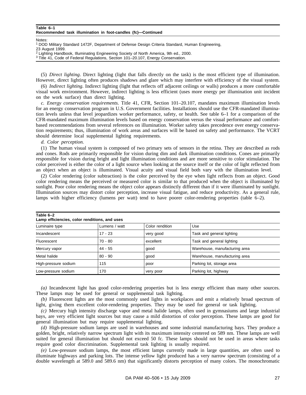#### **Table 6–1 Recommended task illumination in foot-candles (fc)—Continued**

Notes:

1 DOD Military Standard 1472F, Department of Defense Design Criteria Standard, Human Engineering, 23 August 1999.

3 Title 41, Code of Federal Regulations, Section 101–20.107, Energy Conservation.

(5) *Direct lighting*. Direct lighting (light that falls directly on the task) is the most efficient type of illumination. However, direct lighting often produces shadows and glare which may interfere with efficiency of the visual system.

(6) *Indirect lighting*. Indirect lighting (light that reflects off adjacent ceilings or walls) produces a more comfortable visual work environment. However, indirect lighting is less efficient (uses more energy per illumination unit incident on the work surface) than direct lighting.

*c. Energy conservation requirements.* Title 41, CFR, Section 101–20.107, mandates maximum illumination levels for an energy conservation program in U.S. Government facilities. Installations should use the CFR-mandated illumination levels unless that level jeopardizes worker performance, safety, or health. See table 6–1 for a comparison of the CFR-mandated maximum illumination levels based on energy conservation versus the visual performance and comfortbased recommendations from several references on illumination. Worker safety takes precedence over energy conservation requirements; thus, illumination of work areas and surfaces will be based on safety and performance. The VCRT should determine local supplemental lighting requirements.

*d. Color perception.*

(1) The human visual system is composed of two primary sets of sensors in the retina. They are described as rods and cones. Rods are primarily responsible for vision during dim and dark illumination conditions. Cones are primarily responsible for vision during bright and light illumination conditions and are more sensitive to color stimulation. The color perceived is either the color of a light source when looking at the source itself or the color of light reflected from an object when an object is illuminated. Visual acuity and visual field both vary with the illumination level.

(2) Color rendering (color subtraction) is the color perceived by the eye when light reflects from an object. Good color rendering means the perceived or measured color is similar to that produced when the object is illuminated by sunlight. Poor color rendering means the object color appears distinctly different than if it were illuminated by sunlight. Illumination sources may distort color perception, increase visual fatigue, and reduce productivity. As a general rule, lamps with higher efficiency (lumens per watt) tend to have poorer color-rendering properties (table 6–2).

| .<br>Lamp efficiencies, color renditions, and uses |               |                 |                               |  |
|----------------------------------------------------|---------------|-----------------|-------------------------------|--|
| Luminaire type                                     | Lumens / watt | Color rendition | Use                           |  |
| Incandescent                                       | $17 - 23$     | very good       | Task and general lighting     |  |
| Fluorescent                                        | $70 - 80$     | excellent       | Task and general lighting     |  |
| Mercury vapor                                      | $44 - 55$     | good            | Warehouse, manufacturing area |  |
| Metal halide                                       | $80 - 90$     | qood            | Warehouse, manufacturing area |  |
| High-pressure sodium                               | 115           | poor            | Parking lot, storage area     |  |
| Low-pressure sodium                                | 170           | very poor       | Parking lot, highway          |  |

**Table 6–2**

*(a)* Incandescent light has good color-rendering properties but is less energy efficient than many other sources. These lamps may be used for general or supplemental task lighting.

*(b)* Fluorescent lights are the most commonly used lights in workplaces and emit a relatively broad spectrum of light, giving them excellent color-rendering properties. They may be used for general or task lighting.

*(c)* Mercury high intensity discharge vapor and metal halide lamps, often used in gymnasiums and large industrial bays, are very efficient light sources but may cause a mild distortion of color perception. These lamps are good for general illumination but may require supplemental lighting.

*(d)* High-pressure sodium lamps are used in warehouses and some industrial manufacturing bays. They produce a golden, bright, relatively narrow spectrum light with its maximum intensity centered on 589 nm. These lamps are well suited for general illumination but should not exceed 50 fc. These lamps should not be used in areas where tasks require good color discrimination. Supplemental task lighting is usually required.

*(e)* Low-pressure sodium lamps, the most efficient lamps currently made in large quantities, are often used to illuminate highways and parking lots. The intense yellow light produced has a very narrow spectrum (consisting of a double wavelength at 589.0 and 589.6 nm) that significantly distorts perception of many colors. The monochromatic

<sup>2</sup> Lighting Handbook, Illuminating Engineering Society of North America, 9th ed., 2000.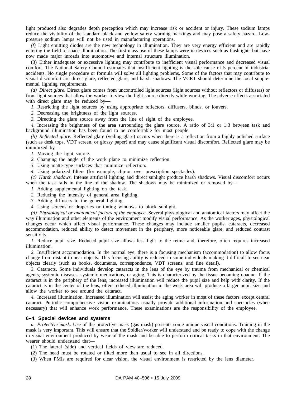light produced also degrades depth perception which may increase risk or accident or injury. These sodium lamps reduce the visibility of the standard black and yellow safety warning markings and may pose a safety hazard. Lowpressure sodium lamps will not be used in manufacturing operations.

*(f)* Light emitting diodes are the new technology in illumination. They are very energy efficient and are rapidly entering the field of space illumination. The first mass use of these lamps were in devices such as flashlights but have now made major inroads into automotive and internal structure illumination.

(3) Either inadequate or excessive lighting may contribute to inefficient visual performance and decreased visual comfort. The National Safety Council estimates that insufficient lighting is the sole cause of 5 percent of industrial accidents. No single procedure or formula will solve all lighting problems. Some of the factors that may contribute to visual discomfort are direct glare, reflected glare, and harsh shadows. The VCRT should determine the local supplemental lighting requirements.

*(a) Direct glare*. Direct glare comes from uncontrolled light sources (light sources without reflectors or diffusers) or from light sources that allow the worker to view the light source directly while working. The adverse effects associated with direct glare may be reduced by—

*1.* Restricting the light sources by using appropriate reflectors, diffusers, blinds, or louvers.

*2.* Decreasing the brightness of the light sources.

*3.* Directing the glare source away from the line of sight of the employee.

*4.* Increasing the brightness of the area surrounding the glare source. A ratio of 3:1 or 1:3 between task and background illumination has been found to be comfortable for most people.

*(b) Reflected glare.* Reflected glare (veiling glare) occurs when there is a reflection from a highly polished surface (such as desk tops, VDT screen, or glossy paper) and may cause significant visual discomfort. Reflected glare may be minimized by—

*1.* Moving the light source.

*2.* Changing the angle of the work plane to minimize reflection.

*3.* Using matte-type surfaces that minimize reflection.

*4.* Using polarized filters (for example, clip-on over prescription spectacles).

*(c) Harsh shadows.* Intense artificial lighting and direct sunlight produce harsh shadows. Visual discomfort occurs when the task falls in the line of the shadow. The shadows may be minimized or removed by—

*1.* Adding supplemental lighting on the task.

*2.* Reducing the intensity of general area lighting.

*3.* Adding diffusers to the general lighting.

*4.* Using screens or draperies or tinting windows to block sunlight.

*(d) Physiological or anatomical factors of the employee.* Several physiological and anatomical factors may affect the way illumination and other elements of the environment modify visual performance. As the worker ages, physiological changes occur which affect visual performance. These changes may include smaller pupils, cataracts, decreased accommodation, reduced ability to detect movement in the periphery, more noticeable glare, and reduced contrast sensitivity.

*1.* Reduce pupil size. Reduced pupil size allows less light to the retina and, therefore, often requires increased illumination.

*2.* Insufficient accommodation. In the normal eye, there is a focusing mechanism (accommodation) to allow focus change from distant to near objects. This focusing ability is reduced in some individuals making it difficult to see near objects clearly (such as books, documents, correspondence, VDT screens, and fine detail).

*3.* Cataracts. Some individuals develop cataracts in the lens of the eye by trauma from mechanical or chemical agents, systemic diseases, systemic medications, or aging. This is characterized by the tissue becoming opaque. If the cataract is in the periphery of the lens, increased illumination will reduce the pupil size and help with clarity. If the cataract is in the center of the lens, often reduced illumination in the work area will produce a larger pupil size and allow the worker to see around the cataract.

*4.* Increased illumination. Increased illumination will assist the aging worker in most of these factors except central cataract. Periodic comprehensive vision examinations usually provide additional information and spectacles (when necessary) that will enhance work performance. These examinations are the responsibility of the employee.

#### **6–4. Special devices and systems**

*a. Protective mask.* Use of the protective mask (gas mask) presents some unique visual conditions. Training in the mask is very important. This will ensure that the Soldier/worker will understand and be ready to cope with the change in visual environment produced by wear of the mask and be able to perform critical tasks in that environment. The wearer should understand that—

(1) The lateral (side) and vertical fields of view are reduced.

(2) The head must be rotated or tilted more than usual to see in all directions.

(3) When PMIs are required for clear vision, the visual environment is restricted by the lens diameter.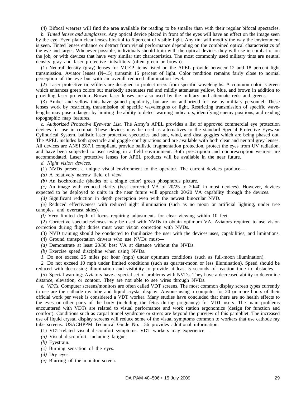(4) Bifocal wearers will find the area available for reading to be smaller than with their regular bifocal spectacles.

*b. Tinted lenses and sunglasses.* Any optical device placed in front of the eyes will have an effect on the image seen by the eye. Even plain clear lenses block 4 to 6 percent of visible light. Any tint will modify the way the environment is seen. Tinted lenses enhance or detract from visual performance depending on the combined optical characteristics of the eye and target. Whenever possible, individuals should train with the optical devices they will use in combat or on the job, or with devices that have very similar tint characteristics. The most commonly used military tints are neutral density gray and laser protective tints/filters (often green or brown).

(1) Neutral density (gray) lenses for MCEP items listed on the APEL provide between 12 and 18 percent light transmission. Aviator lenses (N–15) transmit 15 percent of light. Color rendition remains fairly close to normal perception of the eye but with an overall reduced illumination level.

(2) Laser protective tints/filters are designed to protect users from specific wavelengths. A common color is green which enhances green colors but markedly attenuates red and mildly attenuates yellow, blue, and brown in addition to providing laser protection. Brown laser lenses are also used by the military and attenuate reds and greens.

(3) Amber and yellow tints have gained popularity, but are not authorized for use by military personnel. These lenses work by restricting transmission of specific wavelengths or light. Restricting transmission of specific wavelengths may pose a danger by limiting the ability to detect warning indicators, identifying enemy positions, and reading topographic map features.

*c. Authorized Protective Eyewear List.* The Army's APEL provides a list of approved commercial eye protection devices for use in combat. These devices may be used as alternatives to the standard Special Protective Eyewear Cylindrical System, ballistic laser protective spectacles and sun, wind, and dust goggles which are being phased out. The APEL includes both spectacle and goggle configurations and are available with both clear and neutral grey lenses. All devices are ANSI Z87.1 compliant, provide ballistic fragmentation protection, protect the eyes from UV radiation, and have been subjected to user testing in a field environment. Both prescription and nonprescription wearers are accommodated. Laser protective lenses for APEL products will be available in the near future.

*d. Night vision devices.*

(1) NVDs present a unique visual environment to the operator. The current devices produce—

*(a)* A relatively narrow field of view.

*(b)* An isochromatic (shades of a single color) green phosphorus picture.

*(c)* An image with reduced clarity (best corrected VA of 20/25 to 20/40 in most devices). However, devices expected to be deployed to units in the near future will approach 20/20 VA capability through the devices.

*(d)* Significant reduction in depth perception even with the newest binocular NVD.

*(e)* Reduced effectiveness with reduced night illumination (such as no moon or artificial lighting, under tree canopies, and overcast skies).

*(f)* Very limited depth of focus requiring adjustments for clear viewing within 10 feet.

(2) Corrective spectacles/lenses may be used with NVDs to obtain optimum VA. Aviators required to use vision correction during flight duties must wear vision correction with NVDs.

(3) NVD training should be conducted to familiarize the user with the devices uses, capabilities, and limitations.

(4) Ground transportation drivers who use NVDs must—

*(a)* Demonstrate at least 20/30 best VA at distance without the NVDs.

*(b)* Exercise speed discipline when using NVDs.

*1.* Do not exceed 25 miles per hour (mph) under optimum conditions (such as full-moon illumination).

*2.* Do not exceed 10 mph under limited conditions (such as quarter-moon or less illumination). Speed should be reduced with decreasing illumination and visibility to provide at least 5 seconds of reaction time to obstacles.

(5) Special warning: Aviators have a special set of problems with NVDs. They have a decreased ability to determine distance, elevation, or contour. They are not able to see wires through NVDs.

*e. VDTs.* Computer screens/monitors are often called VDT screens. The most common display screen types currently in use are the cathode ray tube and liquid crystal display. Anyone using a computer for 20 or more hours of their official work per week is considered a VDT worker. Many studies have concluded that there are no health effects to the eyes or other parts of the body (including the fetus during pregnancy) for VDT users. The main problems encountered with VDTs are related to visual performance and work station ergonomics (design for function and comfort). Conditions such as carpal tunnel syndrome or stress are beyond the purview of this pamphlet. The increased use of liquid crystal display screens will reduce some of the visual symptoms common to workers that use cathode ray tube screens. USACHPPM Technical Guide No. 156 provides additional information.

(1) VDT-related visual discomfort symptoms. VDT workers may experience—

- *(a)* Visual discomfort, including fatigue.
- *(b)* Eyestrain.
- *(c)* Burning sensation of the eyes.

*(d)* Dry eyes.

*(e)* Blurring of the monitor screen.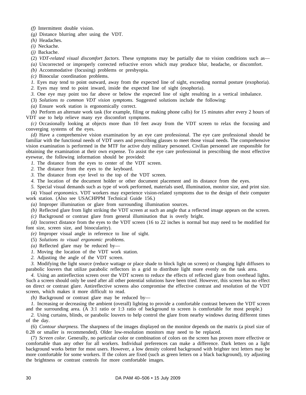*(f)* Intermittent double vision.

*(g)* Distance blurring after using the VDT.

*(h)* Headaches.

*(i)* Neckache.

*(j)* Backache.

(2) *VDT-related visual discomfort factors.* These symptoms may be partially due to vision conditions such as—

*(a)* Uncorrected or improperly corrected refractive errors which may produce blur, headache, or discomfort.

*(b)* Accommodative (focusing) problems or presbyopia.

*(c)* Binocular coordination problems.

*1.* Eyes may tend to point outward, away from the expected line of sight, exceeding normal posture (exophoria).

*2.* Eyes may tend to point inward, inside the expected line of sight (esophoria).

*3.* One eye may point too far above or below the expected line of sight resulting in a vertical imbalance.

(3) *Solutions to common VDT vision symptoms.* Suggested solutions include the following:

*(a)* Ensure work station is ergonomically correct.

*(b)* Perform an alternate work task (for example, filing or making phone calls) for 15 minutes after every 2 hours of VDT use to help relieve many eye discomfort symptoms.

*(c)* Occasionally looking at objects more than 10 feet away from the VDT screen to relax the focusing and converging systems of the eyes.

*(d)* Have a comprehensive vision examination by an eye care professional. The eye care professional should be familiar with the functional needs of VDT users and prescribing glasses to meet those visual needs. The comprehensive vision examination is performed in the MTF for active duty military personnel. Civilian personnel are responsible for obtaining the examination at their own expense. To assist the eye care professional in prescribing the most effective eyewear, the following information should be provided:

*1.* The distance from the eyes to center of the VDT screen.

*2.* The distance from the eyes to the keyboard.

*3.* The distance from eye level to the top of the VDT screen.

*4.* The location of the document holder or other document placement and its distance from the eyes.

*5.* Special visual demands such as type of work performed, materials used, illumination, monitor size, and print size.

(4) *Visual ergonomics.* VDT workers may experience vision-related symptoms due to the design of their computer work station. (Also see USACHPPM Technical Guide 156.)

*(a)* Improper illumination or glare from surrounding illumination sources.

*(b)* Reflected glare from light striking the VDT screen at such an angle that a reflected image appears on the screen.

*(c)* Background or contrast glare from general illumination that is overly bright.

*(d)* Incorrect distance from the eyes to the VDT screen (16 to 22 inches is normal but may need to be modified for font size, screen size, and binocularity).

*(e)* Improper visual angle in reference to line of sight.

(5) *Solutions to visual ergonomic problems.*

*(a)* Reflected glare may be reduced by—

*1.* Moving the location of the VDT work station.

*2.* Adjusting the angle of the VDT screen.

*3.* Modifying the light source (reduce wattage or place shade to block light on screen) or changing light diffusers to parabolic louvers that utilize parabolic reflectors in a grid to distribute light more evenly on the task area.

*4.* Using an antireflection screen over the VDT screen to reduce the effects of reflected glare from overhead lights. Such a screen should only be used after all other potential solutions have been tried. However, this screen has no effect on direct or contrast glare. Antireflective screens also compromise the effective contrast and resolution of the VDT screen, which makes it more difficult to read.

*(b)* Background or contrast glare may be reduced by—

*1.* Increasing or decreasing the ambient (overall) lighting to provide a comfortable contrast between the VDT screen and the surrounding area. (A 3:1 ratio or 1:3 ratio of background to screen is comfortable for most people.)

*2.* Using curtains, blinds, or parabolic louvers to help control the glare from nearby windows during different times of the day.

(6) *Contour sharpness.* The sharpness of the images displayed on the monitor depends on the matrix (a pixel size of 0.28 or smaller is recommended). Older low-resolution monitors may need to be replaced.

(7) *Screen color.* Generally, no particular color or combination of colors on the screen has proven more effective or comfortable than any other for all workers. Individual preferences can make a difference. Dark letters on a light background works better for most users. However, a low density colored background with brighter text letters may be more comfortable for some workers. If the colors are fixed (such as green letters on a black background), try adjusting the brightness or contrast controls for more comfortable images.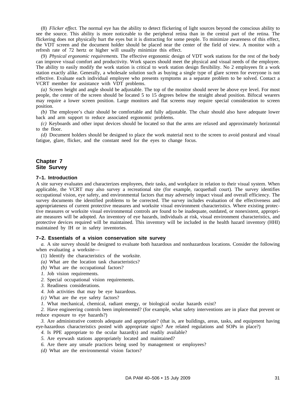(8) *Flicker effect.* The normal eye has the ability to detect flickering of light sources beyond the conscious ability to see the source. This ability is more noticeable to the peripheral retina than in the central part of the retina. The flickering does not physically hurt the eyes but it is distracting for some people. To minimize awareness of this effect, the VDT screen and the document holder should be placed near the center of the field of view. A monitor with a refresh rate of 72 hertz or higher will usually minimize this effect.

(9) *Physical ergonomic requirements.* The effective ergonomic design of VDT work stations for the rest of the body can improve visual comfort and productivity. Work spaces should meet the physical and visual needs of the employee. The ability to easily modify the work station is critical to work station design flexibility. No 2 employees fit a work station exactly alike. Generally, a wholesale solution such as buying a single type of glare screen for everyone is not effective. Evaluate each individual employee who presents symptoms as a separate problem to be solved. Contact a VCRT member for assistance with VDT problems.

*(a)* Screen height and angle should be adjustable. The top of the monitor should never be above eye level. For most people, the center of the screen should be located 5 to 15 degrees below the straight ahead position. Bifocal wearers may require a lower screen position. Large monitors and flat screens may require special consideration to screen position.

*(b)* The employee's chair should be comfortable and fully adjustable. The chair should also have adequate lower back and arm support to reduce associated ergonomic problems.

*(c)* Keyboards and other input devices should be located so that the arms are relaxed and approximately horizontal to the floor.

*(d)* Document holders should be designed to place the work material next to the screen to avoid postural and visual fatigue, glare, flicker, and the constant need for the eyes to change focus.

## **Chapter 7 Site Survey**

## **7–1. Introduction**

A site survey evaluates and characterizes employees, their tasks, and workplace in relation to their visual system. When applicable, the VCRT may also survey a recreational site (for example, racquetball court). The survey identifies occupational vision, eye safety, and environmental factors that may adversely impact visual and overall efficiency. The survey documents the identified problems to be corrected. The survey includes evaluation of the effectiveness and appropriateness of current protective measures and worksite visual environment characteristics. Where existing protective measures or worksite visual environmental controls are found to be inadequate, outdated, or nonexistent, appropriate measures will be adopted. An inventory of eye hazards, individuals at risk, visual environment characteristics, and protective devices required will be maintained. This inventory will be included in the health hazard inventory (HHI) maintained by IH or in safety inventories.

## **7–2. Essentials of a vision conservation site survey**

*a.* A site survey should be designed to evaluate both hazardous and nonhazardous locations. Consider the following when evaluating a worksite—

- (1) Identify the characteristics of the worksite.
- *(a)* What are the location task characteristics?
- *(b)* What are the occupational factors?
- *1.* Job vision requirements.
- *2.* Special occupational vision requirements.
- *3.* Readiness considerations.
- *4.* Job activities that may be eye hazardous.
- *(c)* What are the eye safety factors?
- *1.* What mechanical, chemical, radiant energy, or biological ocular hazards exist?

*2.* Have engineering controls been implemented? (for example, what safety interventions are in place that prevent or reduce exposure to eye hazards?)

*3.* Are administrative controls adequate and appropriate? (that is, are buildings, areas, tasks, and equipment having eye-hazardous characteristics posted with appropriate signs? Are related regulations and SOPs in place?)

- *4.* Is PPE appropriate to the ocular hazard(s) and readily available?
- *5.* Are eyewash stations appropriately located and maintained?
- *6.* Are there any unsafe practices being used by management or employees?
- *(d)* What are the environmental vision factors?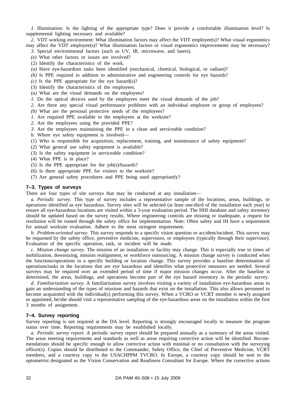*1.* Illumination: Is the lighting of the appropriate type? Does it provide a comfortable illumination level? Is supplemental lighting necessary and available?

*2.* VDT working environment: What illumination factors may affect the VDT employee(s)? What visual ergonomics may affect the VDT employee(s)? What illumination factors or visual ergonomics improvements may be necessary?

*3.* Special environmental factors (such as UV, IR, microwave, and lasers).

- *(e)* What other factors or issues are involved?
- (2) Identify the characteristics of the work.
- (a) Have eye-hazardous tasks been identified (mechanical, chemical, biological, or radiant)?
- (b) Is PPE required in addition to administrative and engineering controls for eye hazards?
- $(c)$  Is the PPE appropriate for the eye hazard $(s)$ ?
- (3) Identify the characteristics of the employees.
- *(a)* What are the visual demands on the employees?
- *1.* Do the optical devices used by the employees meet the visual demands of the job?
- *2.* Are there any special visual performance problems with an individual employee or group of employees?
- *(b)* What are the personal protective needs of the employees?
- *1.* Are required PPE available to the employees at the worksite?
- *2.* Are the employees using the provided PPE?
- *3.* Are the employees maintaining the PPE in a clean and serviceable condition?
- *b.* Where eye safety equipment is involved—
- (1) Who is responsible for acquisition, replacement, training, and maintenance of safety equipment?
- (2) What general use safety equipment is available?
- (3) Is the safety equipment in serviceable condition?
- (4) What PPE is in place?
- (5) Is the PPE appropriate for the job(s)/hazards?
- (6) Is there appropriate PPE for visitors to the worksite?
- (7) Are general safety procedures and PPE being used appropriately?

## **7–3. Types of surveys**

There are four types of site surveys that may be conducted at any installation—

*a. Periodic survey.* This type of survey includes a representative sample of the locations, areas, buildings, or operations identified as eye hazardous. Survey sites will be selected (at least one-third of the installation each year) to ensure all eye-hazardous locations are visited within a 3-year evaluation period. The HHI database and safety inventory should be updated based on the survey results. Where engineering controls are missing or inadequate, a request for resolution will be routed through the safety office for implementation. Note: Often safety and IH have a requirement for annual worksite evaluation. Adhere to the most stringent requirement.

*b. Problem-oriented survey.* This survey responds to a specific vision question or accident/incident. This survey may be requested by the safety office, preventive medicine, supervisors, or employees (typically through their supervisor). Evaluation of the specific operation, task, or incident will be made.

*c. Mission change survey.* The mission of an installation or facility may change. This is especially true in times of mobilization, downsizing, mission realignment, or workforce outsourcing. A mission change survey is conducted when the functions/operations in a specific building or location change. This survey provides a baseline determination of operations/tasks in the locations that are eye hazardous and identifies what protective measures are needed. Several surveys may be required over an extended period of time if major mission changes occur. After the baseline is determined, the areas, buildings, and operations become part of the eye hazard inventory in the periodic survey.

*d. Familiarization survey.* A familiarization survey involves visiting a variety of installation eye-hazardous areas to gain an understanding of the types of missions and hazards that exist on the installation. This also allows personnel to become acquainted with the individual(s) performing this survey. When a VCRO or VCRT member is newly assigned or appointed, he/she should visit a representative sampling of the eye-hazardous areas on the installation within the first 3 months of assignment.

## **7–4. Survey reporting**

Survey reporting is not required at the DA level. Reporting is strongly encouraged locally to measure the program status over time. Reporting requirements may be established locally.

*a. Periodic survey report.* A periodic survey report should be prepared annually as a summary of the areas visited. The areas meeting requirements and standards as well as areas requiring corrective action will be identified. Recommendations should be specific enough to allow corrective action with minimal or no consultation with the surveying officer(s). Copies should be distributed to the Commander, Safety Office, the Chief of Preventive Medicine, VCRT members, and a courtesy copy to the USACHPPM TVCRO. In Europe, a courtesy copy should be sent to the optometrist designated as the Vision Conservation and Readiness Consultant for Europe. Where the corrective actions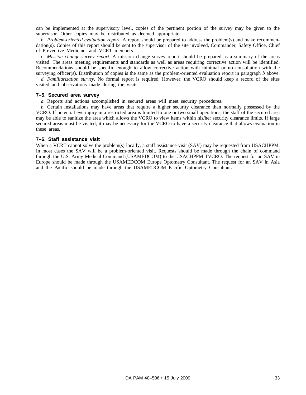can be implemented at the supervisory level, copies of the pertinent portion of the survey may be given to the supervisor. Other copies may be distributed as deemed appropriate.

*b. Problem-oriented evaluation report.* A report should be prepared to address the problem(s) and make recommendation(s). Copies of this report should be sent to the supervisor of the site involved, Commander, Safety Office, Chief of Preventive Medicine, and VCRT members.

*c. Mission change survey report.* A mission change survey report should be prepared as a summary of the areas visited. The areas meeting requirements and standards as well as areas requiring corrective action will be identified. Recommendations should be specific enough to allow corrective action with minimal or no consultation with the surveying officer(s). Distribution of copies is the same as the problem-oriented evaluation report in paragraph *b* above.

*d. Familiarization survey.* No formal report is required. However, the VCRO should keep a record of the sites visited and observations made during the visits.

#### **7–5. Secured area survey**

*a.* Reports and actions accomplished in secured areas will meet security procedures.

*b.* Certain installations may have areas that require a higher security clearance than normally possessed by the VCRO. If potential eye injury in a restricted area is limited to one or two small operations, the staff of the secured area may be able to sanitize the area which allows the VCRO to view items within his/her security clearance limits. If large secured areas must be visited, it may be necessary for the VCRO to have a security clearance that allows evaluation in these areas.

### **7–6. Staff assistance visit**

When a VCRT cannot solve the problem(s) locally, a staff assistance visit (SAV) may be requested from USACHPPM. In most cases the SAV will be a problem-oriented visit. Requests should be made through the chain of command through the U.S. Army Medical Command (USAMEDCOM) to the USACHPPM TVCRO. The request for an SAV in Europe should be made through the USAMEDCOM Europe Optometry Consultant. The request for an SAV in Asia and the Pacific should be made through the USAMEDCOM Pacific Optometry Consultant.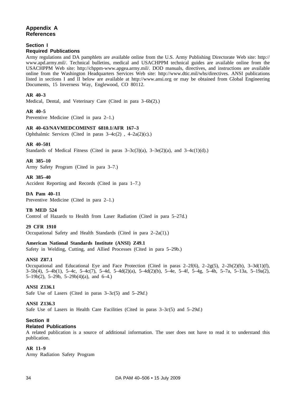## **Appendix A References**

## **Section I**

## **Required Publications**

Army regulations and DA pamphlets are available online from the U.S. Army Publishing Directorate Web site: http:// www.apd.army.mil/. Technical bulletins, medical and USACHPPM technical guides are available online from the USACHPPM Web site: http://chppm-www.apgea.army.mil/. DOD manuals, directives, and instructions are available online from the Washington Headquarters Services Web site: http://www.dtic.mil/whs/directives. ANSI publications listed in sections I and II below are available at http://www.ansi.org or may be obtained from Global Engineering Documents, 15 Inverness Way, Englewood, CO 80112.

## **AR 40–3**

Medical, Dental, and Veterinary Care (Cited in para 3–6b(2).)

## **AR 40–5**

Preventive Medicine (Cited in para 2–1.)

## **AR 40–63/NAVMEDCOMINST 6810.1/AFR 167–3**

Ophthalmic Services (Cited in paras  $3-4c(2)$ ,  $4-2a(2)(c)$ .)

## **AR 40–501**

Standards of Medical Fitness (Cited in paras  $3-3c(3)(a)$ ,  $3-3e(2)(a)$ , and  $3-4c(1)(d)$ .)

## **AR 385–10**

Army Safety Program (Cited in para 3–7.)

## **AR 385–40**

Accident Reporting and Records (Cited in para 1–7.)

**DA Pam 40–11** Preventive Medicine (Cited in para 2–1.)

## **TB MED 524**

Control of Hazards to Health from Laser Radiation (Cited in para 5–27d.)

## **29 CFR 1910**

Occupational Safety and Health Standards (Cited in para 2–2a(1).)

## **American National Standards Institute (ANSI) Z49.1**

Safety in Welding, Cutting, and Allied Processes (Cited in para 5–29b.)

## **ANSI Z87.1**

Occupational and Educational Eye and Face Protection (Cited in paras 2–2f(6), 2–2g(5), 2–2h(2)(b), 3–3d(1)(f),  $3-5b(4)$ ,  $5-4b(1)$ ,  $5-4c$ ,  $5-4c(7)$ ,  $5-4d$ ,  $5-4d(2)(a)$ ,  $5-4d(2)(b)$ ,  $5-4e$ ,  $5-4f$ ,  $5-4g$ ,  $5-4h$ ,  $5-7a$ ,  $5-13a$ ,  $5-19a(2)$ ,  $5-19b(2)$ ,  $5-29b$ ,  $5-29b(4)(a)$ , and  $6-4$ .)

## **ANSI Z136.1**

Safe Use of Lasers (Cited in paras 3–3*c*(5) and 5–29*d*.)

## **ANSI Z136.3**

Safe Use of Lasers in Health Care Facilities (Cited in paras 3–3*c*(5) and 5–29*d*.)

## **Section II Related Publications**

A related publication is a source of additional information. The user does not have to read it to understand this publication.

## **AR 11–9**

Army Radiation Safety Program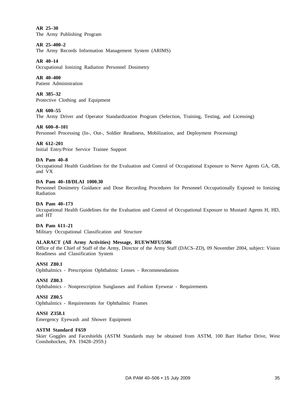## **AR 25–30**

The Army Publishing Program

## **AR 25–400–2**

The Army Records Information Management System (ARIMS)

## **AR 40–14**

Occupational Ionizing Radiation Personnel Dosimetry

## **AR 40–400**

Patient Administration

## **AR 385–32**

Protective Clothing and Equipment

## **AR 600–55**

The Army Driver and Operator Standardization Program (Selection, Training, Testing, and Licensing)

## **AR 600–8–101**

Personnel Processing (In-, Out-, Soldier Readiness, Mobilization, and Deployment Processing)

## **AR 612–201**

Initial Entry/Prior Service Trainee Support

## **DA Pam 40–8**

Occupational Health Guidelines for the Evaluation and Control of Occupational Exposure to Nerve Agents GA, GB, and VX

## **DA Pam 40–18/DLAI 1000.30**

Personnel Dosimetry Guidance and Dose Recording Procedures for Personnel Occupationally Exposed to Ionizing Radiation

## **DA Pam 40–173**

Occupational Health Guidelines for the Evaluation and Control of Occupational Exposure to Mustard Agents H, HD, and HT

## **DA Pam 611–21**

Military Occupational Classification and Structure

## **ALARACT (All Army Activities) Message, RUEWMFU5506**

Office of the Chief of Staff of the Army, Director of the Army Staff (DACS–ZD), 09 November 2004, subject: Vision Readiness and Classification System

## **ANSI Z80.1**

Ophthalmics - Prescription Ophthalmic Lenses - Recommendations

## **ANSI Z80.3**

Ophthalmics - Nonprescription Sunglasses and Fashion Eyewear - Requirements

## **ANSI Z80.5**

Ophthalmics - Requirements for Ophthalmic Frames

## **ANSI Z358.1**

Emergency Eyewash and Shower Equipment

## **ASTM Standard F659**

Skier Goggles and Faceshields (ASTM Standards may be obtained from ASTM, 100 Barr Harbor Drive, West Conshohocken, PA 19428–2959.)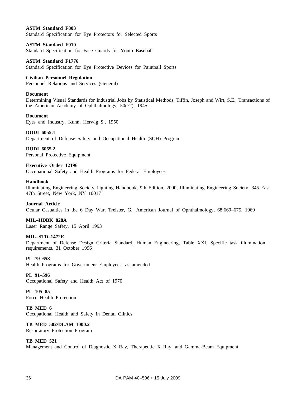## **ASTM Standard F803**

Standard Specification for Eye Protectors for Selected Sports

## **ASTM Standard F910**

Standard Specification for Face Guards for Youth Baseball

### **ASTM Standard F1776**

Standard Specification for Eye Protective Devices for Paintball Sports

### **Civilian Personnel Regulation**

Personnel Relations and Services (General)

#### **Document**

Determining Visual Standards for Industrial Jobs by Statistical Methods, Tiffin, Joseph and Wirt, S.E., Transactions of the American Academy of Ophthalmology, 50(72), 1945

#### **Document**

Eyes and Industry, Kuhn, Herwig S., 1950

#### **DODI 6055.1**

Department of Defense Safety and Occupational Health (SOH) Program

**DODI 6055.2**

Personal Protective Equipment

## **Executive Order 12196** Occupational Safety and Health Programs for Federal Employees

## **Handbook**

Illuminating Engineering Society Lighting Handbook, 9th Edition, 2000, Illuminating Engineering Society, 345 East 47th Street, New York, NY 10017

### **Journal Article**

Ocular Casualties in the 6 Day War, Treister, G., American Journal of Ophthalmology, 68:669–675, 1969

## **MIL–HDBK 828A**

Laser Range Safety, 15 April 1993

## **MIL–STD–1472E**

Department of Defense Design Criteria Standard, Human Engineering, Table XXI. Specific task illumination requirements. 31 October 1996

## **PL 79–658**

Health Programs for Government Employees, as amended

#### **PL 91–596**

Occupational Safety and Health Act of 1970

## **PL 105–85**

Force Health Protection

**TB MED 6** Occupational Health and Safety in Dental Clinics

## **TB MED 502/DLAM 1000.2**

Respiratory Protection Program

#### **TB MED 521**

Management and Control of Diagnostic X–Ray, Therapeutic X–Ray, and Gamma-Beam Equipment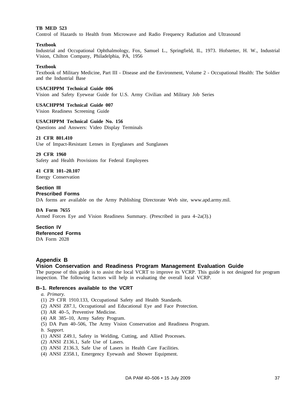## **TB MED 523**

Control of Hazards to Health from Microwave and Radio Frequency Radiation and Ultrasound

### **Textbook**

Industrial and Occupational Ophthalmology, Fox, Samuel L., Springfield, IL, 1973. Hofstetter, H. W., Industrial Vision, Chilton Company, Philadelphia, PA, 1956

#### **Textbook**

Textbook of Military Medicine, Part III - Disease and the Environment, Volume 2 - Occupational Health: The Soldier and the Industrial Base

## **USACHPPM Technical Guide 006**

Vision and Safety Eyewear Guide for U.S. Army Civilian and Military Job Series

## **USACHPPM Technical Guide 007**

Vision Readiness Screening Guide

## **USACHPPM Technical Guide No. 156**

Questions and Answers: Video Display Terminals

## **21 CFR 801.410**

Use of Impact-Resistant Lenses in Eyeglasses and Sunglasses

#### **29 CFR 1960**

Safety and Health Provisions for Federal Employees

**41 CFR 101–20.107** Energy Conservation

**Section III Prescribed Forms**

DA forms are available on the Army Publishing Directorate Web site, www.apd.army.mil.

## **DA Form 7655**

Armed Forces Eye and Vision Readiness Summary. (Prescribed in para 4–2a(3).)

## **Section IV Referenced Forms** DA Form 2028

## **Appendix B**

## **Vision Conservation and Readiness Program Management Evaluation Guide**

The purpose of this guide is to assist the local VCRT to improve its VCRP. This guide is not designed for program inspection. The following factors will help in evaluating the overall local VCRP.

## **B–1. References available to the VCRT**

- *a. Primary.*
- (1) 29 CFR 1910.133, Occupational Safety and Health Standards.
- (2) ANSI Z87.1, Occupational and Educational Eye and Face Protection.
- (3) AR 40–5, Preventive Medicine.
- (4) AR 385–10, Army Safety Program.
- (5) DA Pam 40–506, The Army Vision Conservation and Readiness Program.
- *b. Support.*
- (1) ANSI Z49.1, Safety in Welding, Cutting, and Allied Processes.
- (2) ANSI Z136.1, Safe Use of Lasers.
- (3) ANSI Z136.3, Safe Use of Lasers in Health Care Facilities.
- (4) ANSI Z358.1, Emergency Eyewash and Shower Equipment.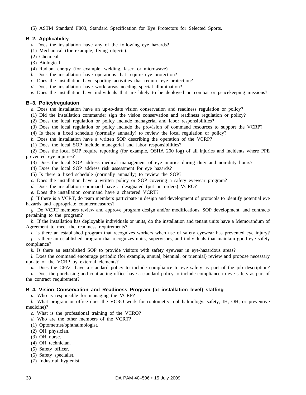(5) ASTM Standard F803, Standard Specification for Eye Protectors for Selected Sports.

## **B–2. Applicability**

- *a.* Does the installation have any of the following eye hazards?
- (1) Mechanical (for example, flying objects).
- (2) Chemical.
- (3) Biological.
- (4) Radiant energy (for example, welding, laser, or microwave).
- *b.* Does the installation have operations that require eye protection?
- *c.* Does the installation have sporting activities that require eye protection?
- *d.* Does the installation have work areas needing special illumination?
- *e.* Does the installation have individuals that are likely to be deployed on combat or peacekeeping missions?

## **B–3. Policy/regulation**

*a.* Does the installation have an up-to-date vision conservation and readiness regulation or policy?

- (1) Did the installation commander sign the vision conservation and readiness regulation or policy?
- (2) Does the local regulation or policy include managerial and labor responsibilities?
- (3) Does the local regulation or policy include the provision of command resources to support the VCRP?
- (4) Is there a fixed schedule (normally annually) to review the local regulation or policy?
- *b.* Does the installation have a written SOP describing the operation of the VCRP?
- (1) Does the local SOP include managerial and labor responsibilities?

(2) Does the local SOP require reporting (for example, OSHA 200 log) of all injuries and incidents where PPE prevented eye injuries?

- (3) Does the local SOP address medical management of eye injuries during duty and non-duty hours?
- (4) Does the local SOP address risk assessment for eye hazards?
- (5) Is there a fixed schedule (normally annually) to review the SOP?
- *c.* Does the installation have a written policy or SOP covering a safety eyewear program?
- *d.* Does the installation command have a designated (put on orders) VCRO?
- *e.* Does the installation command have a chartered VCRT?

*f.* If there is a VCRT, do team members participate in design and development of protocols to identify potential eye hazards and appropriate countermeasures?

*g.* Do VCRT members review and approve program design and/or modifications, SOP development, and contracts pertaining to the program?

*h.* If the installation has deployable individuals or units, do the installation and tenant units have a Memorandum of Agreement to meet the readiness requirements?

*i.* Is there an established program that recognizes workers when use of safety eyewear has prevented eye injury? *j.* Is there an established program that recognizes units, supervisors, and individuals that maintain good eye safety compliance?

*k.* Is there an established SOP to provide visitors with safety eyewear in eye-hazardous areas?

*l.* Does the command encourage periodic (for example, annual, biennial, or triennial) review and propose necessary update of the VCRP by external elements?

*m.* Does the CPAC have a standard policy to include compliance to eye safety as part of the job description? *n.* Does the purchasing and contracting office have a standard policy to include compliance to eye safety as part of the contract requirement?

## **B–4. Vision Conservation and Readiness Program (at installation level) staffing**

*a.* Who is responsible for managing the VCRP?

*b.* What program or office does the VCRO work for (optometry, ophthalmology, safety, IH, OH, or preventive medicine)?

*c.* What is the professional training of the VCRO?

*d.* Who are the other members of the VCRT?

(1) Optometrist/ophthalmologist.

- (2) OH physician.
- (3) OH nurse.
- (4) OH technician.
- (5) Safety officer.
- (6) Safety specialist.
- (7) Industrial hygienist.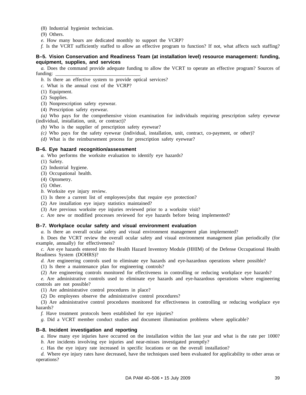(8) Industrial hygienist technician.

(9) Others.

*e.* How many hours are dedicated monthly to support the VCRP?

*f.* Is the VCRT sufficiently staffed to allow an effective program to function? If not, what affects such staffing?

## **B–5. Vision Conservation and Readiness Team (at installation level) resource management: funding, equipment, supplies, and services**

*a.* Does the command provide adequate funding to allow the VCRT to operate an effective program? Sources of funding:

*b.* Is there an effective system to provide optical services?

*c.* What is the annual cost of the VCRP?

- (1) Equipment.
- (2) Supplies.

(3) Nonprescription safety eyewear.

(4) Prescription safety eyewear.

*(a)* Who pays for the comprehensive vision examination for individuals requiring prescription safety eyewear (individual, installation, unit, or contract)?

*(b)* Who is the supplier of prescription safety eyewear?

*(c)* Who pays for the safety eyewear (individual, installation, unit, contract, co-payment, or other)?

*(d)* What is the reimbursement process for prescription safety eyewear?

## **B–6. Eye hazard recognition/assessment**

*a.* Who performs the worksite evaluation to identify eye hazards?

(1) Safety.

- (2) Industrial hygiene.
- (3) Occupational health.
- (4) Optometry.

(5) Other.

*b.* Worksite eye injury review.

(1) Is there a current list of employees/jobs that require eye protection?

(2) Are installation eye injury statistics maintained?

(3) Are previous worksite eye injuries reviewed prior to a worksite visit?

*c.* Are new or modified processes reviewed for eye hazards before being implemented?

## **B–7. Workplace ocular safety and visual environment evaluation**

*a.* Is there an overall ocular safety and visual environment management plan implemented?

*b.* Does the VCRT review the overall ocular safety and visual environment management plan periodically (for example, annually) for effectiveness?

*c.* Are eye hazards entered into the Health Hazard Inventory Module (HHIM) of the Defense Occupational Health Readiness System (DOHRS)?

*d.* Are engineering controls used to eliminate eye hazards and eye-hazardous operations where possible?

(1) Is there a maintenance plan for engineering controls?

(2) Are engineering controls monitored for effectiveness in controlling or reducing workplace eye hazards?

*e.* Are administrative controls used to eliminate eye hazards and eye-hazardous operations where engineering controls are not possible?

(1) Are administrative control procedures in place?

(2) Do employees observe the administrative control procedures?

(3) Are administrative control procedures monitored for effectiveness in controlling or reducing workplace eye hazards?

*f.* Have treatment protocols been established for eye injuries?

*g.* Did a VCRT member conduct studies and document illumination problems where applicable?

#### **B–8. Incident investigation and reporting**

*a.* How many eye injuries have occurred on the installation within the last year and what is the rate per 1000?

*b.* Are incidents involving eye injuries and near-misses investigated promptly?

*c.* Has the eye injury rate increased in specific locations or on the overall installation?

*d.* Where eye injury rates have decreased, have the techniques used been evaluated for applicability to other areas or operations?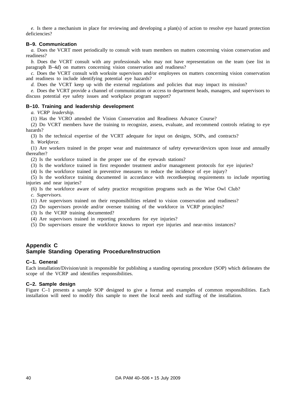*e.* Is there a mechanism in place for reviewing and developing a plan(s) of action to resolve eye hazard protection deficiencies?

## **B–9. Communication**

*a.* Does the VCRT meet periodically to consult with team members on matters concerning vision conservation and readiness?

*b.* Does the VCRT consult with any professionals who may not have representation on the team (see list in paragraph B–4*d*) on matters concerning vision conservation and readiness?

*c.* Does the VCRT consult with worksite supervisors and/or employees on matters concerning vision conservation and readiness to include identifying potential eye hazards?

*d.* Does the VCRT keep up with the external regulations and policies that may impact its mission?

*e.* Does the VCRT provide a channel of communication or access to department heads, managers, and supervisors to discuss potential eye safety issues and workplace program support?

## **B–10. Training and leadership development**

*a. VCRP leadership.*

(1) Has the VCRO attended the Vision Conservation and Readiness Advance Course?

(2) Do VCRT members have the training to recognize, assess, evaluate, and recommend controls relating to eye hazards?

(3) Is the technical expertise of the VCRT adequate for input on designs, SOPs, and contracts?

*b. Workforce.*

(1) Are workers trained in the proper wear and maintenance of safety eyewear/devices upon issue and annually thereafter?

(2) Is the workforce trained in the proper use of the eyewash stations?

(3) Is the workforce trained in first responder treatment and/or management protocols for eye injuries?

(4) Is the workforce trained in preventive measures to reduce the incidence of eye injury?

(5) Is the workforce training documented in accordance with recordkeeping requirements to include reporting injuries and near injuries?

(6) Is the workforce aware of safety practice recognition programs such as the Wise Owl Club? *c. Supervisors.*

(1) Are supervisors trained on their responsibilities related to vision conservation and readiness?

- (2) Do supervisors provide and/or oversee training of the workforce in VCRP principles?
- (3) Is the VCRP training documented?

(4) Are supervisors trained in reporting procedures for eye injuries?

(5) Do supervisors ensure the workforce knows to report eye injuries and near-miss instances?

## **Appendix C Sample Standing Operating Procedure/Instruction**

## **C–1. General**

Each installation/Division/unit is responsible for publishing a standing operating procedure (SOP) which delineates the scope of the VCRP and identifies responsibilities.

## **C–2. Sample design**

Figure C–1 presents a sample SOP designed to give a format and examples of common responsibilities. Each installation will need to modify this sample to meet the local needs and staffing of the installation.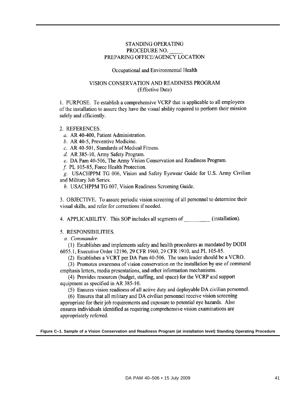# STANDING OPERATING PROCEDURE NO. PREPARING OFFICE/AGENCY LOCATION

Occupational and Environmental Health

# VISION CONSERVATION AND READINESS PROGRAM (Effective Date)

1. PURPOSE. To establish a comprehensive VCRP that is applicable to all employees of the installation to assure they have the visual ability required to perform their mission safely and efficiently.

## 2. REFERENCES.

a. AR 40-400, Patient Administration.

b. AR 40-5, Preventive Medicine.

 $c$ . AR 40-501. Standards of Medical Fitness.

d. AR 385-10, Army Safety Program.

e. DA Pam 40-506, The Army Vision Conservation and Readiness Program.

f. PL 105-85, Force Health Protection.

g. USACHPPM TG 006, Vision and Safety Eyewear Guide for U.S. Army Civilian and Military Job Series.

h. USACHPPM TG 007, Vision Readiness Screening Guide.

3. OBJECTIVE. To assure periodic vision screening of all personnel to determine their visual skills, and refer for corrections if needed.

## 5. RESPONSIBILITIES.

a. Commander.

(1) Establishes and implements safety and health procedures as mandated by DODI 6055.1, Executive Order 12196, 29 CFR 1960, 29 CFR 1910, and PL 105-85.

(2) Establishes a VCRT per DA Pam 40-506. The team leader should be a VCRO.

(3) Promotes awareness of vision conservation on the installation by use of command

emphasis letters, media presentations, and other information mechanisms.

(4) Provides resources (budget, staffing, and space) for the VCRP and support equipment as specified in AR 385-10.

(5) Ensures vision readiness of all active duty and deployable DA civilian personnel.

(6) Ensures that all military and DA civilian personnel receive vision screening appropriate for their job requirements and exposure to potential eye hazards. Also ensures individuals identified as requiring comprehensive vision examinations are appropriately referred.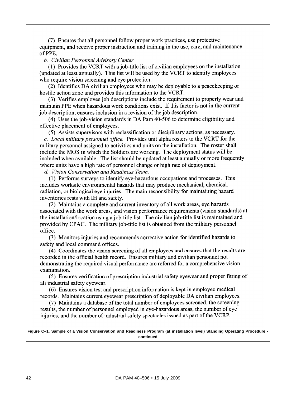(7) Ensures that all personnel follow proper work practices, use protective equipment, and receive proper instruction and training in the use, care, and maintenance of PPE.

## b. Civilian Personnel Advisory Center

(1) Provides the VCRT with a job-title list of civilian employees on the installation (updated at least annually). This list will be used by the VCRT to identify employees who require vision screening and eye protection.

(2) Identifies DA civilian employees who may be deployable to a peace keeping or hostile action zone and provides this information to the VCRT.

(3) Verifies employee job descriptions include the requirement to properly wear and maintain PPE when hazardous work conditions exist. If this factor is not in the current job description, ensures inclusion in a revision of the job description.

(4) Uses the job-vision standards in DA Pam 40-506 to determine eligibility and effective placement of employees.

(5) Assists supervisors with reclassification or disciplinary actions, as necessary. c. Local military personnel office. Provides unit alpha rosters to the VCRT for the military personnel assigned to activities and units on the installation. The roster shall include the MOS in which the Soldiers are working. The deployment status will be included when available. The list should be updated at least annually or more frequently where units have a high rate of personnel change or high rate of deployment.

d. Vision Conservation and Readiness Team.

(1) Performs surveys to identify eye-hazardous occupations and processes. This includes worksite environmental hazards that may produce mechanical, chemical, radiation, or biological eye injuries. The main responsibility for maintaining hazard inventories rests with IH and safety.

(2) Maintains a complete and current inventory of all work areas, eye hazards associated with the work areas, and vision performance requirements (vision standards) at the installation/location using a job-title list. The civilian job-title list is maintained and provided by CPAC. The military job-title list is obtained from the military personnel office.

(3) Monitors injuries and recommends corrective action for identified hazards to safety and local command offices.

(4) Coordinates the vision screening of all employees and ensures that the results are recorded in the official health record. Ensures military and civilian personnel not demonstrating the required visual performance are referred for a comprehensive vision examination.

(5) Ensures verification of prescription industrial safety eyewear and proper fitting of all industrial safety eyewear.

(6) Ensures vision test and prescription information is kept in employee medical records. Maintains current eyewear prescription of deployable DA civilian employees.

(7) Maintains a database of the total number of employees screened, the screening results, the number of personnel employed in eye-hazardous areas, the number of eye injuries, and the number of industrial safety spectacles issued as part of the VCRP.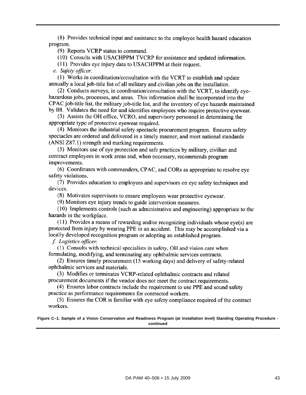(8) Provides technical input and assistance to the employee health hazard education program.

(9) Reports VCRP status to command.

(10) Consults with USACHPPM TVCRP for assistance and updated information.

(11) Provides eye injury data to USACHPPM at their request.

e. Safety officer.

(1) Works in coordination/consultation with the VCRT to establish and update annually a local job-title list of all military and civilian jobs on the installation.

(2) Conducts surveys, in coordination/consultation with the VCRT, to identify eyehazardous jobs, processes, and areas. This information shall be incorporated into the CPAC job-title list, the military job-title list, and the inventory of eye hazards maintained by IH. Validates the need for and identifies employees who require protective eyewear.

(3) Assists the OH office, VCRO, and supervisory personnel in determining the appropriate type of protective eyewear required.

(4) Monitors the industrial safety spectacle procurement program. Ensures safety spectacles are ordered and delivered in a timely manner, and meet national standards (ANSI Z87.1) strength and marking requirements.

(5) Monitors use of eye protection and safe practices by military, civilian and contract employees in work areas and, when necessary, recommends program improvements.

(6) Coordinates with commanders, CPAC, and CORs as appropriate to resolve eye safety violations.

(7) Provides education to employees and supervisors on eye safety techniques and devices.

(8) Motivates supervisors to ensure employees wear protective eyewear.

(9) Monitors eye injury trends to guide intervention measures.

(10) Implements controls (such as administrative and engineering) appropriate to the hazards in the workplace.

(11) Provides a means of rewarding and/or recognizing individuals whose eye(s) are protected from injury by wearing PPE in an accident. This may be accomplished via a locally developed recognition program or adopting an established program.

f. Logistics officer.

(1) Consults with technical specialists in safety, OH and vision care when formulating, modifying, and terminating any ophthalmic services contracts.

(2) Ensures timely procurement (15 working days) and delivery of safety-related ophthalmic services and materials.

(3) Modifies or terminates VCRP-related ophthalmic contracts and related procurement documents if the vendor does not meet the contract requirements.

(4) Ensures labor contracts include the requirement to use PPE and sound safety practice as performance requirements for contracted workers.

(5) Ensures the COR is familiar with eye safety compliance required of the contract workers.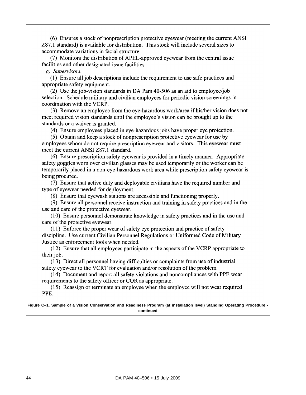(6) Ensures a stock of nonprescription protective eyewear (meeting the current ANSI Z87.1 standard) is available for distribution. This stock will include several sizes to accommodate variations in facial structure.

(7) Monitors the distribution of APEL-approved eyewear from the central issue facilities and other designated issue facilities.

g. Supervisors.

(1) Ensure all job descriptions include the requirement to use safe practices and appropriate safety equipment.

(2) Use the job-vision standards in DA Pam 40-506 as an aid to employee/job selection. Schedule military and civilian employees for periodic vision screenings in coordination with the VCRP.

(3) Remove an employee from the eye-hazardous work/area if his/her vision does not meet required vision standards until the employee's vision can be brought up to the standards or a waiver is granted.

(4) Ensure employees placed in eye-hazardous jobs have proper eye protection.

(5) Obtain and keep a stock of nonprescription protective eyewear for use by employees whom do not require prescription eyewear and visitors. This eyewear must meet the current ANSI Z87.1 standard.

(6) Ensure prescription safety eyewear is provided in a timely manner. Appropriate safety goggles worn over civilian glasses may be used temporarily or the worker can be temporarily placed in a non-eye-hazardous work area while prescription safety eyewear is being procured.

(7) Ensure that active duty and deployable civilians have the required number and type of eyewear needed for deployment.

(8) Ensure that eyewash stations are accessible and functioning properly.

(9) Ensure all personnel receive instruction and training in safety practices and in the use and care of the protective evewear.

(10) Ensure personnel demonstrate knowledge in safety practices and in the use and care of the protective eyewear.

(11) Enforce the proper wear of safety eye protection and practice of safety discipline. Use current Civilian Personnel Regulations or Uniformed Code of Military Justice as enforcement tools when needed.

(12) Ensure that all employees participate in the aspects of the VCRP appropriate to their job.

(13) Direct all personnel having difficulties or complaints from use of industrial safety eyewear to the VCRT for evaluation and/or resolution of the problem.

(14) Document and report all safety violations and noncompliances with PPE wear requirements to the safety officer or COR as appropriate.

(15) Reassign or terminate an employee when the employee will not wear required PPE.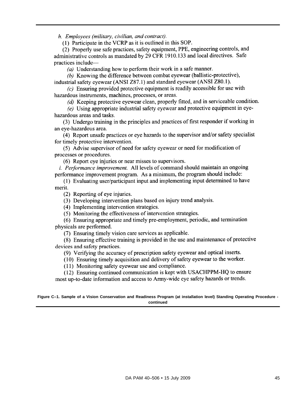h. Employees (military, civilian, and contract).

(1) Participate in the VCRP as it is outlined in this SOP.

(2) Properly use safe practices, safety equipment, PPE, engineering controls, and administrative controls as mandated by 29 CFR 1910.133 and local directives. Safe practices include—

(a) Understanding how to perform their work in a safe manner.

(b) Knowing the difference between combat eyewear (ballistic-protective), industrial safety eyewear (ANSI Z87.1) and standard eyewear (ANSI Z80.1).

 $(c)$  Ensuring provided protective equipment is readily accessible for use with hazardous instruments, machines, processes, or areas.

(d) Keeping protective eyewear clean, properly fitted, and in serviceable condition.

(e) Using appropriate industrial safety eyewear and protective equipment in eyehazardous areas and tasks.

(3) Undergo training in the principles and practices of first responder if working in an eye-hazardous area.

(4) Report unsafe practices or eve hazards to the supervisor and/or safety specialist for timely protective intervention.

(5) Advise supervisor of need for safety eyewear or need for modification of processes or procedures.

(6) Report eye injuries or near misses to supervisors.

*i. Performance improvement.* All levels of command should maintain an ongoing performance improvement program. As a minimum, the program should include:

(1) Evaluating user/participant input and implementing input determined to have merit.

(2) Reporting of eye injuries.

(3) Developing intervention plans based on injury trend analysis.

(4) Implementing intervention strategies.

(5) Monitoring the effectiveness of intervention strategies.

(6) Ensuring appropriate and timely pre-employment, periodic, and termination physicals are performed.

(7) Ensuring timely vision care services as applicable.

(8) Ensuring effective training is provided in the use and maintenance of protective devices and safety practices.

(9) Verifying the accuracy of prescription safety eyewear and optical inserts.

(10) Ensuring timely acquisition and delivery of safety eyewear to the worker.

(11) Monitoring safety eyewear use and compliance.

(12) Ensuring continued communication is kept with USACHPPM-HQ to ensure

most up-to-date information and access to Army-wide eye safety hazards or trends.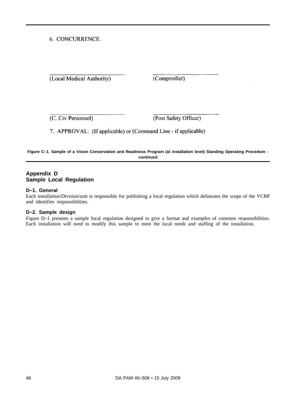6. CONCURRENCE.

(Local Medical Authority)

(Comptroller)

(C. Civ Personnel)

(Post Safety Officer)

7. APPROVAL: (If applicable) or (Command Line - if applicable)

**Figure C–1. Sample of a Vision Conservation and Readiness Program (at installation level) Standing Operating Procedure continued**

## **Appendix D Sample Local Regulation**

## **D–1. General**

Each installation/Division/unit is responsible for publishing a local regulation which delineates the scope of the VCRP and identifies responsibilities.

## **D–2. Sample design**

Figure D–1 presents a sample local regulation designed to give a format and examples of common responsibilities. Each installation will need to modify this sample to meet the local needs and staffing of the installation.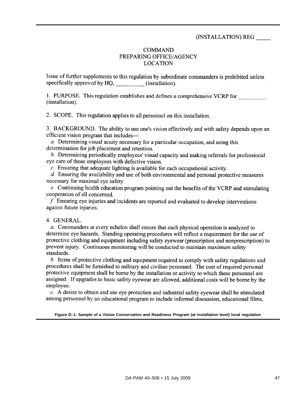## (INSTALLATION) REG

# **COMMAND** PREPARING OFFICE/AGENCY **LOCATION**

Issue of further supplements to this regulation by subordinate commanders is prohibited unless specifically approved by HQ, \_\_\_\_\_\_\_\_\_\_\_(installation).

1. PURPOSE. This regulation establishes and defines a comprehensive VCRP for (installation).

2. SCOPE. This regulation applies to all personnel on this installation.

3. BACKGROUND. The ability to use one's vision effectively and with safety depends upon an efficient vision program that includes—

a. Determining visual acuity necessary for a particular occupation, and using this determination for job placement and retention.

b. Determining periodically employees' visual capacity and making referrals for professional eye care of those employees with defective vision.

c. Ensuring that adequate lighting is available for each occupational activity.

d. Ensuring the availability and use of both environmental and personal protective measures necessary for maximal eye safety.

e. Continuing health education program pointing out the benefits of the VCRP and stimulating cooperation of all concerned.

f. Ensuring eve injuries and incidents are reported and evaluated to develop interventions against future injuries.

## 4. GENERAL.

a. Commanders at every echelon shall ensure that each physical operation is analyzed to determine eye hazards. Standing operating procedures will reflect a requirement for the use of protective clothing and equipment including safety eyewear (prescription and nonprescription) to prevent injury. Continuous monitoring will be conducted to maintain maximum safety standards.

b. Items of protective clothing and equipment required to comply with safety regulations and procedures shall be furnished to military and civilian personnel. The cost of required personal protective equipment shall be borne by the installation or activity to which these personnel are assigned. If upgrades to basic safety eyewear are allowed, additional costs will be borne by the employee.

c. A desire to obtain and use eye protection and industrial safety eyewear shall be stimulated among personnel by an educational program to include informal discussion, educational films,

Figure D-1. Sample of a Vision Conservation and Readiness Program (at installation level) local regulation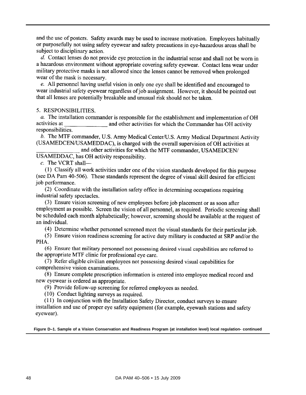and the use of posters. Safety awards may be used to increase motivation. Employees habitually or purposefully not using safety evewear and safety precautions in eye-hazardous areas shall be subject to disciplinary action.

d. Contact lenses do not provide eye protection in the industrial sense and shall not be worn in a hazardous environment without appropriate covering safety eyewear. Contact lens wear under military protective masks is not allowed since the lenses cannot be removed when prolonged wear of the mask is necessary.

e. All personnel having useful vision in only one eye shall be identified and encouraged to wear industrial safety eyewear regardless of job assignment. However, it should be pointed out that all lenses are potentially breakable and unusual risk should not be taken.

## 5. RESPONSIBILITIES.

a. The installation commander is responsible for the establishment and implementation of OH activities at and other activities for which the Commander has OH activity responsibilities.

b. The MTF commander, U.S. Army Medical Center/U.S. Army Medical Department Activity (USAMEDCEN/USAMEDDAC), is charged with the overall supervision of OH activities at

and other activities for which the MTF commander, USAMEDCEN/

USAMEDDAC, has OH activity responsibility.

 $c$ . The VCRT shall-

(1) Classify all work activities under one of the vision standards developed for this purpose (see DA Pam 40-506). These standards represent the degree of visual skill desired for efficient job performance.

(2) Coordinate with the installation safety office in determining occupations requiring industrial safety spectacles.

(3) Ensure vision screening of new employees before job placement or as soon after employment as possible. Screen the vision of all personnel, as required. Periodic screening shall be scheduled each month alphabetically; however, screening should be available at the request of an individual.

(4) Determine whether personnel screened meet the visual standards for their particular job.

(5) Ensure vision readiness screening for active duty military is conducted at SRP and/or the PHA.

(6) Ensure that military personnel not possessing desired visual capabilities are referred to the appropriate MTF clinic for professional eye care.

(7) Refer eligible civilian employees not possessing desired visual capabilities for comprehensive vision examinations.

(8) Ensure complete prescription information is entered into employee medical record and new eyewear is ordered as appropriate.

(9) Provide follow-up screening for referred employees as needed.

(10) Conduct lighting surveys as required.

(11) In conjunction with the Installation Safety Director, conduct surveys to ensure installation and use of proper eye safety equipment (for example, eyewash stations and safety eyewear).

Figure D-1. Sample of a Vision Conservation and Readiness Program (at installation level) local regulation- continued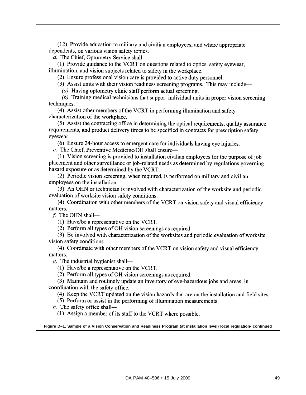(12) Provide education to military and civilian employees, and where appropriate dependents, on various vision safety topics.

d. The Chief, Optometry Service shall-

(1) Provide guidance to the VCRT on questions related to optics, safety evewear, illumination, and vision subjects related to safety in the workplace.

(2) Ensure professional vision care is provided to active duty personnel.

(3) Assist units with their vision readiness screening programs. This may include—

(a) Having optometry clinic staff perform actual screening.

(b) Training medical technicians that support individual units in proper vision screening techniques.

(4) Assist other members of the VCRT in performing illumination and safety characterization of the workplace.

(5) Assist the contracting office in determining the optical requirements, quality assurance requirements, and product delivery times to be specified in contracts for prescription safety eyewear.

(6) Ensure 24-hour access to emergent care for individuals having eye injuries.

e. The Chief, Preventive Medicine/OH shall ensure—

(1) Vision screening is provided to installation civilian employees for the purpose of job placement and other surveillance or job-related needs as determined by regulations governing hazard exposure or as determined by the VCRT.

(2) Periodic vision screening, when required, is performed on military and civilian employees on the installation.

(3) An OHN or technician is involved with characterization of the worksite and periodic evaluation of worksite vision safety conditions.

(4) Coordination with other members of the VCRT on vision safety and visual efficiency matters.

 $f$ . The OHN shall-

(1) Have/be a representative on the VCRT.

(2) Perform all types of OH vision screenings as required.

(3) Be involved with characterization of the worksites and periodic evaluation of worksite vision safety conditions.

(4) Coordinate with other members of the VCRT on vision safety and visual efficiency matters.

g. The industrial hygienist shall—

(1) Have/be a representative on the VCRT.

(2) Perform all types of OH vision screenings as required.

(3) Maintain and routinely update an inventory of eye-hazardous jobs and areas, in coordination with the safety office.

(4) Keep the VCRT updated on the vision hazards that are on the installation and field sites.

(5) Perform or assist in the performing of illumination measurements.

 $h$ . The safety office shall-

(1) Assign a member of its staff to the VCRT where possible.

Figure D-1. Sample of a Vision Conservation and Readiness Program (at installation level) local regulation- continued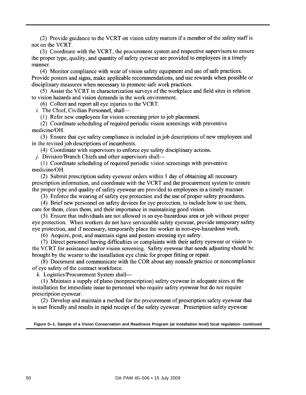(2) Provide guidance to the VCRT on vision safety matters if a member of the safety staff is not on the VCRT.

(3) Coordinate with the VCRT, the procurement system and respective supervisors to ensure the proper type, quality, and quantity of safety eyewear are provided to employees in a timely manner.

(4) Monitor compliance with wear of vision safety equipment and use of safe practices. Provide posters and signs, make applicable recommendations, and use rewards when possible or disciplinary measures when necessary to promote safe work practices.

(5) Assist the VCRT in characterization surveys of the workplace and field sites in relation to vision hazards and vision demands in the work environment.

(6) Collect and report all eye injuries to the VCRT.

*i.* The Chief, Civilian Personnel, shall-

(1) Refer new employees for vision screening prior to job placement.

(2) Coordinate scheduling of required periodic vision screenings with preventive medicine/OH.

(3) Ensure that eye safety compliance is included in job descriptions of new employees and in the revised job descriptions of incumbents.

(4) Coordinate with supervisors to enforce eye safety disciplinary actions.

*j.* Division/Branch Chiefs and other supervisors shall—

(1) Coordinate scheduling of required periodic vision screenings with preventive medicine/OH.

(2) Submit prescription safety eyewear orders within 1 day of obtaining all necessary prescription information, and coordinate with the VCRT and the procurement system to ensure the proper type and quality of safety eyewear are provided to employees in a timely manner.

(3) Enforce the wearing of safety eye protection and the use of proper safety procedures.

(4) Brief new personnel on safety devices for eye protection, to include how to use them, care for them, clean them, and their importance in maintaining good vision.

(5) Ensure that individuals are not allowed in an eye-hazardous area or job without proper eye protection. When workers do not have serviceable safety eyewear, provide temporary safety eye protection, and if necessary, temporarily place the worker in non-eye-hazardous work.

(6) Acquire, post, and maintain signs and posters stressing eye safety.

(7) Direct personnel having difficulties or complaints with their safety eyewear or vision to the VCRT for assistance and/or vision screening. Safety eyewear that needs adjusting should be brought by the wearer to the installation eye clinic for proper fitting or repair.

(8) Document and communicate with the COR about any nonsafe practice or noncompliance of eye safety of the contract workforce.

 $k$ . Logistics/Procurement System shall-

(1) Maintain a supply of plano (nonprescription) safety eyewear in adequate sizes at the installation for immediate issue to personnel who require safety eyewear but do not require prescription eyewear.

(2) Develop and maintain a method for the procurement of prescription safety eyewear that is user friendly and results in rapid receipt of the safety eyewear. Prescription safety eyewear

Figure D-1. Sample of a Vision Conservation and Readiness Program (at installation level) local regulation- continued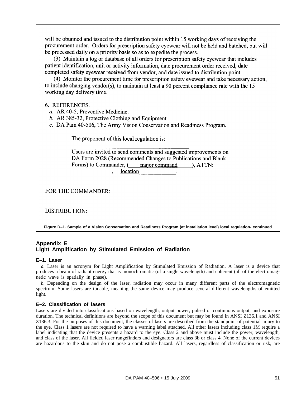will be obtained and issued to the distribution point within 15 working days of receiving the procurement order. Orders for prescription safety eyewear will not be held and batched, but will be processed daily on a priority basis so as to expedite the process.

(3) Maintain a log or database of all orders for prescription safety eyewear that includes patient identification, unit or activity information, date procurement order received, date completed safety eyewear received from vendor, and date issued to distribution point.

(4) Monitor the procurement time for prescription safety eyewear and take necessary action, to include changing vendor(s), to maintain at least a 90 percent compliance rate with the 15 working day delivery time.

## 6. REFERENCES.

- a. AR 40-5, Preventive Medicine.
- b. AR 385-32, Protective Clothing and Equipment.
- c. DA Pam 40-506, The Army Vision Conservation and Readiness Program.

The proponent of this local regulation is:

Users are invited to send comments and suggested improvements on DA Form 2028 (Recommended Changes to Publications and Blank Forms) to Commander, (major command  $ATTN$ : location

## FOR THE COMMANDER:

## **DISTRIBUTION:**

### **Figure D–1. Sample of a Vision Conservation and Readiness Program (at installation level) local regulation- continued**

## **Appendix E Light Amplification by Stimulated Emission of Radiation**

#### **E–1. Laser**

*a.* Laser is an acronym for Light Amplification by Stimulated Emission of Radiation. A laser is a device that produces a beam of radiant energy that is monochromatic (of a single wavelength) and coherent (all of the electromagnetic wave is spatially in phase).

*b.* Depending on the design of the laser, radiation may occur in many different parts of the electromagnetic spectrum. Some lasers are tunable, meaning the same device may produce several different wavelengths of emitted light.

## **E–2. Classification of lasers**

Lasers are divided into classifications based on wavelength, output power, pulsed or continuous output, and exposure duration. The technical definitions are beyond the scope of this document but may be found in ANSI Z136.1 and ANSI Z136.3. For the purposes of this document, the classes of lasers are described from the standpoint of potential injury to the eye. Class 1 lasers are not required to have a warning label attached. All other lasers including class 1M require a label indicating that the device presents a hazard to the eye. Class 2 and above must include the power, wavelength, and class of the laser. All fielded laser rangefinders and designators are class 3b or class 4. None of the current devices are hazardous to the skin and do not pose a combustible hazard. All lasers, regardless of classification or risk, are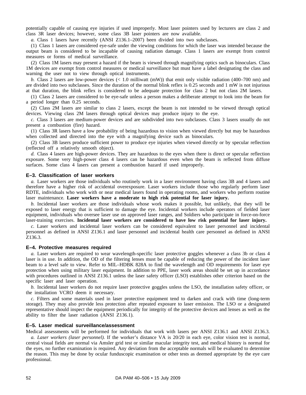potentially capable of causing eye injuries if used improperly. Most laser pointers used by lecturers are class 2 and class 3R laser devices; however, some class 3B laser pointers are now available.

*a.* Class 1 lasers have recently (ANSI Z136.1–2007) been divided into two subclasses.

(1) Class 1 lasers are considered eye-safe under the viewing conditions for which the laser was intended because the output beam is considered to be incapable of causing radiation damage. Class 1 lasers are exempt from control measures or forms of medical surveillance.

(2) Class 1M lasers may present a hazard if the beam is viewed through magnifying optics such as binoculars. Class 1M devices are exempt from control measures or medical surveillance but must have a label designating the class and warning the user not to view through optical instruments.

*b.* Class 2 lasers are low-power devices (< 1.0 milliwatt (mW)) that emit only visible radiation (400–700 nm) and are divided into two subclasses. Since the duration of the normal blink reflex is 0.25 seconds and 1 mW is not injurious at that duration, the blink reflex is considered to be adequate protection for class 2 but not class 2M lasers.

(1) Class 2 lasers are considered to be eye-safe unless a person makes a deliberate attempt to look into the beam for a period longer than 0.25 seconds.

(2) Class 2M lasers are similar to class 2 lasers, except the beam is not intended to be viewed through optical devices. Viewing class 2M lasers through optical devices may produce injury to the eye.

*c.* Class 3 lasers are medium-power devices and are subdivided into two subclasses. Class 3 lasers usually do not present a combustion (fire) hazard.

(1) Class 3R lasers have a low probability of being hazardous to vision when viewed directly but may be hazardous when collected and directed into the eye with a magnifying device such as binoculars.

(2) Class 3B lasers produce sufficient power to produce eye injuries when viewed directly or by specular reflection (reflected off a relatively smooth object).

*d.* Class 4 lasers are high-power devices. They are hazardous to the eyes when there is direct or specular reflection exposure. Some very high-power class 4 lasers can be hazardous even when the beam is reflected from diffuse surfaces. Some class 4 lasers can present a combustion hazard if used improperly.

## **E–3. Classification of laser workers**

*a.* Laser workers are those individuals who routinely work in a laser environment having class 3B and 4 lasers and therefore have a higher risk of accidental overexposure. Laser workers include those who regularly perform laser RDTE, individuals who work with or near medical lasers found in operating rooms, and workers who perform routine laser maintenance. **Laser workers have a moderate to high risk potential for laser injury.**

*b.* Incidental laser workers are those individuals whose work makes it possible, but unlikely, that they will be exposed to laser energy that is sufficient to damage the eye. Incidental workers include operators of fielded laser equipment, individuals who oversee laser use on approved laser ranges, and Soldiers who participate in force-on-force laser-training exercises. **Incidental laser workers are considered to have low risk potential for laser injury.**

*c.* Laser workers and incidental laser workers can be considered equivalent to laser personnel and incidental personnel as defined in ANSI Z136.1 and laser personnel and incidental health care personnel as defined in ANSI Z136.3.

## **E–4. Protective measures required**

*a.* Laser workers are required to wear wavelength-specific laser protective goggles whenever a class 3b or class 4 laser is in use. In addition, the OD of the filtering lenses must be capable of reducing the power of the incident laser beam to a level safe to view. Refer to MIL–HDBK 828A to find the wavelength and OD requirements for laser eye protection when using military laser equipment. In addition to PPE, laser work areas should be set up in accordance with procedures outlined in ANSI Z136.1 unless the laser safety officer (LSO) establishes other criterion based on the specific laser and laser operation.

*b.* Incidental laser workers do not require laser protective goggles unless the LSO, the installation safety officer, or the installation VCRO deem it necessary.

*c.* Filters and some materials used in laser protective equipment tend to darken and crack with time (long-term storage). They may also provide less protection after repeated exposure to laser emission. The LSO or a designated representative should inspect the equipment periodically for integrity of the protective devices and lenses as well as the ability to filter the laser radiation (ANSI Z136.1).

#### **E–5. Laser medical surveillance/assessment**

Medical assessments will be performed for individuals that work with lasers per ANSI Z136.1 and ANSI Z136.3.

*a. Laser workers (laser personnel).* If the worker's distance VA is 20/20 in each eye, color vision test is normal, central visual fields are normal via Amsler grid test or similar macular integrity test, and medical history is normal for the eyes, no further examination is required. Any deviation from the acceptable normals will be evaluated to determine the reason. This may be done by ocular funduscopic examination or other tests as deemed appropriate by the eye care professional.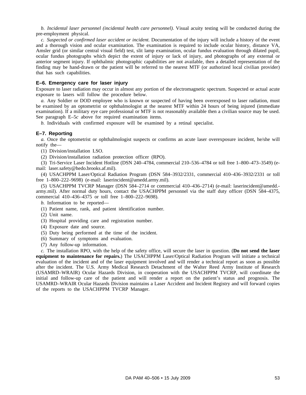*b. Incidental laser personnel (incidental health care personnel).* Visual acuity testing will be conducted during the pre-employment physical.

*c. Suspected or confirmed laser accident or incident.* Documentation of the injury will include a history of the event and a thorough vision and ocular examination. The examination is required to include ocular history, distance VA, Amsler grid (or similar central visual field) test, slit lamp examination, ocular fundus evaluation through dilated pupil, ocular fundus photographs which depict the extent of injury or lack of injury, and photographs of any external or anterior segment injury. If ophthalmic photographic capabilities are not available, then a detailed representation of the finding may be hand-drawn or the patient will be referred to the nearest MTF (or authorized local civilian provider) that has such capabilities.

## **E–6. Emergency care for laser injury**

Exposure to laser radiation may occur in almost any portion of the electromagnetic spectrum. Suspected or actual acute exposure to lasers will follow the procedure below.

*a.* Any Soldier or DOD employee who is known or suspected of having been overexposed to laser radiation, must be examined by an optometrist or ophthalmologist at the nearest MTF within 24 hours of being injured (immediate examination). If a military eye care professional or MTF is not reasonably available then a civilian source may be used. See paragraph E–5*c* above for required examination items.

*b.* Individuals with confirmed exposure will be examined by a retinal specialist.

#### **E–7. Reporting**

*a.* Once the optometrist or ophthalmologist suspects or confirms an acute laser overexposure incident, he/she will notify the—

(1) Division/installation LSO.

(2) Division/installation radiation protection officer (RPO).

(3) Tri-Service Laser Incident Hotline (DSN 240–4784, commercial 210–536–4784 or toll free 1–800–473–3549) (email: laser.safety@hedo.brooks.af.mil).

(4) USACHPPM Laser/Optical Radiation Program (DSN 584–3932/2331, commercial 410–436–3932/2331 or toll free 1–800–222–9698) (e-mail: laserincident@amedd.army.mil).

(5) USACHPPM TVCRP Manager (DSN 584–2714 or commercial 410–436–2714) (e-mail: laserincident@amedd. army.mil). After normal duty hours, contact the USACHPPM personnel via the staff duty officer (DSN 584–4375, commercial 410–436–4375 or toll free 1–800–222–9698).

*b.* Information to be reported—

(1) Patient name, rank, and patient identification number.

(2) Unit name.

(3) Hospital providing care and registration number.

(4) Exposure date and source.

- (5) Duty being performed at the time of the incident.
- (6) Summary of symptoms and evaluation.

(7) Any follow-up information.

*c.* The installation RPO, with the help of the safety office, will secure the laser in question. (**Do not send the laser equipment to maintenance for repairs.**) The USACHPPM Laser/Optical Radiation Program will initiate a technical evaluation of the incident and of the laser equipment involved and will render a technical report as soon as possible after the incident. The U.S. Army Medical Research Detachment of the Walter Reed Army Institute of Research (USAMRD–WRAIR) Ocular Hazards Division, in cooperation with the USACHPPM TVCRP, will coordinate the initial and follow-up care of the patient and will render a report on the patient's status and prognosis. The USAMRD–WRAIR Ocular Hazards Division maintains a Laser Accident and Incident Registry and will forward copies of the reports to the USACHPPM TVCRP Manager.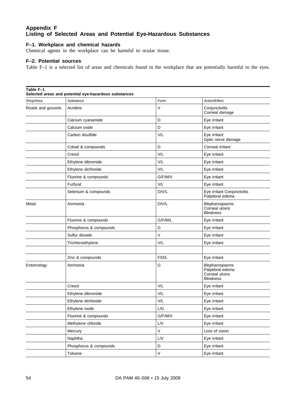# **Appendix F Listing of Selected Areas and Potential Eye-Hazardous Substances**

## **F–1. Workplace and chemical hazards**

Chemical agents in the workplace can be harmful to ocular tissue.

## **F–2. Potential sources**

Table F–1 is a selected list of areas and chemicals found in the workplace that are potentially harmful to the eyes.

| Table F-1         | Selected areas and potential eye-hazardous substances |                |                                                                         |
|-------------------|-------------------------------------------------------|----------------|-------------------------------------------------------------------------|
| Shop/Area         | Substance                                             | Form           | Action/Effect                                                           |
| Roads and grounds | Acridine                                              | $\vee$         | Conjunctivitis<br>Corneal damage                                        |
|                   | Calcium cyanamide                                     | D              | Eye irritant                                                            |
|                   | Calcium oxide                                         | D              | Eye irritant                                                            |
|                   | Carbon disulfide                                      | V/L            | Eye irritant<br>Optic nerve damage                                      |
|                   | Cobalt & compounds                                    | D              | Corneal irritant                                                        |
|                   | Cresol                                                | V/L            | Eye irritant                                                            |
|                   | Ethylene dibromide                                    | V/L            | Eye irritant                                                            |
|                   | Ethylene dichloride                                   | V/L            | Eye irritant                                                            |
|                   | Fluorine & compounds                                  | G/F/M/V        | Eye irritant                                                            |
|                   | Furfural                                              | V/L            | Eye irritant                                                            |
|                   | Selenium & compounds                                  | D/V/L          | Eye irritant Conjunctivitis<br>Palpebral edema                          |
| Metal             | Ammonia                                               | D/V/L          | Blepharospasms<br>Corneal ulcers<br><b>Blindness</b>                    |
|                   | Fluorine & compounds                                  | G/F/M/L        | Eye irritant                                                            |
|                   | Phosphorus & compounds                                | D              | Eye irritant                                                            |
|                   | Sulfur dioxide                                        | V              | Eye irritant                                                            |
|                   | Trichloroethylene                                     | V/L            | Eye irritant                                                            |
|                   |                                                       |                |                                                                         |
|                   | Zinc & compounds                                      | F/D/L          | Eye irritant                                                            |
| Entomology        | Ammonia                                               | G              | Blepharospasms<br>Palpebral edema<br>Corneal ulcers<br><b>Blindness</b> |
|                   | Cresol                                                | V/L            | Eye irritant                                                            |
|                   | Ethylene dibromide                                    | V/L            | Eye irritant                                                            |
|                   | Ethylene dichloride                                   | V/L            | Eye irritant                                                            |
|                   | Ethylene oxide                                        | $\mathsf{L/G}$ | Eye irritant                                                            |
|                   | Fluorine & compounds                                  | G/F/M/V        | Eye irritant                                                            |
|                   | Methylene chloride                                    | $L/V$          | Eye irritant                                                            |
|                   | Mercury                                               | $\mathsf{V}$   | Loss of vision                                                          |
|                   | Naphtha                                               | $L/V$          | Eye irritant                                                            |
|                   | Phosphorus & compounds                                | D              | Eye irritant                                                            |
|                   | Toluene                                               | $\mathsf V$    | Eye irritant                                                            |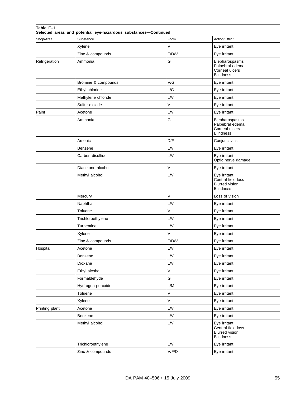| Table F-1      | Selected areas and potential eye-hazardous substances-Continued |        |                                                                                 |
|----------------|-----------------------------------------------------------------|--------|---------------------------------------------------------------------------------|
| Shop/Area      | Substance                                                       | Form   | Action/Effect                                                                   |
|                | Xylene                                                          | V      | Eye irritant                                                                    |
|                | Zinc & compounds                                                | F/D/V  | Eye irritant                                                                    |
| Refrigeration  | Ammonia                                                         | G      | Blepharospasms<br>Palpebral edema<br>Corneal ulcers<br><b>Blindness</b>         |
|                | Bromine & compounds                                             | V/G    | Eye irritant                                                                    |
|                | Ethyl chloride                                                  | L/G    | Eye irritant                                                                    |
|                | Methylene chloride                                              | L/V    | Eye irritant                                                                    |
|                | Sulfur dioxide                                                  | V      | Eye irritant                                                                    |
| Paint          | Acetone                                                         | L/V    | Eye irritant                                                                    |
|                | Ammonia                                                         | G      | Blepharospasms<br>Palpebral edema<br>Corneal ulcers<br><b>Blindness</b>         |
|                | Arsenic                                                         | D/F    | Conjunctivitis                                                                  |
|                | Benzene                                                         | L/V    | Eye irritant                                                                    |
|                | Carbon disulfide                                                | L/V    | Eve irritant<br>Optic nerve damage                                              |
|                | Diacetone alcohol                                               | V      | Eye irritant                                                                    |
|                | Methyl alcohol                                                  | L/V    | Eye irritant<br>Central field loss<br><b>Blurred</b> vision<br><b>Blindness</b> |
|                | Mercury                                                         | $\vee$ | Loss of vision                                                                  |
|                | Naphtha                                                         | L/V    | Eye irritant                                                                    |
|                | Toluene                                                         | V      | Eye irritant                                                                    |
|                | Trichloroethylene                                               | L/V    | Eye irritant                                                                    |
|                | Turpentine                                                      | L/V    | Eye irritant                                                                    |
|                | Xylene                                                          | V      | Eye irritant                                                                    |
|                | Zinc & compounds                                                | F/D/V  | Eye irritant                                                                    |
| Hospital       | Acetone                                                         | L/V    | Eye irritant                                                                    |
|                | Benzene                                                         | L/V    | Eye irritant                                                                    |
|                | Dioxane                                                         | L/V    | Eye irritant                                                                    |
|                | Ethyl alcohol                                                   | V      | Eye irritant                                                                    |
|                | Formaldehyde                                                    | G      | Eye irritant                                                                    |
|                | Hydrogen peroxide                                               | L/M    | Eye irritant                                                                    |
|                | Toluene                                                         | V      | Eye irritant                                                                    |
|                | Xylene                                                          | $\vee$ | Eye irritant                                                                    |
| Printing plant | Acetone                                                         | L/V    | Eye irritant                                                                    |
|                | Benzene                                                         | L/V    | Eye irritant                                                                    |
|                | Methyl alcohol                                                  | L/V    | Eye irritant<br>Central field loss<br><b>Blurred vision</b><br><b>Blindness</b> |
|                | Trichloroethylene                                               | L/V    | Eye irritant                                                                    |
|                | Zinc & compounds                                                | V/F/D  | Eye irritant                                                                    |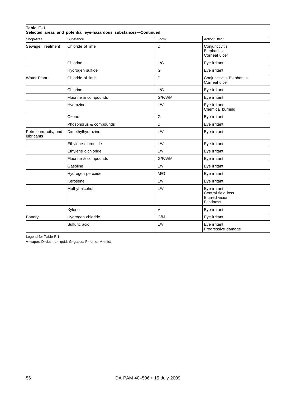| Shop/Area                          | Substance              | Form    | Action/Effect                                                                   |
|------------------------------------|------------------------|---------|---------------------------------------------------------------------------------|
| Sewage Treatment                   | Chloride of lime       | D       | Conjunctivitis<br><b>Blepharitis</b><br>Corneal ulcer                           |
|                                    | Chlorine               | L/G     | Eye irritant                                                                    |
|                                    | Hydrogen sulfide       | G       | Eye irritant                                                                    |
| <b>Water Plant</b>                 | Chloride of lime       | D       | Conjunctivitis Blepharitis<br>Corneal ulcer                                     |
|                                    | Chlorine               | L/G     | Eye irritant                                                                    |
|                                    | Fluorine & compounds   | G/F/V/M | Eye irritant                                                                    |
|                                    | Hydrazine              | L/V     | Eye irritant<br>Chemical burning                                                |
|                                    | Ozone                  | G       | Eye irritant                                                                    |
|                                    | Phosphorus & compounds | D       | Eye irritant                                                                    |
| Petroleum, oils, and<br>lubricants | Dimethylhydrazine      | L/V     | Eye irritant                                                                    |
|                                    | Ethylene dibromide     | L/V     | Eye irritant                                                                    |
|                                    | Ethylene dichloride    | L/V     | Eye irritant                                                                    |
|                                    | Fluorine & compounds   | G/F/V/M | Eye irritant                                                                    |
|                                    | Gasoline               | L/V     | Eye irritant                                                                    |
|                                    | Hydrogen peroxide      | M/G     | Eye irritant                                                                    |
|                                    | Kerosene               | L/V     | Eye irritant                                                                    |
|                                    | Methyl alcohol         | L/V     | Eye irritant<br>Central field loss<br><b>Blurred vision</b><br><b>Blindness</b> |
|                                    | Xylene                 | $\vee$  | Eye irritant                                                                    |
| <b>Battery</b>                     | Hydrogen chloride      | G/M     | Eye irritant                                                                    |
|                                    | Sulfuric acid          | L/V     | Eye irritant<br>Progressive damage                                              |

Legend for Table F-1:

V=vapor; D=dust; L=liquid; G=gases; F=fume; M=mist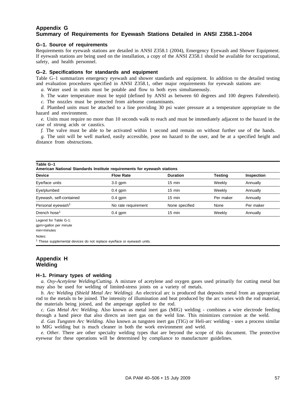## **Appendix G Summary of Requirements for Eyewash Stations Detailed in ANSI Z358.1–2004**

### **G–1. Source of requirements**

Requirements for eyewash stations are detailed in ANSI Z358.1 (2004), Emergency Eyewash and Shower Equipment. If eyewash stations are being used on the installation, a copy of the ANSI Z358.1 should be available for occupational, safety, and health personnel.

#### **G–2. Specifications for standards and equipment**

Table G–1 summarizes emergency eyewash and shower standards and equipment. In addition to the detailed testing and evaluation procedures specified in ANSI Z358.1, other major requirements for eyewash stations are:

*a.* Water used in units must be potable and flow to both eyes simultaneously.

*b.* The water temperature must be tepid (defined by ANSI as between 60 degrees and 100 degrees Fahrenheit).

*c.* The nozzles must be protected from airborne contaminants.

*d.* Plumbed units must be attached to a line providing 30 psi water pressure at a temperature appropriate to the hazard and environment.

*e.* Units must require no more than 10 seconds walk to reach and must be immediately adjacent to the hazard in the case of strong acids or caustics.

*f.* The valve must be able to be activated within 1 second and remain on without further use of the hands.

*g.* The unit will be well marked, easily accessible, pose no hazard to the user, and be at a specified height and distance from obstructions.

# **Table G–1 American National Standards Institute requirements for eyewash stations Device Flow Rate Duration Testing Inspection** Eye/face units **15 min** 3.0 gpm 15 min Weekly Annually Eye/plumbed 0.4 gpm 15 min Weekly Annually Eyewash, self-contained **1.5 min** 15 min Per maker Annually Personal eyewash<sup>1</sup> No rate requirement None specified None Per maker Drench hose<sup>1</sup> 0.4 gpm 15 min Weekly Annually Legend for Table G-1: gpm=gallon per minute min=minutes

Notes:

<sup>1</sup> These supplemental devices do not replace eye/face or eyewash units.

# **Appendix H Welding**

## **H–1. Primary types of welding**

*a. Oxy-Acetylene Welding/Cutting.* A mixture of acetylene and oxygen gases used primarily for cutting metal but may also be used for welding of limited-stress joints on a variety of metals.

*b. Arc Welding (Shield Metal Arc Welding).* An electrical arc is produced that deposits metal from an appropriate rod to the metals to be joined. The intensity of illumination and heat produced by the arc varies with the rod material, the materials being joined, and the amperage applied to the rod.

*c. Gas Metal Arc Welding.* Also known as metal inert gas (MIG) welding - combines a wire electrode feeding through a hand piece that also directs an inert gas on the weld line. This minimizes corrosion at the weld.

*d. Gas Tungsten Arc Welding.* Also known as tungsten inert gas (TIG) or Heli-arc welding - uses a process similar to MIG welding but is much cleaner in both the work environment and weld.

*e. Other.* There are other specialty welding types that are beyond the scope of this document. The protective eyewear for these operations will be determined by compliance to manufacturer guidelines.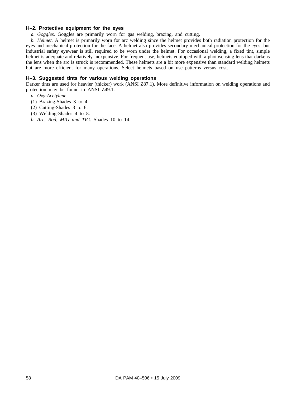## **H–2. Protective equipment for the eyes**

*a. Goggles.* Goggles are primarily worn for gas welding, brazing, and cutting.

*b. Helmet.* A helmet is primarily worn for arc welding since the helmet provides both radiation protection for the eyes and mechanical protection for the face. A helmet also provides secondary mechanical protection for the eyes, but industrial safety eyewear is still required to be worn under the helmet. For occasional welding, a fixed tint, simple helmet is adequate and relatively inexpensive. For frequent use, helmets equipped with a photosensing lens that darkens the lens when the arc is struck is recommended. These helmets are a bit more expensive than standard welding helmets but are more efficient for many operations. Select helmets based on use patterns versus cost.

## **H–3. Suggested tints for various welding operations**

Darker tints are used for heavier (thicker) work (ANSI Z87.1). More definitive information on welding operations and protection may be found in ANSI Z49.1.

*a. Oxy-Acetylene.*

- (1) Brazing-Shades 3 to 4.
- (2) Cutting-Shades 3 to 6.
- (3) Welding-Shades 4 to 8.
- *b. Arc, Rod, MIG and TIG.* Shades 10 to 14.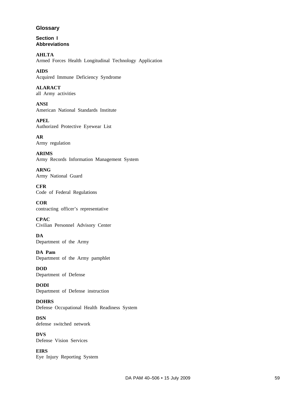## **Glossary**

**Section I Abbreviations**

**AHLTA** Armed Forces Health Longitudinal Technology Application

**AIDS** Acquired Immune Deficiency Syndrome

**ALARACT** all Army activities

**ANSI** American National Standards Institute

**APEL** Authorized Protective Eyewear List

**AR** Army regulation

**ARIMS** Army Records Information Management System

**ARNG** Army National Guard

**CFR** Code of Federal Regulations

**COR** contracting officer's representative

**CPAC** Civilian Personnel Advisory Center

**DA** Department of the Army

**DA Pam** Department of the Army pamphlet

**DOD** Department of Defense

**DODI** Department of Defense instruction

**DOHRS** Defense Occupational Health Readiness System

**DSN** defense switched network

**DVS** Defense Vision Services

**EIRS** Eye Injury Reporting System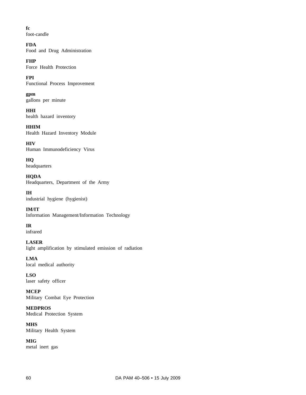**fc**

foot-candle

**FDA** Food and Drug Administration

**FHP** Force Health Protection

**FPI** Functional Process Improvement

**gpm** gallons per minute

**HHI** health hazard inventory

**HHIM** Health Hazard Inventory Module

**HIV** Human Immunodeficiency Virus

**HQ** headquarters

**HQDA** Headquarters, Department of the Army

**IH** industrial hygiene (hygienist)

**IM/IT** Information Management/Information Technology

**IR**

infrared

**LASER** light amplification by stimulated emission of radiation

**LMA** local medical authority

**LSO** laser safety officer

**MCEP** Military Combat Eye Protection

**MEDPROS** Medical Protection System

**MHS** Military Health System

**MIG** metal inert gas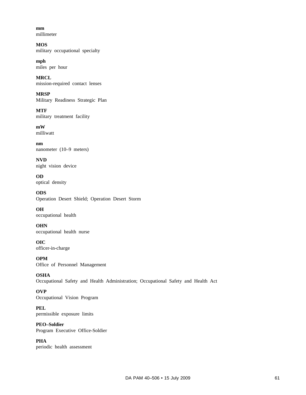**mm** millimeter

**MOS** military occupational specialty

**mph** miles per hour

**MRCL** mission-required contact lenses

**MRSP** Military Readiness Strategic Plan

**MTF** military treatment facility

**mW** milliwatt

**nm** nanometer (10–9 meters)

**NVD** night vision device

**OD** optical density

**ODS** Operation Desert Shield; Operation Desert Storm

**OH** occupational health

**OHN** occupational health nurse

**OIC** officer-in-charge

**OPM** Office of Personnel Management

**OSHA** Occupational Safety and Health Administration; Occupational Safety and Health Act

# **OVP** Occupational Vision Program

**PEL** permissible exposure limits

**PEO–Soldier** Program Executive Office-Soldier

**PHA** periodic health assessment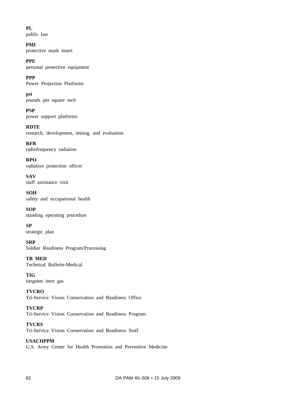**PL** public law

**PMI** protective mask insert

**PPE** personal protective equipment

**PPP** Power Projection Platforms

**psi** pounds per square inch

**PSP** power support platforms

**RDTE** research, development, testing, and evaluation

**RFR** radiofrequency radiation

**RPO** radiation protection officer

**SAV** staff assistance visit

**SOH** safety and occupational health

**SOP** standing operating procedure

**SP** strategic plan

**SRP** Soldier Readiness Program/Processing

**TB MED** Technical Bulletin-Medical

**TIG** tungsten inert gas

**TVCRO** Tri-Service Vision Conservation and Readiness Office

**TVCRP** Tri-Service Vision Conservation and Readiness Program

**TVCRS** Tri-Service Vision Conservation and Readiness Staff

**USACHPPM** U.S. Army Center for Health Promotion and Preventive Medicine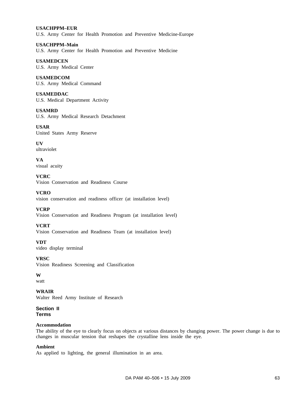## **USACHPPM–EUR**

U.S. Army Center for Health Promotion and Preventive Medicine-Europe

### **USACHPPM–Main**

U.S. Army Center for Health Promotion and Preventive Medicine

## **USAMEDCEN**

U.S. Army Medical Center

### **USAMEDCOM**

U.S. Army Medical Command

## **USAMEDDAC**

U.S. Medical Department Activity

## **USAMRD**

U.S. Army Medical Research Detachment

#### **USAR**

United States Army Reserve

**UV** ultraviolet

**VA** visual acuity

**VCRC** Vision Conservation and Readiness Course

## **VCRO**

vision conservation and readiness officer (at installation level)

## **VCRP**

Vision Conservation and Readiness Program (at installation level)

## **VCRT**

Vision Conservation and Readiness Team (at installation level)

**VDT** video display terminal

**VRSC** Vision Readiness Screening and Classification

## **W**

watt

**WRAIR** Walter Reed Army Institute of Research

**Section II Terms**

#### **Accommodation**

The ability of the eye to clearly focus on objects at various distances by changing power. The power change is due to changes in muscular tension that reshapes the crystalline lens inside the eye.

#### **Ambient**

As applied to lighting, the general illumination in an area.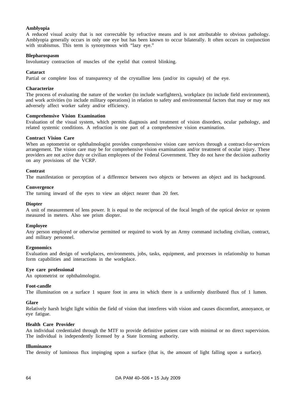## **Amblyopia**

A reduced visual acuity that is not correctable by refractive means and is not attributable to obvious pathology. Amblyopia generally occurs in only one eye but has been known to occur bilaterally. It often occurs in conjunction with strabismus. This term is synonymous with "lazy eye."

#### **Blepharospasm**

Involuntary contraction of muscles of the eyelid that control blinking.

#### **Cataract**

Partial or complete loss of transparency of the crystalline lens (and/or its capsule) of the eye.

#### **Characterize**

The process of evaluating the nature of the worker (to include warfighters), workplace (to include field environment), and work activities (to include military operations) in relation to safety and environmental factors that may or may not adversely affect worker safety and/or efficiency.

#### **Comprehensive Vision Examination**

Evaluation of the visual system, which permits diagnosis and treatment of vision disorders, ocular pathology, and related systemic conditions. A refraction is one part of a comprehensive vision examination.

#### **Contract Vision Care**

When an optometrist or ophthalmologist provides comprehensive vision care services through a contract-for-services arrangement. The vision care may be for comprehensive vision examinations and/or treatment of ocular injury. These providers are not active duty or civilian employees of the Federal Government. They do not have the decision authority on any provisions of the VCRP.

#### **Contrast**

The manifestation or perception of a difference between two objects or between an object and its background.

#### **Convergence**

The turning inward of the eyes to view an object nearer than 20 feet.

#### **Diopter**

A unit of measurement of lens power. It is equal to the reciprocal of the focal length of the optical device or system measured in meters. Also see prism diopter.

#### **Employee**

Any person employed or otherwise permitted or required to work by an Army command including civilian, contract, and military personnel.

#### **Ergonomics**

Evaluation and design of workplaces, environments, jobs, tasks, equipment, and processes in relationship to human form capabilities and interactions in the workplace.

#### **Eye care professional**

An optometrist or ophthalmologist.

#### **Foot-candle**

The illumination on a surface 1 square foot in area in which there is a uniformly distributed flux of 1 lumen.

#### **Glare**

Relatively harsh bright light within the field of vision that interferes with vision and causes discomfort, annoyance, or eye fatigue.

#### **Health Care Provider**

An individual credentialed through the MTF to provide definitive patient care with minimal or no direct supervision. The individual is independently licensed by a State licensing authority.

#### **Illuminance**

The density of luminous flux impinging upon a surface (that is, the amount of light falling upon a surface).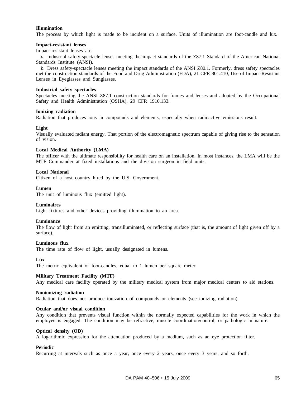### **Illumination**

The process by which light is made to be incident on a surface. Units of illumination are foot-candle and lux.

### **Impact-resistant lenses**

Impact-resistant lenses are:

*a.* Industrial safety-spectacle lenses meeting the impact standards of the Z87.1 Standard of the American National Standards Institute (ANSI).

*b.* Dress safety-spectacle lenses meeting the impact standards of the ANSI Z80.1. Formerly, dress safety spectacles met the construction standards of the Food and Drug Administration (FDA), 21 CFR 801.410, Use of Impact-Resistant Lenses in Eyeglasses and Sunglasses.

#### **Industrial safety spectacles**

Spectacles meeting the ANSI Z87.1 construction standards for frames and lenses and adopted by the Occupational Safety and Health Administration (OSHA), 29 CFR 1910.133.

#### **Ionizing radiation**

Radiation that produces ions in compounds and elements, especially when radioactive emissions result.

#### **Light**

Visually evaluated radiant energy. That portion of the electromagnetic spectrum capable of giving rise to the sensation of vision.

#### **Local Medical Authority (LMA)**

The officer with the ultimate responsibility for health care on an installation. In most instances, the LMA will be the MTF Commander at fixed installations and the division surgeon in field units.

#### **Local National**

Citizen of a host country hired by the U.S. Government.

#### **Lumen**

The unit of luminous flux (emitted light).

#### **Luminaires**

Light fixtures and other devices providing illumination to an area.

#### **Luminance**

The flow of light from an emitting, transilluminated, or reflecting surface (that is, the amount of light given off by a surface).

#### **Luminous flux**

The time rate of flow of light, usually designated in lumens.

#### **Lux**

The metric equivalent of foot-candles, equal to 1 lumen per square meter.

#### **Military Treatment Facility (MTF)**

Any medical care facility operated by the military medical system from major medical centers to aid stations.

#### **Nonionizing radiation**

Radiation that does not produce ionization of compounds or elements (see ionizing radiation).

#### **Ocular and/or visual condition**

Any condition that prevents visual function within the normally expected capabilities for the work in which the employee is engaged. The condition may be refractive, muscle coordination/control, or pathologic in nature.

#### **Optical density (OD)**

A logarithmic expression for the attenuation produced by a medium, such as an eye protection filter.

#### **Periodic**

Recurring at intervals such as once a year, once every 2 years, once every 3 years, and so forth.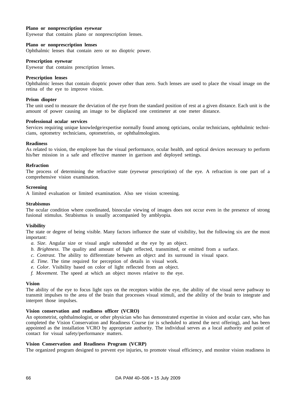### **Plano or nonprescription eyewear**

Eyewear that contains plano or nonprescription lenses.

## **Plano or nonprescription lenses**

Ophthalmic lenses that contain zero or no dioptric power.

#### **Prescription eyewear**

Eyewear that contains prescription lenses.

#### **Prescription lenses**

Ophthalmic lenses that contain dioptric power other than zero. Such lenses are used to place the visual image on the retina of the eye to improve vision.

#### **Prism diopter**

The unit used to measure the deviation of the eye from the standard position of rest at a given distance. Each unit is the amount of power causing an image to be displaced one centimeter at one meter distance.

#### **Professional ocular services**

Services requiring unique knowledge/expertise normally found among opticians, ocular technicians, ophthalmic technicians, optometry technicians, optometrists, or ophthalmologists.

#### **Readiness**

As related to vision, the employee has the visual performance, ocular health, and optical devices necessary to perform his/her mission in a safe and effective manner in garrison and deployed settings.

#### **Refraction**

The process of determining the refractive state (eyewear prescription) of the eye. A refraction is one part of a comprehensive vision examination.

#### **Screening**

A limited evaluation or limited examination. Also see vision screening.

#### **Strabismus**

The ocular condition where coordinated, binocular viewing of images does not occur even in the presence of strong fusional stimulus. Strabismus is usually accompanied by amblyopia.

#### **Visibility**

The state or degree of being visible. Many factors influence the state of visibility, but the following six are the most important:

- *a. Size*. Angular size or visual angle subtended at the eye by an object.
- *b. Brightness*. The quality and amount of light reflected, transmitted, or emitted from a surface.
- *c. Contrast.* The ability to differentiate between an object and its surround in visual space.
- *d. Time*. The time required for perception of details in visual work.
- *e. Color*. Visibility based on color of light reflected from an object.
- *f. Movement*. The speed at which an object moves relative to the eye.

#### **Vision**

The ability of the eye to focus light rays on the receptors within the eye, the ability of the visual nerve pathway to transmit impulses to the area of the brain that processes visual stimuli, and the ability of the brain to integrate and interpret those impulses.

#### **Vision conservation and readiness officer (VCRO)**

An optometrist, ophthalmologist, or other physician who has demonstrated expertise in vision and ocular care, who has completed the Vision Conservation and Readiness Course (or is scheduled to attend the next offering), and has been appointed as the installation VCRO by appropriate authority. The individual serves as a local authority and point of contact for visual safety/performance matters.

### **Vision Conservation and Readiness Program (VCRP)**

The organized program designed to prevent eye injuries, to promote visual efficiency, and monitor vision readiness in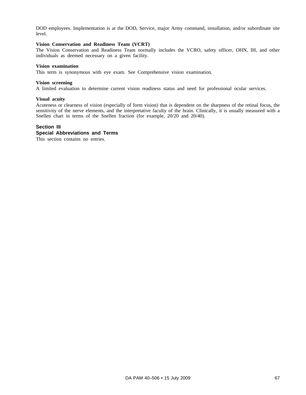DOD employees. Implementation is at the DOD, Service, major Army command, installation, and/or subordinate site level.

## **Vision Conservation and Readiness Team (VCRT)**

The Vision Conservation and Readiness Team normally includes the VCRO, safety officer, OHN, IH, and other individuals as deemed necessary on a given facility.

# **Vision examination**

This term is synonymous with eye exam. See Comprehensive vision examination.

#### **Vision screening**

A limited evaluation to determine current vision readiness status and need for professional ocular services.

### **Visual acuity**

Acuteness or clearness of vision (especially of form vision) that is dependent on the sharpness of the retinal focus, the sensitivity of the nerve elements, and the interpretative faculty of the brain. Clinically, it is usually measured with a Snellen chart in terms of the Snellen fraction (for example, 20/20 and 20/40).

### **Section III**

#### **Special Abbreviations and Terms**

This section contains no entries.